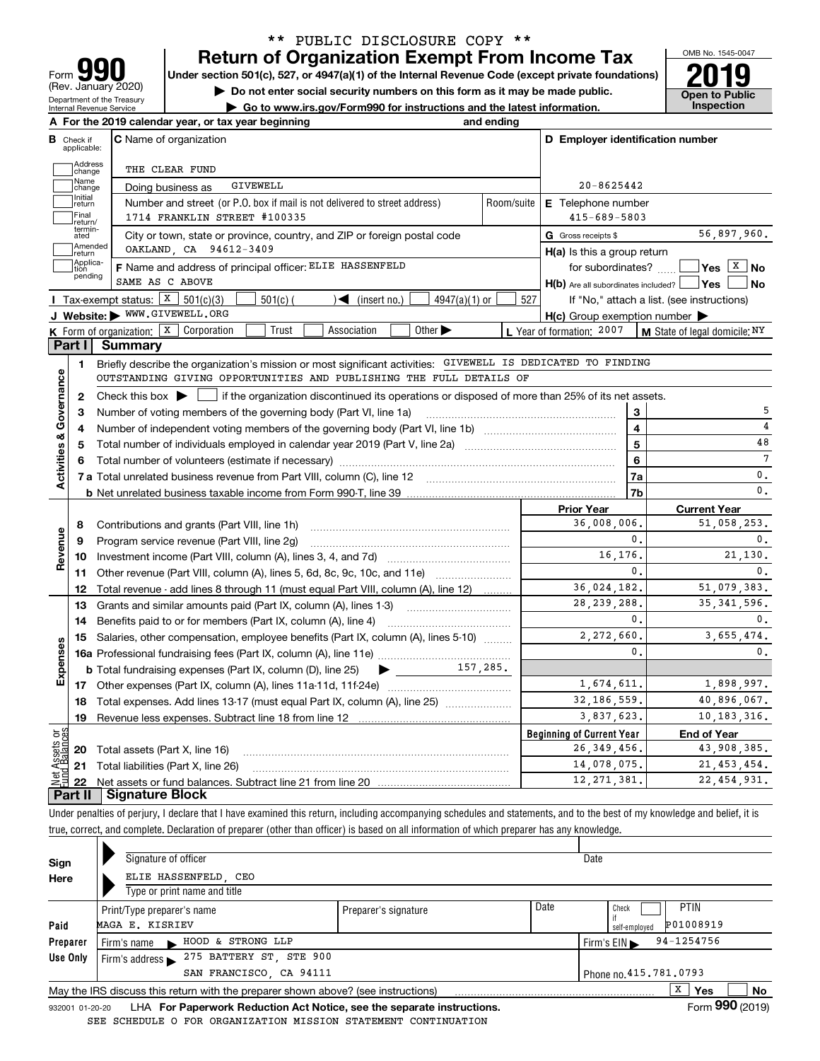| IU                                                            |
|---------------------------------------------------------------|
| Form                                                          |
| (Rev. January 2020)                                           |
| Department of the Treasury<br><b>Internal Revenue Service</b> |

## **Return of Organization Exempt From Income Tax** \*\* PUBLIC DISCLOSURE COPY \*\*

Under section 501(c), 527, or 4947(a)(1) of the Internal Revenue Code (except private foundations) **2019** 

**| Do not enter social security numbers on this form as it may be made public.**

**| Go to www.irs.gov/Form990 for instructions and the latest information. Inspection**

OMB No. 1545-0047 **Open to Public** 

|                                |                         | A For the 2019 calendar year, or tax year beginning                                                                                                 | and ending |                                                     |                                                                              |
|--------------------------------|-------------------------|-----------------------------------------------------------------------------------------------------------------------------------------------------|------------|-----------------------------------------------------|------------------------------------------------------------------------------|
| в.                             | Check if<br>applicable: | C Name of organization                                                                                                                              |            | D Employer identification number                    |                                                                              |
|                                | Address<br>change       | THE CLEAR FUND                                                                                                                                      |            |                                                     |                                                                              |
|                                | Name<br>change          | <b>GIVEWELL</b><br>Doing business as                                                                                                                |            | $20 - 8625442$                                      |                                                                              |
|                                | Initial<br>return       | Number and street (or P.O. box if mail is not delivered to street address)                                                                          | Room/suite | <b>E</b> Telephone number                           |                                                                              |
|                                | Final<br>return/        | 1714 FRANKLIN STREET #100335                                                                                                                        |            | $415 - 689 - 5803$                                  |                                                                              |
|                                | termin-<br>ated         | City or town, state or province, country, and ZIP or foreign postal code                                                                            |            | G Gross receipts \$                                 | 56,897,960.                                                                  |
|                                | Amended<br>return       | OAKLAND, CA 94612-3409                                                                                                                              |            | $H(a)$ is this a group return                       |                                                                              |
|                                | Applica-<br>tion        | F Name and address of principal officer: ELIE HASSENFELD                                                                                            |            | for subordinates?                                   | $\sqrt{\mathsf{Yes} \left[\begin{matrix} \mathbf{X} \end{matrix}\right]}$ No |
|                                | pending                 | SAME AS C ABOVE                                                                                                                                     |            | $H(b)$ Are all subordinates included? $\Box$ Yes    | No l                                                                         |
|                                |                         | Tax-exempt status: $X \ 501(c)(3)$<br>$501(c)$ (<br>$\sqrt{\bullet}$ (insert no.)<br>$4947(a)(1)$ or                                                | 527        | If "No," attach a list. (see instructions)          |                                                                              |
|                                |                         | J Website: WWW.GIVEWELL.ORG                                                                                                                         |            | $H(c)$ Group exemption number $\blacktriangleright$ |                                                                              |
|                                |                         | <b>K</b> Form of organization: $\boxed{\textbf{X}}$ Corporation<br>Trust<br>Association<br>Other $\blacktriangleright$                              |            | L Year of formation: 2007                           | $\vert$ M State of legal domicile: $NY$                                      |
|                                | Part I                  | <b>Summary</b>                                                                                                                                      |            |                                                     |                                                                              |
|                                | 1.                      | Briefly describe the organization's mission or most significant activities: GIVEWELL IS DEDICATED TO FINDING                                        |            |                                                     |                                                                              |
|                                |                         | OUTSTANDING GIVING OPPORTUNITIES AND PUBLISHING THE FULL DETAILS OF                                                                                 |            |                                                     |                                                                              |
|                                | 2                       | Check this box $\blacktriangleright$ $\blacksquare$ if the organization discontinued its operations or disposed of more than 25% of its net assets. |            |                                                     |                                                                              |
|                                | З                       | Number of voting members of the governing body (Part VI, line 1a)                                                                                   |            | 3                                                   |                                                                              |
|                                | 4                       |                                                                                                                                                     |            | $\overline{\mathbf{4}}$                             |                                                                              |
|                                | 5                       |                                                                                                                                                     |            | $\overline{5}$                                      | 48                                                                           |
|                                |                         |                                                                                                                                                     |            | 6                                                   | 7                                                                            |
| Activities & Governance        |                         |                                                                                                                                                     |            | 7a                                                  | 0.                                                                           |
|                                |                         |                                                                                                                                                     |            | 7b                                                  | $\mathfrak o$ .                                                              |
|                                |                         |                                                                                                                                                     |            | <b>Prior Year</b>                                   | <b>Current Year</b>                                                          |
|                                | 8                       |                                                                                                                                                     |            | 36,008,006.                                         | 51,058,253.                                                                  |
|                                | 9                       | Program service revenue (Part VIII, line 2g)                                                                                                        |            | 0.                                                  | 0.                                                                           |
| Revenue                        | 10                      |                                                                                                                                                     |            | 16,176.                                             | 21,130.                                                                      |
|                                | 11                      |                                                                                                                                                     |            | $\mathbf{0}$ .                                      | 0.                                                                           |
|                                | 12                      | Total revenue - add lines 8 through 11 (must equal Part VIII, column (A), line 12)                                                                  |            | 36,024,182.                                         | 51,079,383.                                                                  |
|                                | 13                      | Grants and similar amounts paid (Part IX, column (A), lines 1-3)                                                                                    |            | 28, 239, 288.                                       | 35, 341, 596.                                                                |
|                                | 14                      |                                                                                                                                                     |            | 0.                                                  | 0.                                                                           |
|                                | 15                      | Salaries, other compensation, employee benefits (Part IX, column (A), lines 5-10)                                                                   |            | 2,272,660.                                          | 3,655,474.                                                                   |
| Expenses                       |                         |                                                                                                                                                     |            | $\mathbf{0}$ .                                      | $\mathbf{0}$ .                                                               |
|                                |                         |                                                                                                                                                     |            |                                                     |                                                                              |
|                                |                         |                                                                                                                                                     |            | 1,674,611.                                          | 1,898,997.                                                                   |
|                                |                         | 18 Total expenses. Add lines 13-17 (must equal Part IX, column (A), line 25)                                                                        |            | 32, 186, 559.                                       | 40,896,067.                                                                  |
|                                | 19                      | Revenue less expenses. Subtract line 18 from line 12                                                                                                |            | 3,837,623.                                          | 10,183,316.                                                                  |
|                                |                         |                                                                                                                                                     |            | <b>Beginning of Current Year</b>                    | <b>End of Year</b>                                                           |
|                                | 20                      | Total assets (Part X, line 16)                                                                                                                      |            | 26, 349, 456.                                       | 43,908,385.                                                                  |
|                                |                         |                                                                                                                                                     |            | 14,078,075.                                         | 21, 453, 454.                                                                |
|                                | 21                      |                                                                                                                                                     |            |                                                     |                                                                              |
| Net Assets or<br>Eund Balances | 22                      | Total liabilities (Part X, line 26)                                                                                                                 |            | 12, 271, 381.                                       | 22, 454, 931.                                                                |

true, correct, and complete. Declaration of preparer (other than officer) is based on all information of which preparer has any knowledge.

| Sign     | Signature of officer                                                              |                      |      | Date                       |
|----------|-----------------------------------------------------------------------------------|----------------------|------|----------------------------|
| Here     | ELIE HASSENFELD CEO                                                               |                      |      |                            |
|          | Type or print name and title                                                      |                      |      |                            |
|          | Print/Type preparer's name                                                        | Preparer's signature | Date | <b>PTIN</b><br>Check       |
| Paid     | MAGA E. KISRIEV                                                                   |                      |      | P01008919<br>self-employed |
| Preparer | HOOD & STRONG LLP<br>Firm's name                                                  |                      |      | 94-1254756<br>Firm's EIN   |
| Use Only | Firm's address > 275 BATTERY ST, STE 900                                          |                      |      |                            |
|          | Phone no. 415.781.0793                                                            |                      |      |                            |
|          | May the IRS discuss this return with the preparer shown above? (see instructions) |                      |      | х<br>No<br><b>Yes</b>      |
|          |                                                                                   |                      |      | $000 \div 100$             |

932001 01-20-20 **For Paperwork Reduction Act Notice, see the separate instructions.** LHA Form (2019) SEE SCHEDULE O FOR ORGANIZATION MISSION STATEMENT CONTINUATION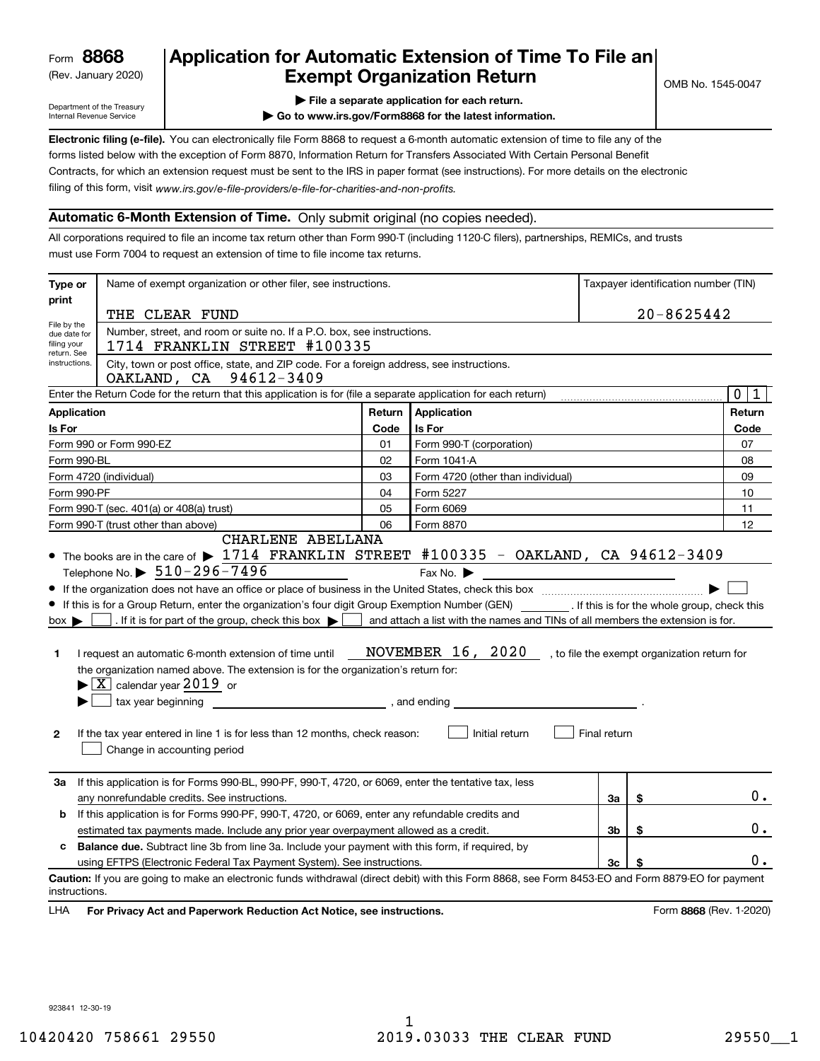(Rev. January 2020)

# **Application for Automatic Extension of Time To File an Exempt Organization Return**

Department of the Treasury Internal Revenue Service

**| File a separate application for each return.**

**| Go to www.irs.gov/Form8868 for the latest information.**

**Electronic filing (e-file).**  You can electronically file Form 8868 to request a 6-month automatic extension of time to file any of the filing of this form, visit www.irs.gov/e-file-providers/e-file-for-charities-and-non-profits. forms listed below with the exception of Form 8870, Information Return for Transfers Associated With Certain Personal Benefit Contracts, for which an extension request must be sent to the IRS in paper format (see instructions). For more details on the electronic

### **Automatic 6-Month Extension of Time.** Only submit original (no copies needed).

All corporations required to file an income tax return other than Form 990-T (including 1120-C filers), partnerships, REMICs, and trusts must use Form 7004 to request an extension of time to file income tax returns.

| Type or                      | Name of exempt organization or other filer, see instructions.                                                                                       | Taxpayer identification number (TIN) |                                                                                |              |    |                            |
|------------------------------|-----------------------------------------------------------------------------------------------------------------------------------------------------|--------------------------------------|--------------------------------------------------------------------------------|--------------|----|----------------------------|
| print                        | THE CLEAR FUND                                                                                                                                      | $20 - 8625442$                       |                                                                                |              |    |                            |
| File by the                  | Number, street, and room or suite no. If a P.O. box, see instructions.                                                                              |                                      |                                                                                |              |    |                            |
| due date for<br>filing your  | 1714 FRANKLIN STREET #100335                                                                                                                        |                                      |                                                                                |              |    |                            |
| return. See<br>instructions. | City, town or post office, state, and ZIP code. For a foreign address, see instructions.                                                            |                                      |                                                                                |              |    |                            |
|                              | OAKLAND, CA 94612-3409                                                                                                                              |                                      |                                                                                |              |    |                            |
|                              | Enter the Return Code for the return that this application is for (file a separate application for each return)                                     |                                      |                                                                                |              |    | $\mathbf 0$<br>$\mathbf 1$ |
| <b>Application</b>           |                                                                                                                                                     | Return                               | Application                                                                    |              |    | Return                     |
| Is For                       |                                                                                                                                                     | Code                                 | Is For                                                                         |              |    | Code                       |
|                              | Form 990 or Form 990-EZ                                                                                                                             | 01                                   | Form 990-T (corporation)                                                       |              |    | 07                         |
| Form 990-BL                  |                                                                                                                                                     | 02                                   | Form 1041-A                                                                    |              |    | 08                         |
|                              | Form 4720 (individual)                                                                                                                              | 03                                   | Form 4720 (other than individual)                                              |              |    | 09                         |
| Form 990-PF                  |                                                                                                                                                     | 04                                   | Form 5227                                                                      |              |    | 10                         |
|                              | Form 990-T (sec. 401(a) or 408(a) trust)                                                                                                            | 05                                   | Form 6069                                                                      |              |    | 11                         |
|                              | Form 990-T (trust other than above)                                                                                                                 | 06                                   | Form 8870                                                                      |              |    | 12                         |
|                              | CHARLENE ABELLANA<br>• The books are in the care of $\blacktriangleright$ 1714 FRANKLIN STREET #100335 - OAKLAND, CA 94612-3409                     |                                      |                                                                                |              |    |                            |
|                              | Telephone No. $\triangleright$ 510-296-7496                                                                                                         |                                      | Fax No. $\blacktriangleright$                                                  |              |    |                            |
|                              |                                                                                                                                                     |                                      |                                                                                |              |    |                            |
|                              | • If this is for a Group Return, enter the organization's four digit Group Exemption Number (GEN) [167]. If this is for the whole group, check this |                                      |                                                                                |              |    |                            |
| $box \blacktriangleright$    | . If it is for part of the group, check this box $\blacktriangleright$                                                                              |                                      | and attach a list with the names and TINs of all members the extension is for. |              |    |                            |
|                              |                                                                                                                                                     |                                      |                                                                                |              |    |                            |
| 1.                           | I request an automatic 6-month extension of time until                                                                                              |                                      | NOVEMBER 16, 2020, to file the exempt organization return for                  |              |    |                            |
|                              | the organization named above. The extension is for the organization's return for:                                                                   |                                      |                                                                                |              |    |                            |
|                              | $\blacktriangleright$ $\boxed{\text{X}}$ calendar year 2019 or                                                                                      |                                      |                                                                                |              |    |                            |
|                              |                                                                                                                                                     |                                      |                                                                                |              |    |                            |
| $\mathbf{2}$                 | If the tax year entered in line 1 is for less than 12 months, check reason:                                                                         |                                      | Initial return                                                                 | Final return |    |                            |
|                              | Change in accounting period                                                                                                                         |                                      |                                                                                |              |    |                            |
| За                           | If this application is for Forms 990-BL, 990-PF, 990-T, 4720, or 6069, enter the tentative tax, less                                                |                                      |                                                                                |              |    |                            |
|                              | any nonrefundable credits. See instructions.                                                                                                        |                                      |                                                                                | За           | \$ | 0.                         |
| b                            | If this application is for Forms 990-PF, 990-T, 4720, or 6069, enter any refundable credits and                                                     |                                      |                                                                                |              |    |                            |
|                              | estimated tax payments made. Include any prior year overpayment allowed as a credit.                                                                |                                      |                                                                                | 3b           | \$ | 0.                         |
| c                            | <b>Balance due.</b> Subtract line 3b from line 3a. Include your payment with this form, if required, by                                             |                                      |                                                                                |              |    |                            |
|                              | using EFTPS (Electronic Federal Tax Payment System). See instructions.                                                                              |                                      |                                                                                | 3c           | \$ | 0.                         |
| instructions.                | Caution: If you are going to make an electronic funds withdrawal (direct debit) with this Form 8868, see Form 8453-EO and Form 8879-EO for payment  |                                      |                                                                                |              |    |                            |
| LHA                          | For Privacy Act and Paperwork Reduction Act Notice, see instructions.                                                                               |                                      |                                                                                |              |    | Form 8868 (Rev. 1-2020)    |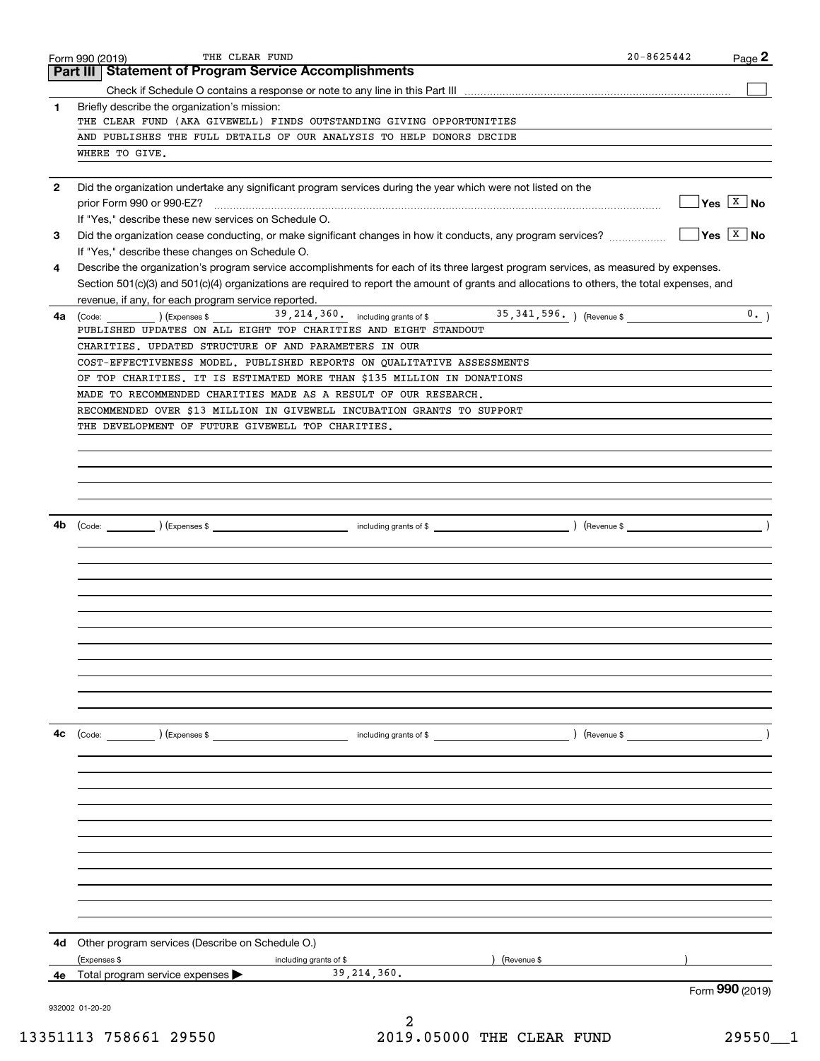|              | THE CLEAR FUND<br>Form 990 (2019)                                                                                                                                                                                                                | $20 - 8625442$ | Page 2                             |
|--------------|--------------------------------------------------------------------------------------------------------------------------------------------------------------------------------------------------------------------------------------------------|----------------|------------------------------------|
|              | <b>Statement of Program Service Accomplishments</b><br>Part III                                                                                                                                                                                  |                |                                    |
|              |                                                                                                                                                                                                                                                  |                |                                    |
| 1            | Briefly describe the organization's mission:                                                                                                                                                                                                     |                |                                    |
|              | THE CLEAR FUND (AKA GIVEWELL) FINDS OUTSTANDING GIVING OPPORTUNITIES                                                                                                                                                                             |                |                                    |
|              | AND PUBLISHES THE FULL DETAILS OF OUR ANALYSIS TO HELP DONORS DECIDE                                                                                                                                                                             |                |                                    |
|              | WHERE TO GIVE.                                                                                                                                                                                                                                   |                |                                    |
|              |                                                                                                                                                                                                                                                  |                |                                    |
| $\mathbf{2}$ | Did the organization undertake any significant program services during the year which were not listed on the                                                                                                                                     |                | $\Box$ Yes $\boxed{\texttt{X}}$ No |
|              |                                                                                                                                                                                                                                                  |                |                                    |
|              | If "Yes," describe these new services on Schedule O.                                                                                                                                                                                             |                | $Yes \ \boxed{X}$ No               |
| 3            | Did the organization cease conducting, or make significant changes in how it conducts, any program services?<br>If "Yes," describe these changes on Schedule O.                                                                                  |                |                                    |
| 4            | Describe the organization's program service accomplishments for each of its three largest program services, as measured by expenses.                                                                                                             |                |                                    |
|              | Section 501(c)(3) and 501(c)(4) organizations are required to report the amount of grants and allocations to others, the total expenses, and                                                                                                     |                |                                    |
|              | revenue, if any, for each program service reported.                                                                                                                                                                                              |                |                                    |
| 4a           | 39, 214, 360. including grants of \$25, 341, 596. The Revenue \$25, 341, 596. The Revenue \$2.<br>(Code: ) (Expenses \$                                                                                                                          |                | 0.                                 |
|              | PUBLISHED UPDATES ON ALL EIGHT TOP CHARITIES AND EIGHT STANDOUT                                                                                                                                                                                  |                |                                    |
|              | CHARITIES, UPDATED STRUCTURE OF AND PARAMETERS IN OUR                                                                                                                                                                                            |                |                                    |
|              | COST-EFFECTIVENESS MODEL. PUBLISHED REPORTS ON QUALITATIVE ASSESSMENTS                                                                                                                                                                           |                |                                    |
|              | OF TOP CHARITIES. IT IS ESTIMATED MORE THAN \$135 MILLION IN DONATIONS                                                                                                                                                                           |                |                                    |
|              | MADE TO RECOMMENDED CHARITIES MADE AS A RESULT OF OUR RESEARCH.                                                                                                                                                                                  |                |                                    |
|              | RECOMMENDED OVER \$13 MILLION IN GIVEWELL INCUBATION GRANTS TO SUPPORT                                                                                                                                                                           |                |                                    |
|              | THE DEVELOPMENT OF FUTURE GIVEWELL TOP CHARITIES.                                                                                                                                                                                                |                |                                    |
|              |                                                                                                                                                                                                                                                  |                |                                    |
|              |                                                                                                                                                                                                                                                  |                |                                    |
|              |                                                                                                                                                                                                                                                  |                |                                    |
|              |                                                                                                                                                                                                                                                  |                |                                    |
|              |                                                                                                                                                                                                                                                  |                |                                    |
| 4b           | (Code: (Code: ) (Expenses \$ contact a set of \$ code: ) (Revenue \$ code: ) (Revenue \$ code: ) (Revenue \$ code: $\sim$ ) (Revenue \$ code: $\sim$ ) (Revenue \$ code: $\sim$ ) (Revenue \$ code: $\sim$ 0.1 and $\sim$ 0.1 and $\sim$ 0.1 and |                |                                    |
|              |                                                                                                                                                                                                                                                  |                |                                    |
|              |                                                                                                                                                                                                                                                  |                |                                    |
|              |                                                                                                                                                                                                                                                  |                |                                    |
|              |                                                                                                                                                                                                                                                  |                |                                    |
|              |                                                                                                                                                                                                                                                  |                |                                    |
|              |                                                                                                                                                                                                                                                  |                |                                    |
|              |                                                                                                                                                                                                                                                  |                |                                    |
|              |                                                                                                                                                                                                                                                  |                |                                    |
|              |                                                                                                                                                                                                                                                  |                |                                    |
|              |                                                                                                                                                                                                                                                  |                |                                    |
|              |                                                                                                                                                                                                                                                  |                |                                    |
|              |                                                                                                                                                                                                                                                  |                |                                    |
| 4c           |                                                                                                                                                                                                                                                  |                |                                    |
|              |                                                                                                                                                                                                                                                  |                |                                    |
|              |                                                                                                                                                                                                                                                  |                |                                    |
|              |                                                                                                                                                                                                                                                  |                |                                    |
|              |                                                                                                                                                                                                                                                  |                |                                    |
|              |                                                                                                                                                                                                                                                  |                |                                    |
|              |                                                                                                                                                                                                                                                  |                |                                    |
|              |                                                                                                                                                                                                                                                  |                |                                    |
|              |                                                                                                                                                                                                                                                  |                |                                    |
|              |                                                                                                                                                                                                                                                  |                |                                    |
|              |                                                                                                                                                                                                                                                  |                |                                    |
|              |                                                                                                                                                                                                                                                  |                |                                    |
|              |                                                                                                                                                                                                                                                  |                |                                    |
| 4d -         | Other program services (Describe on Schedule O.)                                                                                                                                                                                                 |                |                                    |
|              | ) (Revenue \$<br>(Expenses \$<br>including grants of \$                                                                                                                                                                                          |                |                                    |
| 4е           | 39, 214, 360.<br>Total program service expenses                                                                                                                                                                                                  |                |                                    |
|              | 932002 01-20-20                                                                                                                                                                                                                                  |                | Form 990 (2019)                    |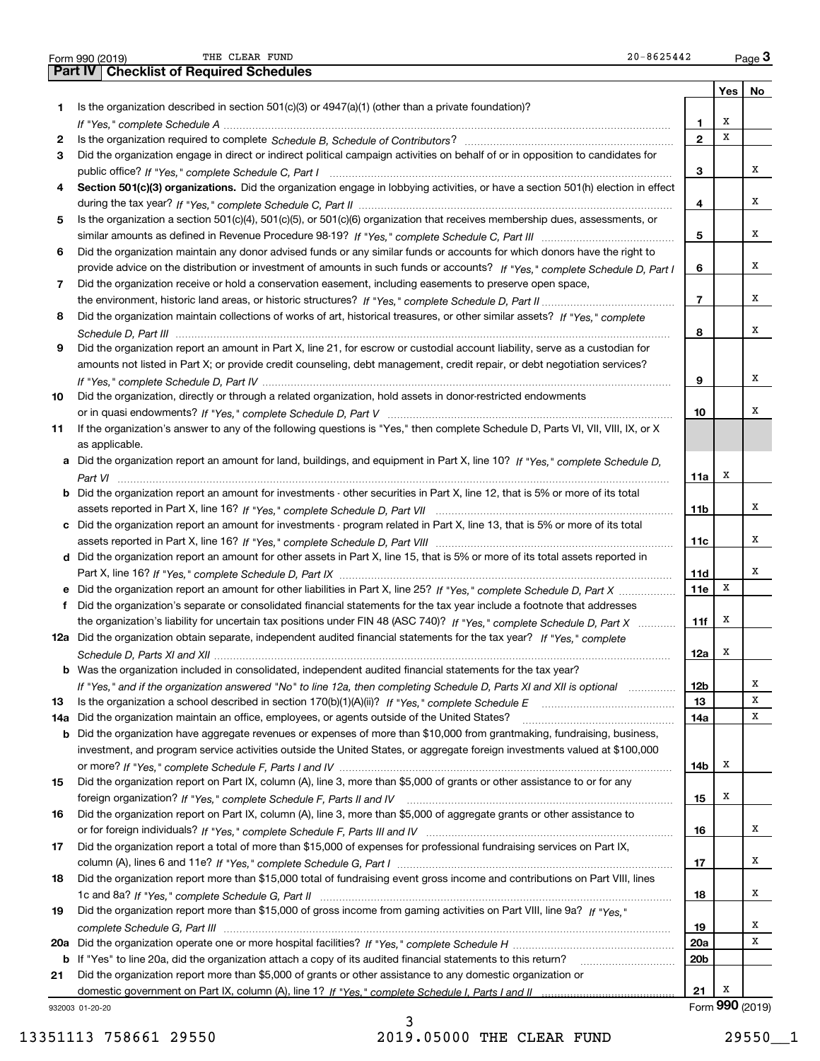|     | THE CLEAR FUND<br>20-8625442<br>Form 990 (2019)                                                                                       |                 |     | Page $3$        |
|-----|---------------------------------------------------------------------------------------------------------------------------------------|-----------------|-----|-----------------|
|     | <b>Part IV   Checklist of Required Schedules</b>                                                                                      |                 |     |                 |
|     |                                                                                                                                       |                 | Yes | No              |
| 1   | Is the organization described in section $501(c)(3)$ or $4947(a)(1)$ (other than a private foundation)?                               |                 |     |                 |
|     |                                                                                                                                       | 1               | х   |                 |
| 2   |                                                                                                                                       | $\mathbf{2}$    | х   |                 |
| 3   | Did the organization engage in direct or indirect political campaign activities on behalf of or in opposition to candidates for       |                 |     |                 |
|     |                                                                                                                                       | 3               |     | x               |
| 4   | Section 501(c)(3) organizations. Did the organization engage in lobbying activities, or have a section 501(h) election in effect      |                 |     |                 |
|     |                                                                                                                                       | 4               |     | x               |
| 5   | Is the organization a section 501(c)(4), 501(c)(5), or 501(c)(6) organization that receives membership dues, assessments, or          |                 |     |                 |
|     |                                                                                                                                       | 5               |     | x               |
| 6   | Did the organization maintain any donor advised funds or any similar funds or accounts for which donors have the right to             |                 |     |                 |
|     | provide advice on the distribution or investment of amounts in such funds or accounts? If "Yes," complete Schedule D, Part I          | 6               |     | x               |
| 7   | Did the organization receive or hold a conservation easement, including easements to preserve open space,                             |                 |     |                 |
|     |                                                                                                                                       | $\overline{7}$  |     | x               |
| 8   | Did the organization maintain collections of works of art, historical treasures, or other similar assets? If "Yes," complete          |                 |     |                 |
|     |                                                                                                                                       | 8               |     | x               |
| 9   | Did the organization report an amount in Part X, line 21, for escrow or custodial account liability, serve as a custodian for         |                 |     |                 |
|     | amounts not listed in Part X; or provide credit counseling, debt management, credit repair, or debt negotiation services?             |                 |     |                 |
|     |                                                                                                                                       | 9               |     | x               |
| 10  | Did the organization, directly or through a related organization, hold assets in donor-restricted endowments                          |                 |     |                 |
|     |                                                                                                                                       | 10              |     | X               |
| 11  | If the organization's answer to any of the following questions is "Yes," then complete Schedule D, Parts VI, VII, VIII, IX, or X      |                 |     |                 |
|     | as applicable.                                                                                                                        |                 |     |                 |
|     | a Did the organization report an amount for land, buildings, and equipment in Part X, line 10? If "Yes," complete Schedule D,         |                 |     |                 |
|     |                                                                                                                                       | 11a             | х   |                 |
|     | <b>b</b> Did the organization report an amount for investments - other securities in Part X, line 12, that is 5% or more of its total |                 |     |                 |
|     |                                                                                                                                       | 11 <sub>b</sub> |     | х               |
|     | c Did the organization report an amount for investments - program related in Part X, line 13, that is 5% or more of its total         |                 |     |                 |
|     |                                                                                                                                       | 11c             |     | х               |
|     | d Did the organization report an amount for other assets in Part X, line 15, that is 5% or more of its total assets reported in       |                 |     |                 |
|     |                                                                                                                                       | 11d             |     | х               |
|     | e Did the organization report an amount for other liabilities in Part X, line 25? If "Yes," complete Schedule D, Part X               | 11e             | X   |                 |
| f   | Did the organization's separate or consolidated financial statements for the tax year include a footnote that addresses               |                 |     |                 |
|     | the organization's liability for uncertain tax positions under FIN 48 (ASC 740)? If "Yes," complete Schedule D, Part X                | 11f             | х   |                 |
|     | 12a Did the organization obtain separate, independent audited financial statements for the tax year? If "Yes," complete               |                 |     |                 |
|     |                                                                                                                                       | 12a             | x   |                 |
|     | <b>b</b> Was the organization included in consolidated, independent audited financial statements for the tax year?                    |                 |     |                 |
|     | If "Yes," and if the organization answered "No" to line 12a, then completing Schedule D, Parts XI and XII is optional                 | 12 <sub>b</sub> |     | x               |
| 13  |                                                                                                                                       | 13              |     | X               |
| 14a | Did the organization maintain an office, employees, or agents outside of the United States?                                           | 14a             |     | X               |
| b   | Did the organization have aggregate revenues or expenses of more than \$10,000 from grantmaking, fundraising, business,               |                 |     |                 |
|     | investment, and program service activities outside the United States, or aggregate foreign investments valued at \$100,000            |                 |     |                 |
|     |                                                                                                                                       | 14b             | x   |                 |
| 15  | Did the organization report on Part IX, column (A), line 3, more than \$5,000 of grants or other assistance to or for any             |                 |     |                 |
|     |                                                                                                                                       | 15              | x   |                 |
| 16  | Did the organization report on Part IX, column (A), line 3, more than \$5,000 of aggregate grants or other assistance to              |                 |     |                 |
|     |                                                                                                                                       | 16              |     | x               |
| 17  | Did the organization report a total of more than \$15,000 of expenses for professional fundraising services on Part IX,               |                 |     |                 |
|     |                                                                                                                                       | 17              |     | x               |
| 18  | Did the organization report more than \$15,000 total of fundraising event gross income and contributions on Part VIII, lines          |                 |     |                 |
|     |                                                                                                                                       | 18              |     | x               |
| 19  | Did the organization report more than \$15,000 of gross income from gaming activities on Part VIII, line 9a? If "Yes."                |                 |     |                 |
|     |                                                                                                                                       | 19              |     | x               |
|     |                                                                                                                                       | 20a             |     | X               |
|     | b If "Yes" to line 20a, did the organization attach a copy of its audited financial statements to this return?                        | 20 <sub>b</sub> |     |                 |
| 21  | Did the organization report more than \$5,000 of grants or other assistance to any domestic organization or                           |                 |     |                 |
|     |                                                                                                                                       | 21              | х   |                 |
|     | 932003 01-20-20                                                                                                                       |                 |     | Form 990 (2019) |

932003 01-20-20

13351113 758661 29550 2019.05000 THE CLEAR FUND 29550 29550

3

THE CLEAR FUND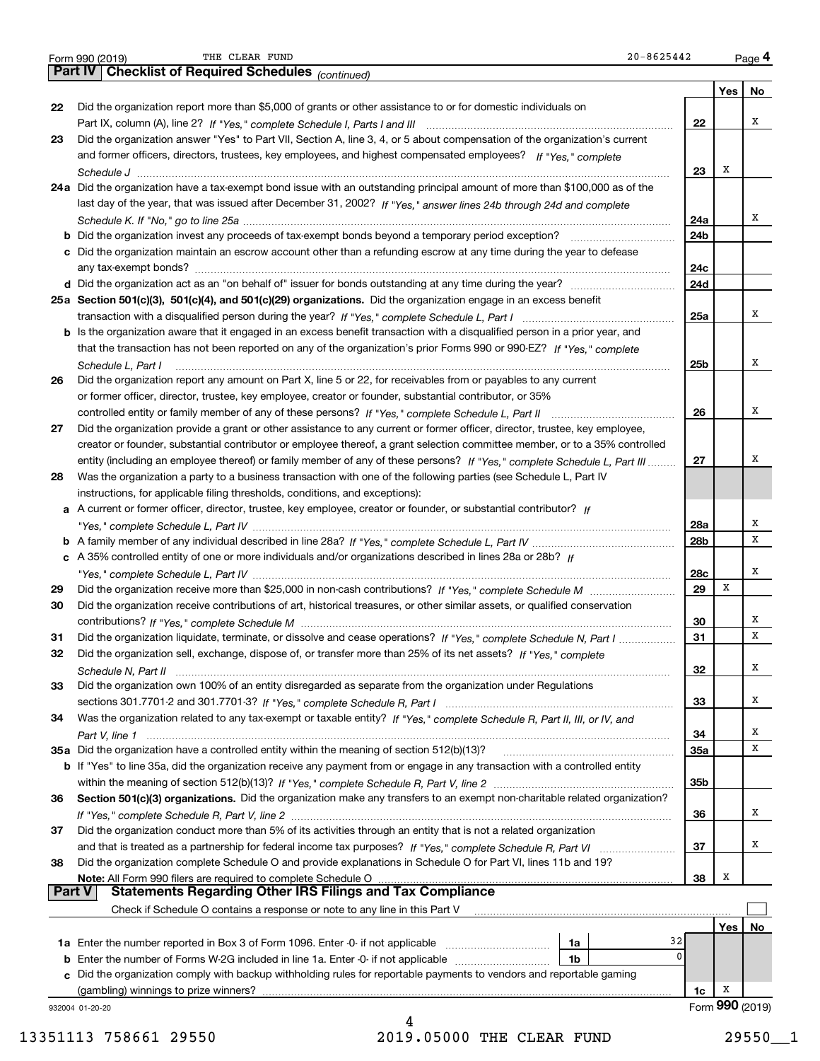|  | Form 990 (2019) |  |
|--|-----------------|--|
|  |                 |  |

|               | $20 - 8625442$<br>THE CLEAR FUND<br>Form 990 (2019)                                                                                |                 |     | Page 4          |
|---------------|------------------------------------------------------------------------------------------------------------------------------------|-----------------|-----|-----------------|
|               | Part IV   Checklist of Required Schedules (continued)                                                                              |                 |     |                 |
|               |                                                                                                                                    |                 | Yes | No              |
| 22            | Did the organization report more than \$5,000 of grants or other assistance to or for domestic individuals on                      |                 |     |                 |
|               |                                                                                                                                    | 22              |     | х               |
| 23            | Did the organization answer "Yes" to Part VII, Section A, line 3, 4, or 5 about compensation of the organization's current         |                 |     |                 |
|               | and former officers, directors, trustees, key employees, and highest compensated employees? If "Yes," complete                     |                 |     |                 |
|               |                                                                                                                                    | 23              | x   |                 |
|               | 24a Did the organization have a tax-exempt bond issue with an outstanding principal amount of more than \$100,000 as of the        |                 |     |                 |
|               | last day of the year, that was issued after December 31, 2002? If "Yes," answer lines 24b through 24d and complete                 |                 |     |                 |
|               |                                                                                                                                    | 24a             |     | x               |
|               |                                                                                                                                    | 24 <sub>b</sub> |     |                 |
|               | c Did the organization maintain an escrow account other than a refunding escrow at any time during the year to defease             |                 |     |                 |
|               |                                                                                                                                    | 24c             |     |                 |
|               |                                                                                                                                    | 24d             |     |                 |
|               | 25a Section 501(c)(3), 501(c)(4), and 501(c)(29) organizations. Did the organization engage in an excess benefit                   |                 |     |                 |
|               |                                                                                                                                    | 25a             |     | х               |
|               | b Is the organization aware that it engaged in an excess benefit transaction with a disqualified person in a prior year, and       |                 |     |                 |
|               | that the transaction has not been reported on any of the organization's prior Forms 990 or 990-EZ? If "Yes," complete              |                 |     |                 |
|               | Schedule L, Part I                                                                                                                 | 25b             |     | х               |
| 26            | Did the organization report any amount on Part X, line 5 or 22, for receivables from or payables to any current                    |                 |     |                 |
|               | or former officer, director, trustee, key employee, creator or founder, substantial contributor, or 35%                            |                 |     |                 |
|               |                                                                                                                                    | 26              |     | x               |
| 27            | Did the organization provide a grant or other assistance to any current or former officer, director, trustee, key employee,        |                 |     |                 |
|               | creator or founder, substantial contributor or employee thereof, a grant selection committee member, or to a 35% controlled        |                 |     |                 |
|               | entity (including an employee thereof) or family member of any of these persons? If "Yes," complete Schedule L, Part III           | 27              |     | х               |
| 28            | Was the organization a party to a business transaction with one of the following parties (see Schedule L, Part IV                  |                 |     |                 |
|               | instructions, for applicable filing thresholds, conditions, and exceptions):                                                       |                 |     |                 |
|               | a A current or former officer, director, trustee, key employee, creator or founder, or substantial contributor? If                 |                 |     |                 |
|               |                                                                                                                                    | 28a             |     | х               |
|               |                                                                                                                                    | 28 <sub>b</sub> |     | x               |
|               | c A 35% controlled entity of one or more individuals and/or organizations described in lines 28a or 28b? If                        |                 |     |                 |
|               |                                                                                                                                    | 28c             |     | x               |
| 29            |                                                                                                                                    | 29              | X   |                 |
| 30            | Did the organization receive contributions of art, historical treasures, or other similar assets, or qualified conservation        |                 |     |                 |
|               |                                                                                                                                    | 30              |     | х               |
| 31            | Did the organization liquidate, terminate, or dissolve and cease operations? If "Yes," complete Schedule N, Part I                 | 31              |     | х               |
| 32            | Did the organization sell, exchange, dispose of, or transfer more than 25% of its net assets? If "Yes," complete                   |                 |     |                 |
|               |                                                                                                                                    | 32              |     | х               |
| 33            | Did the organization own 100% of an entity disregarded as separate from the organization under Regulations                         |                 |     |                 |
|               |                                                                                                                                    | 33              |     | х               |
| 34            | Was the organization related to any tax-exempt or taxable entity? If "Yes," complete Schedule R, Part II, III, or IV, and          |                 |     |                 |
|               |                                                                                                                                    | 34              |     | Х               |
|               | 35a Did the organization have a controlled entity within the meaning of section 512(b)(13)?                                        | <b>35a</b>      |     | х               |
|               | <b>b</b> If "Yes" to line 35a, did the organization receive any payment from or engage in any transaction with a controlled entity |                 |     |                 |
|               |                                                                                                                                    | 35b             |     |                 |
| 36            | Section 501(c)(3) organizations. Did the organization make any transfers to an exempt non-charitable related organization?         |                 |     |                 |
|               |                                                                                                                                    | 36              |     | х               |
| 37            | Did the organization conduct more than 5% of its activities through an entity that is not a related organization                   |                 |     |                 |
|               |                                                                                                                                    | 37              |     | х               |
| 38            | Did the organization complete Schedule O and provide explanations in Schedule O for Part VI, lines 11b and 19?                     |                 | X   |                 |
| <b>Part V</b> |                                                                                                                                    | 38              |     |                 |
|               | Check if Schedule O contains a response or note to any line in this Part V                                                         |                 |     |                 |
|               |                                                                                                                                    |                 | Yes | No              |
|               | 32<br>1a                                                                                                                           |                 |     |                 |
|               | $\mathbf{0}$<br><b>b</b> Enter the number of Forms W-2G included in line 1a. Enter -0- if not applicable<br>1b                     |                 |     |                 |
|               | c Did the organization comply with backup withholding rules for reportable payments to vendors and reportable gaming               |                 |     |                 |
|               | (gambling) winnings to prize winners?                                                                                              | 1c              | х   |                 |
|               | 932004 01-20-20                                                                                                                    |                 |     | Form 990 (2019) |
|               | 4                                                                                                                                  |                 |     |                 |

13351113 758661 29550 2019.05000 THE CLEAR FUND 29550\_\_1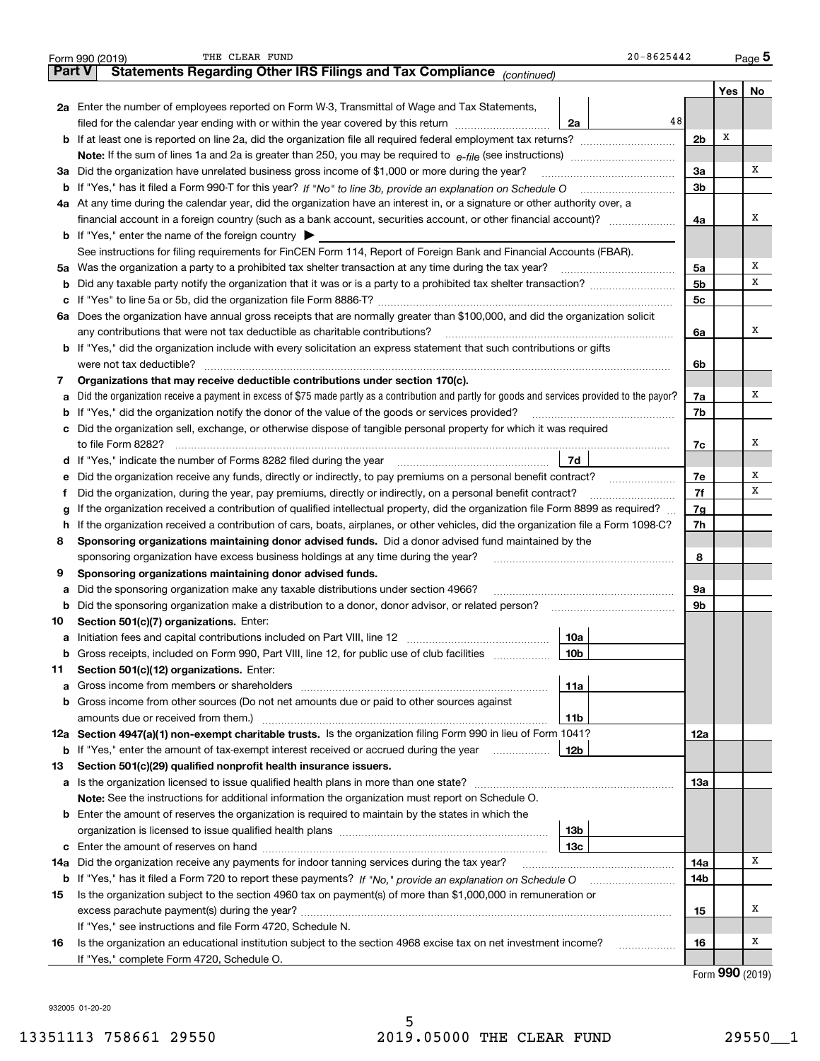|        | $20 - 8625442$<br>THE CLEAR FUND<br>Form 990 (2019)                                                                                             |                |     | $_{\text{Page}}$ 5 |
|--------|-------------------------------------------------------------------------------------------------------------------------------------------------|----------------|-----|--------------------|
| Part V | Statements Regarding Other IRS Filings and Tax Compliance (continued)                                                                           |                |     |                    |
|        |                                                                                                                                                 |                | Yes | No                 |
|        | 2a Enter the number of employees reported on Form W-3, Transmittal of Wage and Tax Statements,                                                  |                |     |                    |
|        | 48<br>filed for the calendar year ending with or within the year covered by this return<br>2a                                                   |                |     |                    |
|        | <b>b</b> If at least one is reported on line 2a, did the organization file all required federal employment tax returns?                         | 2 <sub>b</sub> | Х   |                    |
|        | Note: If the sum of lines 1a and 2a is greater than 250, you may be required to $e$ -file (see instructions) <i>marrourching</i>                |                |     |                    |
|        | 3a Did the organization have unrelated business gross income of \$1,000 or more during the year?                                                | 3a             |     | х                  |
|        | b If "Yes," has it filed a Form 990-T for this year? If "No" to line 3b, provide an explanation on Schedule O                                   | 3 <sub>b</sub> |     |                    |
|        | 4a At any time during the calendar year, did the organization have an interest in, or a signature or other authority over, a                    |                |     |                    |
|        | financial account in a foreign country (such as a bank account, securities account, or other financial account)?                                | 4a             |     | х                  |
|        | <b>b</b> If "Yes," enter the name of the foreign country $\triangleright$                                                                       |                |     |                    |
|        | See instructions for filing requirements for FinCEN Form 114, Report of Foreign Bank and Financial Accounts (FBAR).                             |                |     |                    |
|        | 5a Was the organization a party to a prohibited tax shelter transaction at any time during the tax year?                                        | 5a             |     | х                  |
|        |                                                                                                                                                 | 5 <sub>b</sub> |     | х                  |
|        |                                                                                                                                                 | 5c             |     |                    |
|        | 6a Does the organization have annual gross receipts that are normally greater than \$100,000, and did the organization solicit                  |                |     |                    |
|        | any contributions that were not tax deductible as charitable contributions?                                                                     | 6a             |     | x                  |
|        | <b>b</b> If "Yes," did the organization include with every solicitation an express statement that such contributions or gifts                   |                |     |                    |
|        | were not tax deductible?                                                                                                                        | 6b             |     |                    |
| 7      | Organizations that may receive deductible contributions under section 170(c).                                                                   |                |     |                    |
| а      | Did the organization receive a payment in excess of \$75 made partly as a contribution and partly for goods and services provided to the payor? | 7a             |     | х                  |
|        | <b>b</b> If "Yes," did the organization notify the donor of the value of the goods or services provided?                                        | 7b             |     |                    |
|        | c Did the organization sell, exchange, or otherwise dispose of tangible personal property for which it was required                             |                |     |                    |
|        | to file Form 8282?                                                                                                                              |                |     | x                  |
|        | 7d                                                                                                                                              | 7c             |     |                    |
|        |                                                                                                                                                 | 7e             |     | х                  |
| е      | Did the organization receive any funds, directly or indirectly, to pay premiums on a personal benefit contract?                                 | 7f             |     | х                  |
| Ť.     | Did the organization, during the year, pay premiums, directly or indirectly, on a personal benefit contract?                                    |                |     |                    |
| g      | If the organization received a contribution of qualified intellectual property, did the organization file Form 8899 as required?                | 7g             |     |                    |
| h.     | If the organization received a contribution of cars, boats, airplanes, or other vehicles, did the organization file a Form 1098-C?              | 7h             |     |                    |
| 8      | Sponsoring organizations maintaining donor advised funds. Did a donor advised fund maintained by the                                            |                |     |                    |
|        | sponsoring organization have excess business holdings at any time during the year?                                                              | 8              |     |                    |
| 9      | Sponsoring organizations maintaining donor advised funds.                                                                                       |                |     |                    |
| а      | Did the sponsoring organization make any taxable distributions under section 4966?                                                              | 9а             |     |                    |
| b      | Did the sponsoring organization make a distribution to a donor, donor advisor, or related person?                                               | 9b             |     |                    |
| 10     | Section 501(c)(7) organizations. Enter:                                                                                                         |                |     |                    |
|        | 10a                                                                                                                                             |                |     |                    |
| b      | Gross receipts, included on Form 990, Part VIII, line 12, for public use of club facilities<br>10b                                              |                |     |                    |
| 11     | Section 501(c)(12) organizations. Enter:                                                                                                        |                |     |                    |
| а      | 11a                                                                                                                                             |                |     |                    |
| b      | Gross income from other sources (Do not net amounts due or paid to other sources against                                                        |                |     |                    |
|        | amounts due or received from them.)<br>11b                                                                                                      |                |     |                    |
|        | 12a Section 4947(a)(1) non-exempt charitable trusts. Is the organization filing Form 990 in lieu of Form 1041?                                  | 12a            |     |                    |
| b      | If "Yes," enter the amount of tax-exempt interest received or accrued during the year<br>12b                                                    |                |     |                    |
| 13     | Section 501(c)(29) qualified nonprofit health insurance issuers.                                                                                |                |     |                    |
|        |                                                                                                                                                 | 13а            |     |                    |
|        | Note: See the instructions for additional information the organization must report on Schedule O.                                               |                |     |                    |
|        | <b>b</b> Enter the amount of reserves the organization is required to maintain by the states in which the                                       |                |     |                    |
|        | 13 <sub>b</sub>                                                                                                                                 |                |     |                    |
|        | 13с                                                                                                                                             |                |     |                    |
| 14a    | Did the organization receive any payments for indoor tanning services during the tax year?                                                      | 14a            |     | х                  |
| b      |                                                                                                                                                 | 14b            |     |                    |
| 15     | Is the organization subject to the section 4960 tax on payment(s) of more than \$1,000,000 in remuneration or                                   |                |     |                    |
|        |                                                                                                                                                 | 15             |     | х                  |
|        | If "Yes," see instructions and file Form 4720, Schedule N.                                                                                      |                |     |                    |
| 16     | Is the organization an educational institution subject to the section 4968 excise tax on net investment income?<br>.                            | 16             |     | х                  |
|        | If "Yes," complete Form 4720, Schedule O.                                                                                                       |                |     |                    |

Form (2019) **990**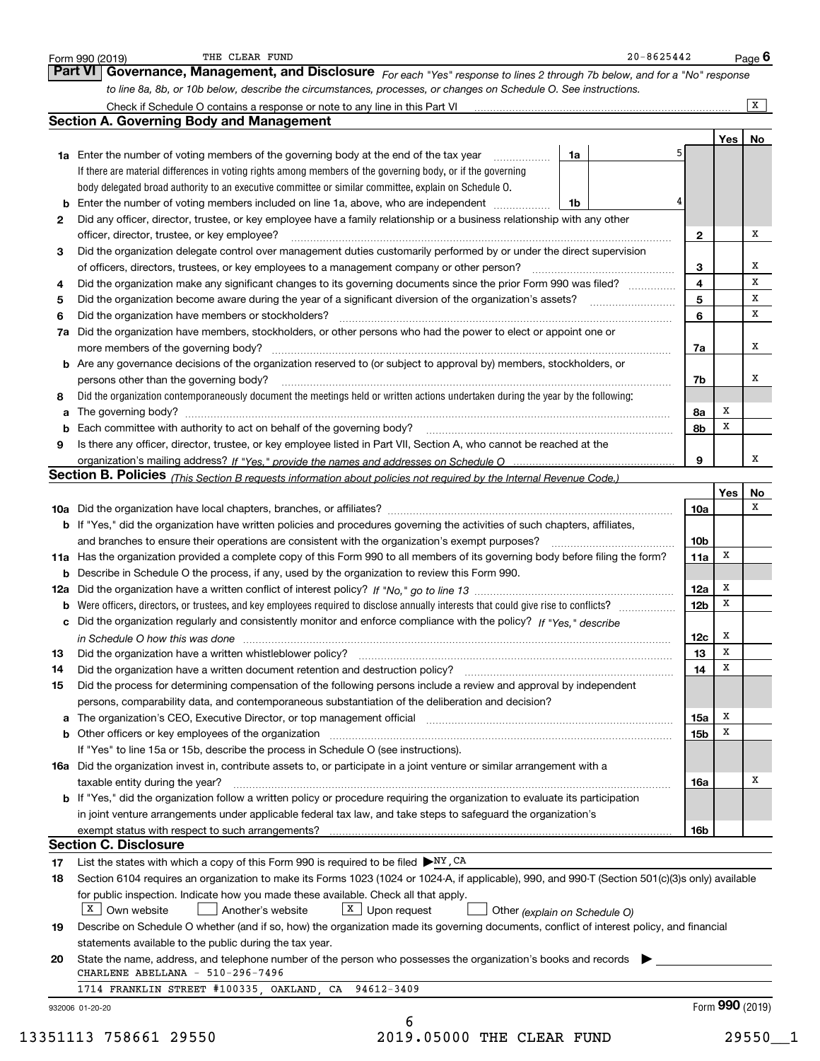|    | to line 8a, 8b, or 10b below, describe the circumstances, processes, or changes on Schedule O. See instructions.                                                                                                                           |                 |     |          |
|----|--------------------------------------------------------------------------------------------------------------------------------------------------------------------------------------------------------------------------------------------|-----------------|-----|----------|
|    | Check if Schedule O contains a response or note to any line in this Part VI [11] [12] Check if Schedule O contains a response or note to any line in this Part VI                                                                          |                 |     | X        |
|    | <b>Section A. Governing Body and Management</b>                                                                                                                                                                                            |                 |     |          |
|    |                                                                                                                                                                                                                                            |                 |     | Yes   No |
|    | 1a<br><b>1a</b> Enter the number of voting members of the governing body at the end of the tax year <i>manumum</i>                                                                                                                         |                 |     |          |
|    | If there are material differences in voting rights among members of the governing body, or if the governing                                                                                                                                |                 |     |          |
|    | body delegated broad authority to an executive committee or similar committee, explain on Schedule O.                                                                                                                                      |                 |     |          |
|    | 1b                                                                                                                                                                                                                                         |                 |     |          |
| 2  | Did any officer, director, trustee, or key employee have a family relationship or a business relationship with any other                                                                                                                   |                 |     | x        |
|    | officer, director, trustee, or key employee?                                                                                                                                                                                               | $\mathbf{2}$    |     |          |
| 3  | Did the organization delegate control over management duties customarily performed by or under the direct supervision                                                                                                                      |                 |     | х        |
|    |                                                                                                                                                                                                                                            | 3               |     | х        |
| 4  | Did the organization make any significant changes to its governing documents since the prior Form 990 was filed?                                                                                                                           | 4<br>5          |     | х        |
| 5  |                                                                                                                                                                                                                                            | 6               |     | х        |
| 6  | Did the organization have members or stockholders?                                                                                                                                                                                         |                 |     |          |
|    | 7a Did the organization have members, stockholders, or other persons who had the power to elect or appoint one or                                                                                                                          |                 |     | x        |
|    |                                                                                                                                                                                                                                            | 7a              |     |          |
|    | b Are any governance decisions of the organization reserved to (or subject to approval by) members, stockholders, or                                                                                                                       |                 |     | x        |
|    | persons other than the governing body?                                                                                                                                                                                                     | 7b              |     |          |
| 8  | Did the organization contemporaneously document the meetings held or written actions undertaken during the year by the following:                                                                                                          |                 | x   |          |
| а  |                                                                                                                                                                                                                                            | 8a              | x   |          |
|    |                                                                                                                                                                                                                                            | 8b              |     |          |
| 9  | Is there any officer, director, trustee, or key employee listed in Part VII, Section A, who cannot be reached at the                                                                                                                       |                 |     | x        |
|    |                                                                                                                                                                                                                                            | 9               |     |          |
|    | Section B. Policies (This Section B requests information about policies not required by the Internal Revenue Code.)                                                                                                                        |                 | Yes | No       |
|    |                                                                                                                                                                                                                                            | 10a             |     | x        |
|    |                                                                                                                                                                                                                                            |                 |     |          |
|    | b If "Yes," did the organization have written policies and procedures governing the activities of such chapters, affiliates,<br>and branches to ensure their operations are consistent with the organization's exempt purposes?            | 10 <sub>b</sub> |     |          |
|    | 11a Has the organization provided a complete copy of this Form 990 to all members of its governing body before filing the form?                                                                                                            | 11a             | x   |          |
|    | <b>b</b> Describe in Schedule O the process, if any, used by the organization to review this Form 990.                                                                                                                                     |                 |     |          |
|    |                                                                                                                                                                                                                                            | 12a             | x   |          |
|    |                                                                                                                                                                                                                                            | 12 <sub>b</sub> | x   |          |
|    | c Did the organization regularly and consistently monitor and enforce compliance with the policy? If "Yes." describe                                                                                                                       |                 |     |          |
|    |                                                                                                                                                                                                                                            | 12c             | x   |          |
| 13 | in Schedule O how this was done manufactured and continuum control of the Schedule O how this was done manufactured and continuum control of the Schedule O how this was done<br>Did the organization have a written whistleblower policy? | 13              | x   |          |
| 14 | Did the organization have a written document retention and destruction policy? [11] manufaction policy? [11] manufaction policy? [11] manufaction policy? [11] manufaction policy? [11] manufaction policy? [11] manufaction p             | 14              | x   |          |
| 15 | Did the process for determining compensation of the following persons include a review and approval by independent                                                                                                                         |                 |     |          |
|    | persons, comparability data, and contemporaneous substantiation of the deliberation and decision?                                                                                                                                          |                 |     |          |
|    | a The organization's CEO, Executive Director, or top management official [11] [12] The organization's CEO, Executive Director, or top management official [12] [12] [12] [12] The organization's CEO, Executive Director, or t             | 15a             | х   |          |
|    | b Other officers or key employees of the organization manufactured content to the organization manufactured by Other officers or key employees of the organization manufactured content of the organization manufactured by Ot             | 15b             | X   |          |
|    | If "Yes" to line 15a or 15b, describe the process in Schedule O (see instructions).                                                                                                                                                        |                 |     |          |
|    | 16a Did the organization invest in, contribute assets to, or participate in a joint venture or similar arrangement with a                                                                                                                  |                 |     |          |
|    | taxable entity during the year?                                                                                                                                                                                                            | 16a             |     | х        |
|    | b If "Yes," did the organization follow a written policy or procedure requiring the organization to evaluate its participation                                                                                                             |                 |     |          |
|    | in joint venture arrangements under applicable federal tax law, and take steps to safeguard the organization's                                                                                                                             |                 |     |          |
|    |                                                                                                                                                                                                                                            | 16b             |     |          |
|    |                                                                                                                                                                                                                                            |                 |     |          |
|    |                                                                                                                                                                                                                                            |                 |     |          |
|    | <b>Section C. Disclosure</b>                                                                                                                                                                                                               |                 |     |          |
| 17 | List the states with which a copy of this Form 990 is required to be filed $\blacktriangleright$ NY, CA                                                                                                                                    |                 |     |          |
| 18 | Section 6104 requires an organization to make its Forms 1023 (1024 or 1024-A, if applicable), 990, and 990-T (Section 501(c)(3)s only) available                                                                                           |                 |     |          |
|    | for public inspection. Indicate how you made these available. Check all that apply.                                                                                                                                                        |                 |     |          |
|    | $X$ Own website<br>$X$ Upon request<br>Another's website<br>Other (explain on Schedule O)                                                                                                                                                  |                 |     |          |
| 19 | Describe on Schedule O whether (and if so, how) the organization made its governing documents, conflict of interest policy, and financial                                                                                                  |                 |     |          |
|    | statements available to the public during the tax year.                                                                                                                                                                                    |                 |     |          |
| 20 | State the name, address, and telephone number of the person who possesses the organization's books and records                                                                                                                             |                 |     |          |
|    | CHARLENE ABELLANA - 510-296-7496<br>1714 FRANKLIN STREET #100335, OAKLAND, CA 94612-3409                                                                                                                                                   |                 |     |          |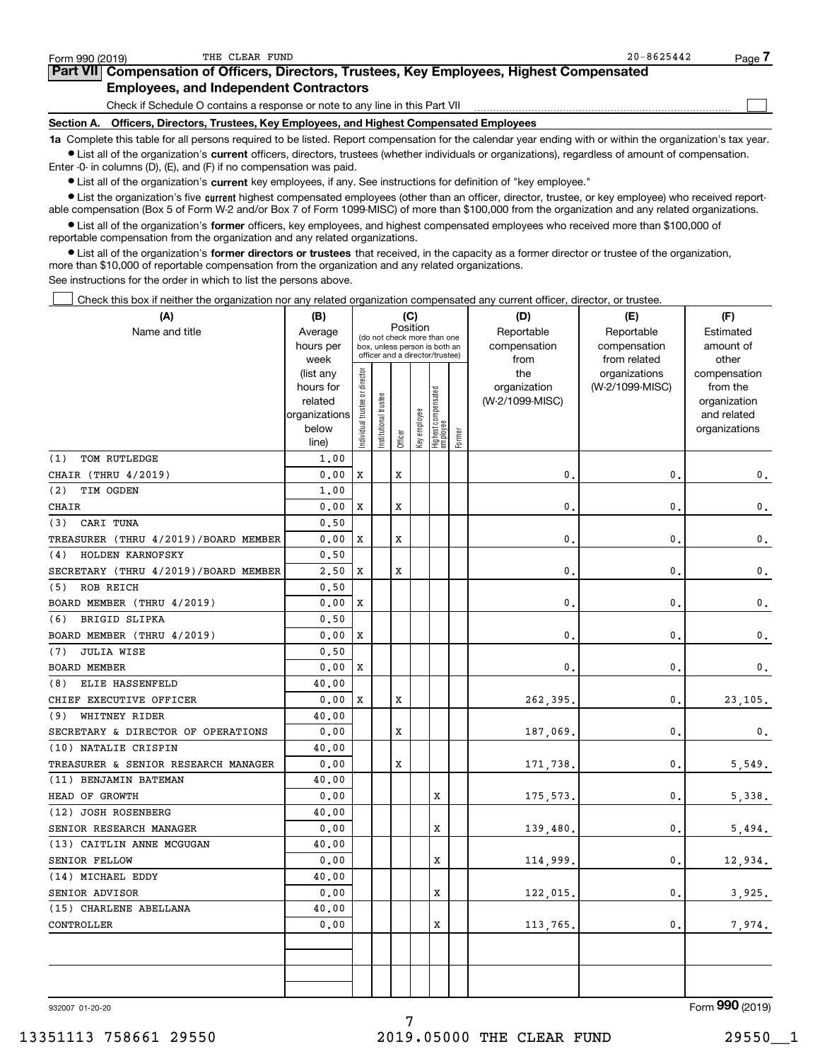| Form 990 (2019)                                                                                                                                            | THE CLEAR FUND                                                                  | $20 - 8625442$ | Page |  |  |  |  |  |  |
|------------------------------------------------------------------------------------------------------------------------------------------------------------|---------------------------------------------------------------------------------|----------------|------|--|--|--|--|--|--|
| Part VII Compensation of Officers, Directors, Trustees, Key Employees, Highest Compensated                                                                 |                                                                                 |                |      |  |  |  |  |  |  |
| <b>Employees, and Independent Contractors</b>                                                                                                              |                                                                                 |                |      |  |  |  |  |  |  |
|                                                                                                                                                            | Check if Schedule O contains a response or note to any line in this Part VII    |                |      |  |  |  |  |  |  |
| Section A.                                                                                                                                                 | Officers, Directors, Trustees, Key Employees, and Highest Compensated Employees |                |      |  |  |  |  |  |  |
| 1a Complete this table for all persons required to be listed. Report compensation for the calendar year ending with or within the organization's tax year. |                                                                                 |                |      |  |  |  |  |  |  |

**•** List all of the organization's current officers, directors, trustees (whether individuals or organizations), regardless of amount of compensation. Enter -0- in columns (D), (E), and (F) if no compensation was paid.

 $\bullet$  List all of the organization's  $\,$ current key employees, if any. See instructions for definition of "key employee."

**•** List the organization's five current highest compensated employees (other than an officer, director, trustee, or key employee) who received reportable compensation (Box 5 of Form W-2 and/or Box 7 of Form 1099-MISC) of more than \$100,000 from the organization and any related organizations.

**•** List all of the organization's former officers, key employees, and highest compensated employees who received more than \$100,000 of reportable compensation from the organization and any related organizations.

**former directors or trustees**  ¥ List all of the organization's that received, in the capacity as a former director or trustee of the organization, more than \$10,000 of reportable compensation from the organization and any related organizations.

See instructions for the order in which to list the persons above.

Check this box if neither the organization nor any related organization compensated any current officer, director, or trustee.  $\mathcal{L}^{\text{max}}$ 

| (A)                                  | (C)<br>(B)        |                                                                          |                 |             |              |                                 |        | (D)             | (E)                           | (F)                   |
|--------------------------------------|-------------------|--------------------------------------------------------------------------|-----------------|-------------|--------------|---------------------------------|--------|-----------------|-------------------------------|-----------------------|
| Name and title                       | Average           | Position<br>(do not check more than one<br>box, unless person is both an |                 |             |              |                                 |        | Reportable      | Reportable                    | Estimated             |
|                                      | hours per         |                                                                          |                 |             |              | officer and a director/trustee) |        | compensation    | compensation                  | amount of             |
|                                      | week<br>(list any |                                                                          |                 |             |              |                                 |        | from<br>the     | from related<br>organizations | other<br>compensation |
|                                      | hours for         |                                                                          |                 |             |              |                                 |        | organization    | (W-2/1099-MISC)               | from the              |
|                                      | related           |                                                                          | trustee         |             |              |                                 |        | (W-2/1099-MISC) |                               | organization          |
|                                      | organizations     |                                                                          |                 |             |              |                                 |        |                 |                               | and related           |
|                                      | below             | ndividual trustee or director                                            | Institutional t |             | Key employee | Highest compensated<br>employee |        |                 |                               | organizations         |
|                                      | line)             |                                                                          |                 | Officer     |              |                                 | Former |                 |                               |                       |
| TOM RUTLEDGE<br>(1)                  | 1,00              |                                                                          |                 |             |              |                                 |        |                 |                               |                       |
| CHAIR (THRU 4/2019)                  | 0.00              | X                                                                        |                 | $\mathbf x$ |              |                                 |        | 0.              | $\mathbf{0}$                  | 0.                    |
| (2)<br>TIM OGDEN                     | 1.00              |                                                                          |                 |             |              |                                 |        |                 |                               |                       |
| CHAIR                                | 0.00              | X                                                                        |                 | X           |              |                                 |        | $\mathbf{0}$    | $\mathbf{0}$                  | $\mathbf 0$ .         |
| CARI TUNA<br>(3)                     | 0.50              |                                                                          |                 |             |              |                                 |        |                 |                               |                       |
| TREASURER (THRU 4/2019)/BOARD MEMBER | 0.00              | X                                                                        |                 | X           |              |                                 |        | $\mathbf{0}$    | $\mathbf{0}$                  | $\mathbf 0$ .         |
| HOLDEN KARNOFSKY<br>(4)              | 0.50              |                                                                          |                 |             |              |                                 |        |                 |                               |                       |
| SECRETARY (THRU 4/2019)/BOARD MEMBER | 2,50              | X                                                                        |                 | X           |              |                                 |        | $\mathbf{0}$    | $\mathbf 0$                   | 0.                    |
| (5) ROB REICH                        | 0.50              |                                                                          |                 |             |              |                                 |        |                 |                               |                       |
| BOARD MEMBER (THRU 4/2019)           | 0.00              | X                                                                        |                 |             |              |                                 |        | 0.              | $\mathbf{0}$                  | $\mathbf{0}$ .        |
| <b>BRIGID SLIPKA</b><br>(6)          | 0.50              |                                                                          |                 |             |              |                                 |        |                 |                               |                       |
| BOARD MEMBER (THRU 4/2019)           | 0.00              | x                                                                        |                 |             |              |                                 |        | $\mathbf{0}$    | $\mathbf 0$                   | 0.                    |
| <b>JULIA WISE</b><br>(7)             | 0.50              |                                                                          |                 |             |              |                                 |        |                 |                               |                       |
| <b>BOARD MEMBER</b>                  | 0.00              | X                                                                        |                 |             |              |                                 |        | 0.              | $\mathbf{0}$                  | 0.                    |
| (8) ELIE HASSENFELD                  | 40.00             |                                                                          |                 |             |              |                                 |        |                 |                               |                       |
| CHIEF EXECUTIVE OFFICER              | 0.00              | X                                                                        |                 | X           |              |                                 |        | 262,395,        | 0                             | 23,105.               |
| (9) WHITNEY RIDER                    | 40.00             |                                                                          |                 |             |              |                                 |        |                 |                               |                       |
| SECRETARY & DIRECTOR OF OPERATIONS   | 0.00              |                                                                          |                 | X           |              |                                 |        | 187,069.        | $\mathbf{0}$                  | $\mathbf 0$ .         |
| (10) NATALIE CRISPIN                 | 40.00             |                                                                          |                 |             |              |                                 |        |                 |                               |                       |
| TREASURER & SENIOR RESEARCH MANAGER  | 0.00              |                                                                          |                 | X           |              |                                 |        | 171,738.        | $\mathbf 0$                   | 5,549.                |
| (11) BENJAMIN BATEMAN                | 40.00             |                                                                          |                 |             |              |                                 |        |                 |                               |                       |
| HEAD OF GROWTH                       | 0.00              |                                                                          |                 |             |              | X                               |        | 175,573.        | $\mathbf{0}$                  | 5,338.                |
| (12) JOSH ROSENBERG                  | 40.00             |                                                                          |                 |             |              |                                 |        |                 |                               |                       |
| SENIOR RESEARCH MANAGER              | 0.00              |                                                                          |                 |             |              | X                               |        | 139,480.        | $\mathbf{0}$                  | 5,494.                |
| (13) CAITLIN ANNE MCGUGAN            | 40.00             |                                                                          |                 |             |              |                                 |        |                 |                               |                       |
| SENIOR FELLOW                        | 0.00              |                                                                          |                 |             |              | X                               |        | 114,999.        | $\mathbf{0}$ .                | 12,934.               |
| (14) MICHAEL EDDY                    | 40.00             |                                                                          |                 |             |              |                                 |        |                 |                               |                       |
| SENIOR ADVISOR                       | 0.00              |                                                                          |                 |             |              | х                               |        | 122,015.        | $\mathbf{0}$ .                | 3,925.                |
| (15) CHARLENE ABELLANA               | 40.00             |                                                                          |                 |             |              |                                 |        |                 |                               |                       |
| CONTROLLER                           | 0.00              |                                                                          |                 |             |              | X                               |        | 113,765,        | $\mathbf{0}$ .                | 7,974.                |
|                                      |                   |                                                                          |                 |             |              |                                 |        |                 |                               |                       |
|                                      |                   |                                                                          |                 |             |              |                                 |        |                 |                               |                       |
|                                      |                   |                                                                          |                 |             |              |                                 |        |                 |                               |                       |
|                                      |                   |                                                                          |                 |             |              |                                 |        |                 |                               |                       |

7

932007 01-20-20

Form (2019) **990**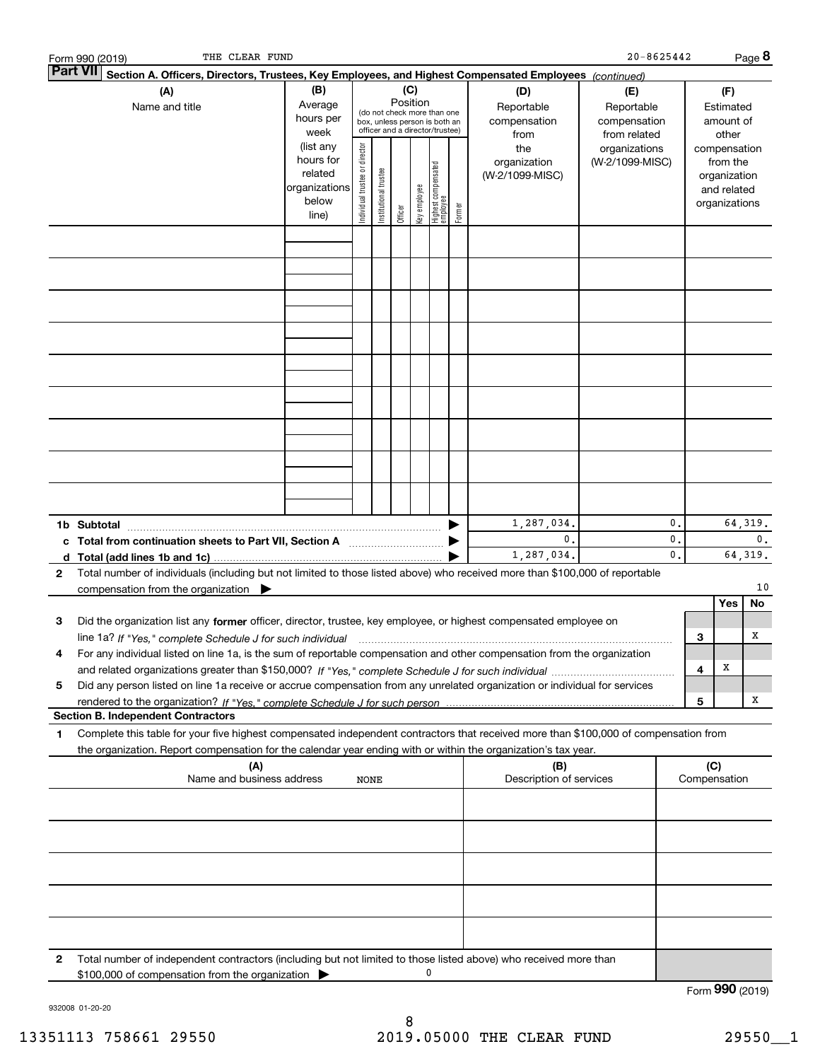|   | THE CLEAR FUND<br>Form 990 (2019)                                                                                                                                                                                                                                           |                        |                                |                       |          |              |                                                              |        |                                | $20 - 8625442$  |                |                 |               | Page 8   |
|---|-----------------------------------------------------------------------------------------------------------------------------------------------------------------------------------------------------------------------------------------------------------------------------|------------------------|--------------------------------|-----------------------|----------|--------------|--------------------------------------------------------------|--------|--------------------------------|-----------------|----------------|-----------------|---------------|----------|
|   | <b>Part VII</b><br>Section A. Officers, Directors, Trustees, Key Employees, and Highest Compensated Employees (continued)                                                                                                                                                   |                        |                                |                       |          |              |                                                              |        |                                |                 |                |                 |               |          |
|   | (A)                                                                                                                                                                                                                                                                         | (B)                    |                                |                       | (C)      |              |                                                              |        | (D)                            | (E)             |                |                 | (F)           |          |
|   | Name and title                                                                                                                                                                                                                                                              | Average                |                                |                       | Position |              |                                                              |        | Reportable                     | Reportable      |                |                 | Estimated     |          |
|   |                                                                                                                                                                                                                                                                             | hours per              |                                |                       |          |              | (do not check more than one<br>box, unless person is both an |        | compensation                   | compensation    |                |                 | amount of     |          |
|   |                                                                                                                                                                                                                                                                             | week                   |                                |                       |          |              | officer and a director/trustee)                              |        | from                           | from related    |                |                 | other         |          |
|   |                                                                                                                                                                                                                                                                             | (list any              |                                |                       |          |              |                                                              |        | the                            | organizations   |                |                 | compensation  |          |
|   |                                                                                                                                                                                                                                                                             | hours for              |                                |                       |          |              |                                                              |        | organization                   | (W-2/1099-MISC) |                |                 | from the      |          |
|   |                                                                                                                                                                                                                                                                             | related                | Individual trustee or director | Institutional trustee |          |              | Highest compensated<br>employee                              |        | (W-2/1099-MISC)                |                 |                |                 | organization  |          |
|   |                                                                                                                                                                                                                                                                             | organizations<br>below |                                |                       |          |              |                                                              |        |                                |                 |                |                 | and related   |          |
|   |                                                                                                                                                                                                                                                                             | line)                  |                                |                       | Officer  | Key employee |                                                              | Former |                                |                 |                |                 | organizations |          |
|   |                                                                                                                                                                                                                                                                             |                        |                                |                       |          |              |                                                              |        |                                |                 |                |                 |               |          |
|   |                                                                                                                                                                                                                                                                             |                        |                                |                       |          |              |                                                              |        |                                |                 |                |                 |               |          |
|   |                                                                                                                                                                                                                                                                             |                        |                                |                       |          |              |                                                              |        |                                |                 |                |                 |               |          |
|   |                                                                                                                                                                                                                                                                             |                        |                                |                       |          |              |                                                              |        |                                |                 |                |                 |               |          |
|   |                                                                                                                                                                                                                                                                             |                        |                                |                       |          |              |                                                              |        |                                |                 |                |                 |               |          |
|   |                                                                                                                                                                                                                                                                             |                        |                                |                       |          |              |                                                              |        |                                |                 |                |                 |               |          |
|   |                                                                                                                                                                                                                                                                             |                        |                                |                       |          |              |                                                              |        |                                |                 |                |                 |               |          |
|   |                                                                                                                                                                                                                                                                             |                        |                                |                       |          |              |                                                              |        |                                |                 |                |                 |               |          |
|   |                                                                                                                                                                                                                                                                             |                        |                                |                       |          |              |                                                              |        |                                |                 |                |                 |               |          |
|   |                                                                                                                                                                                                                                                                             |                        |                                |                       |          |              |                                                              |        |                                |                 |                |                 |               |          |
|   |                                                                                                                                                                                                                                                                             |                        |                                |                       |          |              |                                                              |        |                                |                 |                |                 |               |          |
|   |                                                                                                                                                                                                                                                                             |                        |                                |                       |          |              |                                                              |        |                                |                 |                |                 |               |          |
|   |                                                                                                                                                                                                                                                                             |                        |                                |                       |          |              |                                                              |        |                                |                 |                |                 |               |          |
|   |                                                                                                                                                                                                                                                                             |                        |                                |                       |          |              |                                                              |        |                                |                 |                |                 |               |          |
|   |                                                                                                                                                                                                                                                                             |                        |                                |                       |          |              |                                                              |        |                                |                 |                |                 |               |          |
|   |                                                                                                                                                                                                                                                                             |                        |                                |                       |          |              |                                                              |        |                                |                 |                |                 |               |          |
|   |                                                                                                                                                                                                                                                                             |                        |                                |                       |          |              |                                                              |        |                                |                 |                |                 |               |          |
|   |                                                                                                                                                                                                                                                                             |                        |                                |                       |          |              |                                                              |        |                                |                 |                |                 |               |          |
|   |                                                                                                                                                                                                                                                                             |                        |                                |                       |          |              |                                                              |        |                                |                 |                |                 |               |          |
|   |                                                                                                                                                                                                                                                                             |                        |                                |                       |          |              |                                                              |        | 1,287,034.                     |                 | 0.             |                 |               | 64,319.  |
|   | c Total from continuation sheets to Part VII, Section A manufactured by                                                                                                                                                                                                     |                        |                                |                       |          |              |                                                              |        | 0.                             |                 | 0.             |                 |               | 0.       |
|   |                                                                                                                                                                                                                                                                             |                        |                                |                       |          |              |                                                              |        | 1,287,034.                     |                 | $\mathbf{0}$ . |                 |               | 64, 319. |
| 2 | Total number of individuals (including but not limited to those listed above) who received more than \$100,000 of reportable                                                                                                                                                |                        |                                |                       |          |              |                                                              |        |                                |                 |                |                 |               |          |
|   | compensation from the organization $\blacktriangleright$                                                                                                                                                                                                                    |                        |                                |                       |          |              |                                                              |        |                                |                 |                |                 |               | 10       |
|   |                                                                                                                                                                                                                                                                             |                        |                                |                       |          |              |                                                              |        |                                |                 |                |                 | Yes           | No       |
| 3 | Did the organization list any former officer, director, trustee, key employee, or highest compensated employee on                                                                                                                                                           |                        |                                |                       |          |              |                                                              |        |                                |                 |                |                 |               |          |
|   |                                                                                                                                                                                                                                                                             |                        |                                |                       |          |              |                                                              |        |                                |                 |                | 3               |               | х        |
|   | line 1a? If "Yes," complete Schedule J for such individual manufactured contained and the 1a? If "Yes," complete Schedule J for such individual<br>For any individual listed on line 1a, is the sum of reportable compensation and other compensation from the organization |                        |                                |                       |          |              |                                                              |        |                                |                 |                |                 |               |          |
|   |                                                                                                                                                                                                                                                                             |                        |                                |                       |          |              |                                                              |        |                                |                 |                | 4               | х             |          |
| 5 | Did any person listed on line 1a receive or accrue compensation from any unrelated organization or individual for services                                                                                                                                                  |                        |                                |                       |          |              |                                                              |        |                                |                 |                |                 |               |          |
|   |                                                                                                                                                                                                                                                                             |                        |                                |                       |          |              |                                                              |        |                                |                 |                | 5               |               | х        |
|   | <b>Section B. Independent Contractors</b>                                                                                                                                                                                                                                   |                        |                                |                       |          |              |                                                              |        |                                |                 |                |                 |               |          |
| 1 | Complete this table for your five highest compensated independent contractors that received more than \$100,000 of compensation from                                                                                                                                        |                        |                                |                       |          |              |                                                              |        |                                |                 |                |                 |               |          |
|   |                                                                                                                                                                                                                                                                             |                        |                                |                       |          |              |                                                              |        |                                |                 |                |                 |               |          |
|   | the organization. Report compensation for the calendar year ending with or within the organization's tax year.                                                                                                                                                              |                        |                                |                       |          |              |                                                              |        |                                |                 |                |                 |               |          |
|   | (A)<br>Name and business address                                                                                                                                                                                                                                            |                        | NONE                           |                       |          |              |                                                              |        | (B)<br>Description of services |                 |                | (C)             | Compensation  |          |
|   |                                                                                                                                                                                                                                                                             |                        |                                |                       |          |              |                                                              |        |                                |                 |                |                 |               |          |
|   |                                                                                                                                                                                                                                                                             |                        |                                |                       |          |              |                                                              |        |                                |                 |                |                 |               |          |
|   |                                                                                                                                                                                                                                                                             |                        |                                |                       |          |              |                                                              |        |                                |                 |                |                 |               |          |
|   |                                                                                                                                                                                                                                                                             |                        |                                |                       |          |              |                                                              |        |                                |                 |                |                 |               |          |
|   |                                                                                                                                                                                                                                                                             |                        |                                |                       |          |              |                                                              |        |                                |                 |                |                 |               |          |
|   |                                                                                                                                                                                                                                                                             |                        |                                |                       |          |              |                                                              |        |                                |                 |                |                 |               |          |
|   |                                                                                                                                                                                                                                                                             |                        |                                |                       |          |              |                                                              |        |                                |                 |                |                 |               |          |
|   |                                                                                                                                                                                                                                                                             |                        |                                |                       |          |              |                                                              |        |                                |                 |                |                 |               |          |
|   |                                                                                                                                                                                                                                                                             |                        |                                |                       |          |              |                                                              |        |                                |                 |                |                 |               |          |
|   |                                                                                                                                                                                                                                                                             |                        |                                |                       |          |              |                                                              |        |                                |                 |                |                 |               |          |
|   |                                                                                                                                                                                                                                                                             |                        |                                |                       |          |              |                                                              |        |                                |                 |                |                 |               |          |
| 2 | Total number of independent contractors (including but not limited to those listed above) who received more than                                                                                                                                                            |                        |                                |                       |          |              |                                                              |        |                                |                 |                |                 |               |          |
|   | \$100,000 of compensation from the organization                                                                                                                                                                                                                             |                        |                                |                       |          |              | 0                                                            |        |                                |                 |                |                 |               |          |
|   |                                                                                                                                                                                                                                                                             |                        |                                |                       |          |              |                                                              |        |                                |                 |                | Form 990 (2019) |               |          |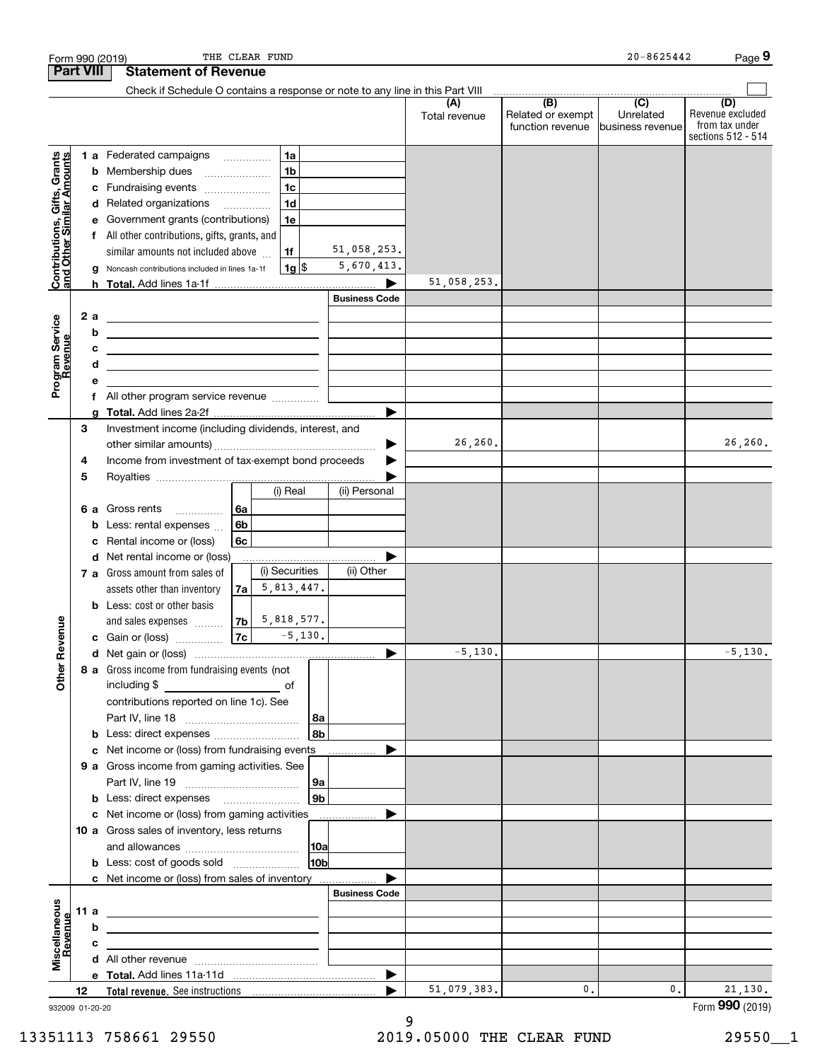| <b>Part VIII</b><br>Check if Schedule O contains a response or note to any line in this Part VIII<br>(B)<br>$\overline{C}$<br>(A)<br>Related or exempt<br>Unrelated<br>Total revenue<br>function revenue<br>business revenue<br><b>1a</b><br>1 a Federated campaigns<br>Contributions, Gifts, Grants<br>and Other Similar Amounts<br>1 <sub>b</sub><br>Membership dues<br>b<br>1 <sub>c</sub><br>Fundraising events<br>c<br>1 <sub>d</sub><br>d Related organizations<br>e Government grants (contributions)<br>1e<br>f All other contributions, gifts, grants, and<br>51,058,253.<br>similar amounts not included above<br>1f<br>5,670,413.<br>$1g$ \$<br>Noncash contributions included in lines 1a-1f<br>g<br>51,058,253.<br><b>Business Code</b><br>2 a<br>Program Service<br>Revenue<br>b<br><u> 1989 - Johann Barbara, martin amerikan basar dan berasal dalam basar dalam basar dalam basar dalam basar dala</u><br>c<br><u> 1989 - Johann Barn, mars ann an t-Amhain ann an t-Amhain an t-Amhain an t-Amhain an t-Amhain an t-Amhain an t-</u><br>d<br>е<br>g<br>Investment income (including dividends, interest, and<br>3<br>26,260.<br>▶<br>Income from investment of tax-exempt bond proceeds<br>4<br>5<br>(i) Real<br>(ii) Personal<br>6 a Gross rents<br>6a<br>.<br>6b<br>Less: rental expenses<br>b<br>6c<br>Rental income or (loss)<br>c<br>d Net rental income or (loss)<br>(i) Securities<br>(ii) Other<br>7 a Gross amount from sales of<br>5,813,447.<br>assets other than inventory<br>7a<br><b>b</b> Less: cost or other basis<br>5,818,577.<br>evenue<br>7b<br>and sales expenses<br>7c<br>$-5,130.$<br>c Gain or (loss)<br>$-5,130.$<br>č<br>Other<br>8 a Gross income from fundraising events (not<br>including \$<br>of<br>contributions reported on line 1c). See<br>  8b  <br>Less: direct expenses<br>b<br>Net income or (loss) from fundraising events<br>c<br>.<br>9 a Gross income from gaming activities. See<br>∣9a<br> 9b <br>c Net income or (loss) from gaming activities _______________<br>10 a Gross sales of inventory, less returns<br>10 <sub>b</sub><br><b>b</b> Less: cost of goods sold<br>c Net income or (loss) from sales of inventory<br><b>Business Code</b><br>Miscellaneous<br>Revenue<br>11 a<br>b<br>с | Form 990 (2019) |  | THE CLEAR FUND              |  | $20 - 8625442$ | Page 9                                                          |
|---------------------------------------------------------------------------------------------------------------------------------------------------------------------------------------------------------------------------------------------------------------------------------------------------------------------------------------------------------------------------------------------------------------------------------------------------------------------------------------------------------------------------------------------------------------------------------------------------------------------------------------------------------------------------------------------------------------------------------------------------------------------------------------------------------------------------------------------------------------------------------------------------------------------------------------------------------------------------------------------------------------------------------------------------------------------------------------------------------------------------------------------------------------------------------------------------------------------------------------------------------------------------------------------------------------------------------------------------------------------------------------------------------------------------------------------------------------------------------------------------------------------------------------------------------------------------------------------------------------------------------------------------------------------------------------------------------------------------------------------------------------------------------------------------------------------------------------------------------------------------------------------------------------------------------------------------------------------------------------------------------------------------------------------------------------------------------------------------------------------------------------------------------------------------------------------------------------------------------------------------------------|-----------------|--|-----------------------------|--|----------------|-----------------------------------------------------------------|
|                                                                                                                                                                                                                                                                                                                                                                                                                                                                                                                                                                                                                                                                                                                                                                                                                                                                                                                                                                                                                                                                                                                                                                                                                                                                                                                                                                                                                                                                                                                                                                                                                                                                                                                                                                                                                                                                                                                                                                                                                                                                                                                                                                                                                                                               |                 |  | <b>Statement of Revenue</b> |  |                |                                                                 |
|                                                                                                                                                                                                                                                                                                                                                                                                                                                                                                                                                                                                                                                                                                                                                                                                                                                                                                                                                                                                                                                                                                                                                                                                                                                                                                                                                                                                                                                                                                                                                                                                                                                                                                                                                                                                                                                                                                                                                                                                                                                                                                                                                                                                                                                               |                 |  |                             |  |                |                                                                 |
|                                                                                                                                                                                                                                                                                                                                                                                                                                                                                                                                                                                                                                                                                                                                                                                                                                                                                                                                                                                                                                                                                                                                                                                                                                                                                                                                                                                                                                                                                                                                                                                                                                                                                                                                                                                                                                                                                                                                                                                                                                                                                                                                                                                                                                                               |                 |  |                             |  |                | (D)<br>Revenue excluded<br>from tax under<br>sections 512 - 514 |
|                                                                                                                                                                                                                                                                                                                                                                                                                                                                                                                                                                                                                                                                                                                                                                                                                                                                                                                                                                                                                                                                                                                                                                                                                                                                                                                                                                                                                                                                                                                                                                                                                                                                                                                                                                                                                                                                                                                                                                                                                                                                                                                                                                                                                                                               |                 |  |                             |  |                |                                                                 |
|                                                                                                                                                                                                                                                                                                                                                                                                                                                                                                                                                                                                                                                                                                                                                                                                                                                                                                                                                                                                                                                                                                                                                                                                                                                                                                                                                                                                                                                                                                                                                                                                                                                                                                                                                                                                                                                                                                                                                                                                                                                                                                                                                                                                                                                               |                 |  |                             |  |                |                                                                 |
|                                                                                                                                                                                                                                                                                                                                                                                                                                                                                                                                                                                                                                                                                                                                                                                                                                                                                                                                                                                                                                                                                                                                                                                                                                                                                                                                                                                                                                                                                                                                                                                                                                                                                                                                                                                                                                                                                                                                                                                                                                                                                                                                                                                                                                                               |                 |  |                             |  |                |                                                                 |
|                                                                                                                                                                                                                                                                                                                                                                                                                                                                                                                                                                                                                                                                                                                                                                                                                                                                                                                                                                                                                                                                                                                                                                                                                                                                                                                                                                                                                                                                                                                                                                                                                                                                                                                                                                                                                                                                                                                                                                                                                                                                                                                                                                                                                                                               |                 |  |                             |  |                |                                                                 |
|                                                                                                                                                                                                                                                                                                                                                                                                                                                                                                                                                                                                                                                                                                                                                                                                                                                                                                                                                                                                                                                                                                                                                                                                                                                                                                                                                                                                                                                                                                                                                                                                                                                                                                                                                                                                                                                                                                                                                                                                                                                                                                                                                                                                                                                               |                 |  |                             |  |                |                                                                 |
|                                                                                                                                                                                                                                                                                                                                                                                                                                                                                                                                                                                                                                                                                                                                                                                                                                                                                                                                                                                                                                                                                                                                                                                                                                                                                                                                                                                                                                                                                                                                                                                                                                                                                                                                                                                                                                                                                                                                                                                                                                                                                                                                                                                                                                                               |                 |  |                             |  |                |                                                                 |
|                                                                                                                                                                                                                                                                                                                                                                                                                                                                                                                                                                                                                                                                                                                                                                                                                                                                                                                                                                                                                                                                                                                                                                                                                                                                                                                                                                                                                                                                                                                                                                                                                                                                                                                                                                                                                                                                                                                                                                                                                                                                                                                                                                                                                                                               |                 |  |                             |  |                |                                                                 |
|                                                                                                                                                                                                                                                                                                                                                                                                                                                                                                                                                                                                                                                                                                                                                                                                                                                                                                                                                                                                                                                                                                                                                                                                                                                                                                                                                                                                                                                                                                                                                                                                                                                                                                                                                                                                                                                                                                                                                                                                                                                                                                                                                                                                                                                               |                 |  |                             |  |                |                                                                 |
|                                                                                                                                                                                                                                                                                                                                                                                                                                                                                                                                                                                                                                                                                                                                                                                                                                                                                                                                                                                                                                                                                                                                                                                                                                                                                                                                                                                                                                                                                                                                                                                                                                                                                                                                                                                                                                                                                                                                                                                                                                                                                                                                                                                                                                                               |                 |  |                             |  |                |                                                                 |
|                                                                                                                                                                                                                                                                                                                                                                                                                                                                                                                                                                                                                                                                                                                                                                                                                                                                                                                                                                                                                                                                                                                                                                                                                                                                                                                                                                                                                                                                                                                                                                                                                                                                                                                                                                                                                                                                                                                                                                                                                                                                                                                                                                                                                                                               |                 |  |                             |  |                |                                                                 |
|                                                                                                                                                                                                                                                                                                                                                                                                                                                                                                                                                                                                                                                                                                                                                                                                                                                                                                                                                                                                                                                                                                                                                                                                                                                                                                                                                                                                                                                                                                                                                                                                                                                                                                                                                                                                                                                                                                                                                                                                                                                                                                                                                                                                                                                               |                 |  |                             |  |                |                                                                 |
|                                                                                                                                                                                                                                                                                                                                                                                                                                                                                                                                                                                                                                                                                                                                                                                                                                                                                                                                                                                                                                                                                                                                                                                                                                                                                                                                                                                                                                                                                                                                                                                                                                                                                                                                                                                                                                                                                                                                                                                                                                                                                                                                                                                                                                                               |                 |  |                             |  |                |                                                                 |
|                                                                                                                                                                                                                                                                                                                                                                                                                                                                                                                                                                                                                                                                                                                                                                                                                                                                                                                                                                                                                                                                                                                                                                                                                                                                                                                                                                                                                                                                                                                                                                                                                                                                                                                                                                                                                                                                                                                                                                                                                                                                                                                                                                                                                                                               |                 |  |                             |  |                |                                                                 |
|                                                                                                                                                                                                                                                                                                                                                                                                                                                                                                                                                                                                                                                                                                                                                                                                                                                                                                                                                                                                                                                                                                                                                                                                                                                                                                                                                                                                                                                                                                                                                                                                                                                                                                                                                                                                                                                                                                                                                                                                                                                                                                                                                                                                                                                               |                 |  |                             |  |                |                                                                 |
|                                                                                                                                                                                                                                                                                                                                                                                                                                                                                                                                                                                                                                                                                                                                                                                                                                                                                                                                                                                                                                                                                                                                                                                                                                                                                                                                                                                                                                                                                                                                                                                                                                                                                                                                                                                                                                                                                                                                                                                                                                                                                                                                                                                                                                                               |                 |  |                             |  |                |                                                                 |
|                                                                                                                                                                                                                                                                                                                                                                                                                                                                                                                                                                                                                                                                                                                                                                                                                                                                                                                                                                                                                                                                                                                                                                                                                                                                                                                                                                                                                                                                                                                                                                                                                                                                                                                                                                                                                                                                                                                                                                                                                                                                                                                                                                                                                                                               |                 |  |                             |  |                |                                                                 |
|                                                                                                                                                                                                                                                                                                                                                                                                                                                                                                                                                                                                                                                                                                                                                                                                                                                                                                                                                                                                                                                                                                                                                                                                                                                                                                                                                                                                                                                                                                                                                                                                                                                                                                                                                                                                                                                                                                                                                                                                                                                                                                                                                                                                                                                               |                 |  |                             |  |                |                                                                 |
|                                                                                                                                                                                                                                                                                                                                                                                                                                                                                                                                                                                                                                                                                                                                                                                                                                                                                                                                                                                                                                                                                                                                                                                                                                                                                                                                                                                                                                                                                                                                                                                                                                                                                                                                                                                                                                                                                                                                                                                                                                                                                                                                                                                                                                                               |                 |  |                             |  |                |                                                                 |
|                                                                                                                                                                                                                                                                                                                                                                                                                                                                                                                                                                                                                                                                                                                                                                                                                                                                                                                                                                                                                                                                                                                                                                                                                                                                                                                                                                                                                                                                                                                                                                                                                                                                                                                                                                                                                                                                                                                                                                                                                                                                                                                                                                                                                                                               |                 |  |                             |  |                | 26, 260.                                                        |
|                                                                                                                                                                                                                                                                                                                                                                                                                                                                                                                                                                                                                                                                                                                                                                                                                                                                                                                                                                                                                                                                                                                                                                                                                                                                                                                                                                                                                                                                                                                                                                                                                                                                                                                                                                                                                                                                                                                                                                                                                                                                                                                                                                                                                                                               |                 |  |                             |  |                |                                                                 |
|                                                                                                                                                                                                                                                                                                                                                                                                                                                                                                                                                                                                                                                                                                                                                                                                                                                                                                                                                                                                                                                                                                                                                                                                                                                                                                                                                                                                                                                                                                                                                                                                                                                                                                                                                                                                                                                                                                                                                                                                                                                                                                                                                                                                                                                               |                 |  |                             |  |                |                                                                 |
|                                                                                                                                                                                                                                                                                                                                                                                                                                                                                                                                                                                                                                                                                                                                                                                                                                                                                                                                                                                                                                                                                                                                                                                                                                                                                                                                                                                                                                                                                                                                                                                                                                                                                                                                                                                                                                                                                                                                                                                                                                                                                                                                                                                                                                                               |                 |  |                             |  |                |                                                                 |
|                                                                                                                                                                                                                                                                                                                                                                                                                                                                                                                                                                                                                                                                                                                                                                                                                                                                                                                                                                                                                                                                                                                                                                                                                                                                                                                                                                                                                                                                                                                                                                                                                                                                                                                                                                                                                                                                                                                                                                                                                                                                                                                                                                                                                                                               |                 |  |                             |  |                |                                                                 |
|                                                                                                                                                                                                                                                                                                                                                                                                                                                                                                                                                                                                                                                                                                                                                                                                                                                                                                                                                                                                                                                                                                                                                                                                                                                                                                                                                                                                                                                                                                                                                                                                                                                                                                                                                                                                                                                                                                                                                                                                                                                                                                                                                                                                                                                               |                 |  |                             |  |                |                                                                 |
|                                                                                                                                                                                                                                                                                                                                                                                                                                                                                                                                                                                                                                                                                                                                                                                                                                                                                                                                                                                                                                                                                                                                                                                                                                                                                                                                                                                                                                                                                                                                                                                                                                                                                                                                                                                                                                                                                                                                                                                                                                                                                                                                                                                                                                                               |                 |  |                             |  |                |                                                                 |
|                                                                                                                                                                                                                                                                                                                                                                                                                                                                                                                                                                                                                                                                                                                                                                                                                                                                                                                                                                                                                                                                                                                                                                                                                                                                                                                                                                                                                                                                                                                                                                                                                                                                                                                                                                                                                                                                                                                                                                                                                                                                                                                                                                                                                                                               |                 |  |                             |  |                |                                                                 |
|                                                                                                                                                                                                                                                                                                                                                                                                                                                                                                                                                                                                                                                                                                                                                                                                                                                                                                                                                                                                                                                                                                                                                                                                                                                                                                                                                                                                                                                                                                                                                                                                                                                                                                                                                                                                                                                                                                                                                                                                                                                                                                                                                                                                                                                               |                 |  |                             |  |                |                                                                 |
|                                                                                                                                                                                                                                                                                                                                                                                                                                                                                                                                                                                                                                                                                                                                                                                                                                                                                                                                                                                                                                                                                                                                                                                                                                                                                                                                                                                                                                                                                                                                                                                                                                                                                                                                                                                                                                                                                                                                                                                                                                                                                                                                                                                                                                                               |                 |  |                             |  |                |                                                                 |
|                                                                                                                                                                                                                                                                                                                                                                                                                                                                                                                                                                                                                                                                                                                                                                                                                                                                                                                                                                                                                                                                                                                                                                                                                                                                                                                                                                                                                                                                                                                                                                                                                                                                                                                                                                                                                                                                                                                                                                                                                                                                                                                                                                                                                                                               |                 |  |                             |  |                |                                                                 |
|                                                                                                                                                                                                                                                                                                                                                                                                                                                                                                                                                                                                                                                                                                                                                                                                                                                                                                                                                                                                                                                                                                                                                                                                                                                                                                                                                                                                                                                                                                                                                                                                                                                                                                                                                                                                                                                                                                                                                                                                                                                                                                                                                                                                                                                               |                 |  |                             |  |                |                                                                 |
|                                                                                                                                                                                                                                                                                                                                                                                                                                                                                                                                                                                                                                                                                                                                                                                                                                                                                                                                                                                                                                                                                                                                                                                                                                                                                                                                                                                                                                                                                                                                                                                                                                                                                                                                                                                                                                                                                                                                                                                                                                                                                                                                                                                                                                                               |                 |  |                             |  |                | $-5,130.$                                                       |
|                                                                                                                                                                                                                                                                                                                                                                                                                                                                                                                                                                                                                                                                                                                                                                                                                                                                                                                                                                                                                                                                                                                                                                                                                                                                                                                                                                                                                                                                                                                                                                                                                                                                                                                                                                                                                                                                                                                                                                                                                                                                                                                                                                                                                                                               |                 |  |                             |  |                |                                                                 |
|                                                                                                                                                                                                                                                                                                                                                                                                                                                                                                                                                                                                                                                                                                                                                                                                                                                                                                                                                                                                                                                                                                                                                                                                                                                                                                                                                                                                                                                                                                                                                                                                                                                                                                                                                                                                                                                                                                                                                                                                                                                                                                                                                                                                                                                               |                 |  |                             |  |                |                                                                 |
|                                                                                                                                                                                                                                                                                                                                                                                                                                                                                                                                                                                                                                                                                                                                                                                                                                                                                                                                                                                                                                                                                                                                                                                                                                                                                                                                                                                                                                                                                                                                                                                                                                                                                                                                                                                                                                                                                                                                                                                                                                                                                                                                                                                                                                                               |                 |  |                             |  |                |                                                                 |
|                                                                                                                                                                                                                                                                                                                                                                                                                                                                                                                                                                                                                                                                                                                                                                                                                                                                                                                                                                                                                                                                                                                                                                                                                                                                                                                                                                                                                                                                                                                                                                                                                                                                                                                                                                                                                                                                                                                                                                                                                                                                                                                                                                                                                                                               |                 |  |                             |  |                |                                                                 |
|                                                                                                                                                                                                                                                                                                                                                                                                                                                                                                                                                                                                                                                                                                                                                                                                                                                                                                                                                                                                                                                                                                                                                                                                                                                                                                                                                                                                                                                                                                                                                                                                                                                                                                                                                                                                                                                                                                                                                                                                                                                                                                                                                                                                                                                               |                 |  |                             |  |                |                                                                 |
|                                                                                                                                                                                                                                                                                                                                                                                                                                                                                                                                                                                                                                                                                                                                                                                                                                                                                                                                                                                                                                                                                                                                                                                                                                                                                                                                                                                                                                                                                                                                                                                                                                                                                                                                                                                                                                                                                                                                                                                                                                                                                                                                                                                                                                                               |                 |  |                             |  |                |                                                                 |
|                                                                                                                                                                                                                                                                                                                                                                                                                                                                                                                                                                                                                                                                                                                                                                                                                                                                                                                                                                                                                                                                                                                                                                                                                                                                                                                                                                                                                                                                                                                                                                                                                                                                                                                                                                                                                                                                                                                                                                                                                                                                                                                                                                                                                                                               |                 |  |                             |  |                |                                                                 |
|                                                                                                                                                                                                                                                                                                                                                                                                                                                                                                                                                                                                                                                                                                                                                                                                                                                                                                                                                                                                                                                                                                                                                                                                                                                                                                                                                                                                                                                                                                                                                                                                                                                                                                                                                                                                                                                                                                                                                                                                                                                                                                                                                                                                                                                               |                 |  |                             |  |                |                                                                 |
|                                                                                                                                                                                                                                                                                                                                                                                                                                                                                                                                                                                                                                                                                                                                                                                                                                                                                                                                                                                                                                                                                                                                                                                                                                                                                                                                                                                                                                                                                                                                                                                                                                                                                                                                                                                                                                                                                                                                                                                                                                                                                                                                                                                                                                                               |                 |  |                             |  |                |                                                                 |
|                                                                                                                                                                                                                                                                                                                                                                                                                                                                                                                                                                                                                                                                                                                                                                                                                                                                                                                                                                                                                                                                                                                                                                                                                                                                                                                                                                                                                                                                                                                                                                                                                                                                                                                                                                                                                                                                                                                                                                                                                                                                                                                                                                                                                                                               |                 |  |                             |  |                |                                                                 |
|                                                                                                                                                                                                                                                                                                                                                                                                                                                                                                                                                                                                                                                                                                                                                                                                                                                                                                                                                                                                                                                                                                                                                                                                                                                                                                                                                                                                                                                                                                                                                                                                                                                                                                                                                                                                                                                                                                                                                                                                                                                                                                                                                                                                                                                               |                 |  |                             |  |                |                                                                 |
|                                                                                                                                                                                                                                                                                                                                                                                                                                                                                                                                                                                                                                                                                                                                                                                                                                                                                                                                                                                                                                                                                                                                                                                                                                                                                                                                                                                                                                                                                                                                                                                                                                                                                                                                                                                                                                                                                                                                                                                                                                                                                                                                                                                                                                                               |                 |  |                             |  |                |                                                                 |
|                                                                                                                                                                                                                                                                                                                                                                                                                                                                                                                                                                                                                                                                                                                                                                                                                                                                                                                                                                                                                                                                                                                                                                                                                                                                                                                                                                                                                                                                                                                                                                                                                                                                                                                                                                                                                                                                                                                                                                                                                                                                                                                                                                                                                                                               |                 |  |                             |  |                |                                                                 |
|                                                                                                                                                                                                                                                                                                                                                                                                                                                                                                                                                                                                                                                                                                                                                                                                                                                                                                                                                                                                                                                                                                                                                                                                                                                                                                                                                                                                                                                                                                                                                                                                                                                                                                                                                                                                                                                                                                                                                                                                                                                                                                                                                                                                                                                               |                 |  |                             |  |                |                                                                 |
|                                                                                                                                                                                                                                                                                                                                                                                                                                                                                                                                                                                                                                                                                                                                                                                                                                                                                                                                                                                                                                                                                                                                                                                                                                                                                                                                                                                                                                                                                                                                                                                                                                                                                                                                                                                                                                                                                                                                                                                                                                                                                                                                                                                                                                                               |                 |  |                             |  |                |                                                                 |
|                                                                                                                                                                                                                                                                                                                                                                                                                                                                                                                                                                                                                                                                                                                                                                                                                                                                                                                                                                                                                                                                                                                                                                                                                                                                                                                                                                                                                                                                                                                                                                                                                                                                                                                                                                                                                                                                                                                                                                                                                                                                                                                                                                                                                                                               |                 |  |                             |  |                |                                                                 |
|                                                                                                                                                                                                                                                                                                                                                                                                                                                                                                                                                                                                                                                                                                                                                                                                                                                                                                                                                                                                                                                                                                                                                                                                                                                                                                                                                                                                                                                                                                                                                                                                                                                                                                                                                                                                                                                                                                                                                                                                                                                                                                                                                                                                                                                               |                 |  |                             |  |                |                                                                 |
|                                                                                                                                                                                                                                                                                                                                                                                                                                                                                                                                                                                                                                                                                                                                                                                                                                                                                                                                                                                                                                                                                                                                                                                                                                                                                                                                                                                                                                                                                                                                                                                                                                                                                                                                                                                                                                                                                                                                                                                                                                                                                                                                                                                                                                                               |                 |  |                             |  |                |                                                                 |
| $\blacktriangleright$                                                                                                                                                                                                                                                                                                                                                                                                                                                                                                                                                                                                                                                                                                                                                                                                                                                                                                                                                                                                                                                                                                                                                                                                                                                                                                                                                                                                                                                                                                                                                                                                                                                                                                                                                                                                                                                                                                                                                                                                                                                                                                                                                                                                                                         |                 |  |                             |  |                |                                                                 |
| 51,079,383.<br>$\mathbf{0}$ .<br>0.<br>12                                                                                                                                                                                                                                                                                                                                                                                                                                                                                                                                                                                                                                                                                                                                                                                                                                                                                                                                                                                                                                                                                                                                                                                                                                                                                                                                                                                                                                                                                                                                                                                                                                                                                                                                                                                                                                                                                                                                                                                                                                                                                                                                                                                                                     |                 |  |                             |  |                | 21, 130.                                                        |
| 932009 01-20-20                                                                                                                                                                                                                                                                                                                                                                                                                                                                                                                                                                                                                                                                                                                                                                                                                                                                                                                                                                                                                                                                                                                                                                                                                                                                                                                                                                                                                                                                                                                                                                                                                                                                                                                                                                                                                                                                                                                                                                                                                                                                                                                                                                                                                                               |                 |  |                             |  |                | Form 990 (2019)                                                 |

932009 01-20-20

9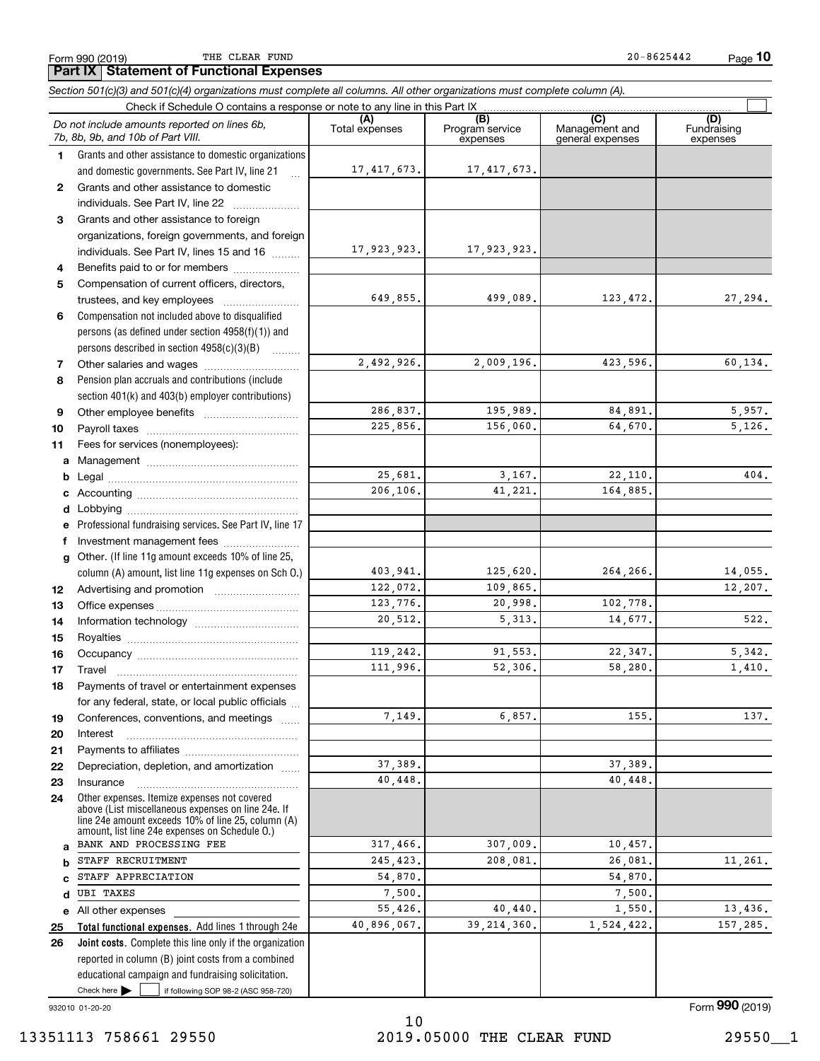THE CLEAR FUND

**10**

**Part IX Statement of Functional Expenses**

*Section 501(c)(3) and 501(c)(4) organizations must complete all columns. All other organizations must complete column (A).*

|                   | Do not include amounts reported on lines 6b,<br>7b, 8b, 9b, and 10b of Part VIII.                                                                                                                          | (A)<br>Total expenses | (B)<br>Program service<br>expenses | (C)<br>Management and<br>general expenses | (D)<br>Fundraising<br>expenses |
|-------------------|------------------------------------------------------------------------------------------------------------------------------------------------------------------------------------------------------------|-----------------------|------------------------------------|-------------------------------------------|--------------------------------|
| 1.                | Grants and other assistance to domestic organizations                                                                                                                                                      |                       |                                    |                                           |                                |
|                   | and domestic governments. See Part IV, line 21                                                                                                                                                             | 17,417,673.           | 17, 417, 673.                      |                                           |                                |
| $\mathbf{2}$      | Grants and other assistance to domestic                                                                                                                                                                    |                       |                                    |                                           |                                |
|                   | individuals. See Part IV, line 22                                                                                                                                                                          |                       |                                    |                                           |                                |
| 3                 | Grants and other assistance to foreign                                                                                                                                                                     |                       |                                    |                                           |                                |
|                   | organizations, foreign governments, and foreign                                                                                                                                                            |                       |                                    |                                           |                                |
|                   | individuals. See Part IV, lines 15 and 16                                                                                                                                                                  | 17,923,923.           | 17,923,923.                        |                                           |                                |
| 4                 | Benefits paid to or for members                                                                                                                                                                            |                       |                                    |                                           |                                |
| 5                 | Compensation of current officers, directors,                                                                                                                                                               |                       |                                    |                                           |                                |
|                   |                                                                                                                                                                                                            | 649,855.              | 499,089.                           | 123, 472.                                 | 27,294.                        |
| 6                 | Compensation not included above to disqualified                                                                                                                                                            |                       |                                    |                                           |                                |
|                   | persons (as defined under section 4958(f)(1)) and                                                                                                                                                          |                       |                                    |                                           |                                |
|                   | persons described in section 4958(c)(3)(B)                                                                                                                                                                 |                       |                                    |                                           |                                |
| 7                 |                                                                                                                                                                                                            | 2,492,926.            | 2,009,196.                         | 423,596.                                  | 60,134.                        |
| 8                 | Pension plan accruals and contributions (include                                                                                                                                                           |                       |                                    |                                           |                                |
|                   | section 401(k) and 403(b) employer contributions)                                                                                                                                                          |                       |                                    |                                           |                                |
| 9                 |                                                                                                                                                                                                            | 286,837.              | 195,989.                           | 84,891.                                   | 5,957.                         |
| 10                |                                                                                                                                                                                                            | 225,856.              | 156,060.                           | 64,670.                                   | 5,126.                         |
| 11                | Fees for services (nonemployees):                                                                                                                                                                          |                       |                                    |                                           |                                |
| a                 |                                                                                                                                                                                                            | 25,681.               | 3,167.                             |                                           | 404.                           |
| b                 |                                                                                                                                                                                                            | 206,106.              | 41,221.                            | 22,110.<br>164,885.                       |                                |
| c                 |                                                                                                                                                                                                            |                       |                                    |                                           |                                |
| d                 |                                                                                                                                                                                                            |                       |                                    |                                           |                                |
| е                 | Professional fundraising services. See Part IV, line 17                                                                                                                                                    |                       |                                    |                                           |                                |
| f<br>$\mathbf{q}$ | Investment management fees<br>Other. (If line 11g amount exceeds 10% of line 25,                                                                                                                           |                       |                                    |                                           |                                |
|                   | column (A) amount, list line 11g expenses on Sch 0.)                                                                                                                                                       | 403,941.              | 125,620.                           | 264,266.                                  | 14,055.                        |
| 12                |                                                                                                                                                                                                            | 122,072.              | 109,865.                           |                                           | 12,207.                        |
| 13                |                                                                                                                                                                                                            | 123,776.              | 20,998.                            | 102,778.                                  |                                |
| 14                |                                                                                                                                                                                                            | 20,512.               | 5, 313.                            | 14,677.                                   | 522.                           |
| 15                |                                                                                                                                                                                                            |                       |                                    |                                           |                                |
| 16                |                                                                                                                                                                                                            | 119,242.              | 91,553.                            | 22,347.                                   | 5,342.                         |
| 17                | Travel                                                                                                                                                                                                     | 111,996.              | 52,306.                            | 58,280.                                   | 1,410.                         |
| 18                | Payments of travel or entertainment expenses                                                                                                                                                               |                       |                                    |                                           |                                |
|                   | for any federal, state, or local public officials                                                                                                                                                          |                       |                                    |                                           |                                |
| 19                | Conferences, conventions, and meetings                                                                                                                                                                     | 7,149.                | 6,857.                             | 155.                                      | 137.                           |
| 20                | Interest                                                                                                                                                                                                   |                       |                                    |                                           |                                |
| 21                |                                                                                                                                                                                                            |                       |                                    |                                           |                                |
| 22                | Depreciation, depletion, and amortization                                                                                                                                                                  | 37,389.               |                                    | 37,389.                                   |                                |
| 23                | Insurance                                                                                                                                                                                                  | 40,448.               |                                    | 40,448.                                   |                                |
| 24                | Other expenses. Itemize expenses not covered<br>above (List miscellaneous expenses on line 24e. If<br>line 24e amount exceeds 10% of line 25, column (A)<br>amount, list line 24e expenses on Schedule 0.) |                       |                                    |                                           |                                |
| a                 | BANK AND PROCESSING FEE                                                                                                                                                                                    | 317,466.              | 307,009.                           | 10,457.                                   |                                |
| b                 | STAFF RECRUITMENT                                                                                                                                                                                          | 245, 423.             | 208,081.                           | 26,081.                                   | 11,261.                        |
| C                 | STAFF APPRECIATION                                                                                                                                                                                         | 54,870.               |                                    | 54,870.                                   |                                |
| d                 | <b>UBI TAXES</b>                                                                                                                                                                                           | 7,500.                |                                    | 7,500.                                    |                                |
|                   | e All other expenses                                                                                                                                                                                       | 55,426.               | 40,440.                            | 1,550.                                    | 13,436.                        |
| 25                | Total functional expenses. Add lines 1 through 24e                                                                                                                                                         | 40,896,067.           | 39, 214, 360.                      | 1,524,422.                                | 157,285.                       |
| 26                | Joint costs. Complete this line only if the organization                                                                                                                                                   |                       |                                    |                                           |                                |
|                   | reported in column (B) joint costs from a combined                                                                                                                                                         |                       |                                    |                                           |                                |
|                   | educational campaign and fundraising solicitation.                                                                                                                                                         |                       |                                    |                                           |                                |
|                   | Check here<br>if following SOP 98-2 (ASC 958-720)                                                                                                                                                          |                       |                                    |                                           |                                |
|                   | 932010 01-20-20                                                                                                                                                                                            |                       |                                    |                                           | Form 990 (2019)                |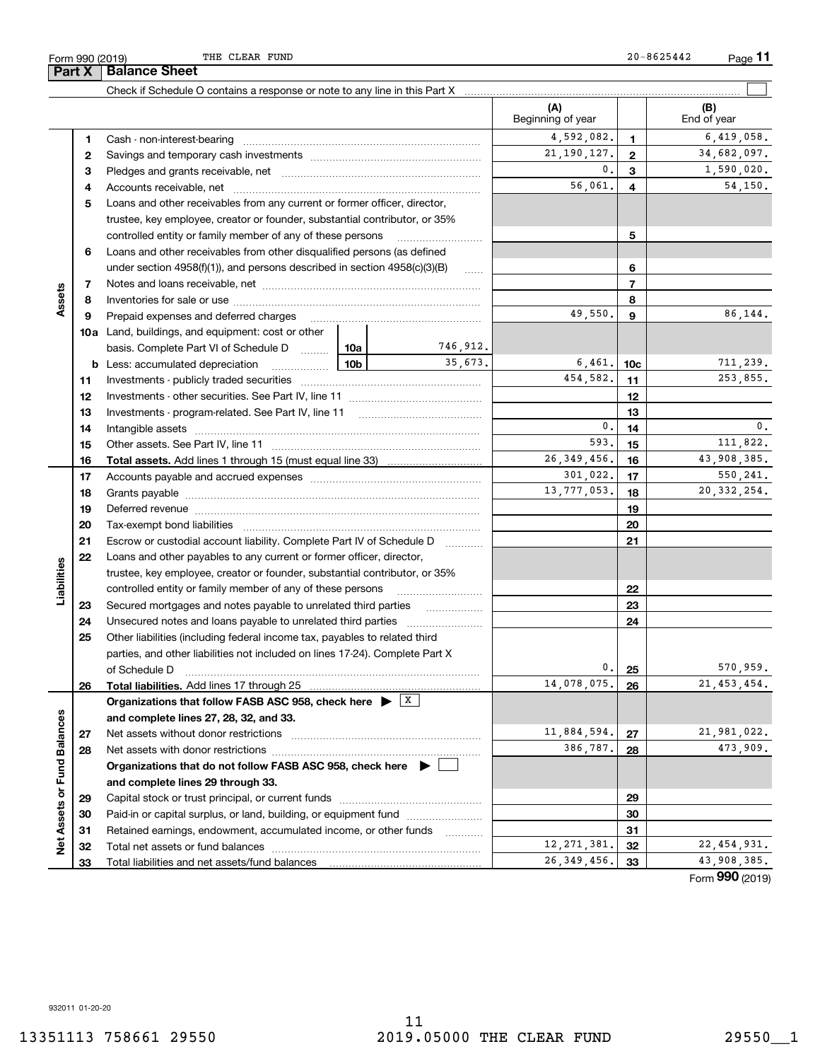**Part X Balance Sheet**

|                             |    | Check if Schedule O contains a response or note to any line in this Part X [11] manument contains manument contains a response or note to any line in this Part X [11] manument contains a response or note to any line in thi |             |          |                          |                 |                    |
|-----------------------------|----|--------------------------------------------------------------------------------------------------------------------------------------------------------------------------------------------------------------------------------|-------------|----------|--------------------------|-----------------|--------------------|
|                             |    |                                                                                                                                                                                                                                |             |          | (A)<br>Beginning of year |                 | (B)<br>End of year |
|                             | 1  |                                                                                                                                                                                                                                |             |          | 4,592,082.               | 1.              | 6,419,058.         |
|                             | 2  |                                                                                                                                                                                                                                |             |          | 21, 190, 127.            | $\mathbf{2}$    | 34,682,097.        |
|                             | 3  |                                                                                                                                                                                                                                |             |          | $\mathbf{0}$ .           | 3               | 1,590,020.         |
|                             | 4  |                                                                                                                                                                                                                                |             |          | 56,061.                  | 4               | 54,150.            |
|                             | 5  | Loans and other receivables from any current or former officer, director,                                                                                                                                                      |             |          |                          |                 |                    |
|                             |    | trustee, key employee, creator or founder, substantial contributor, or 35%                                                                                                                                                     |             |          |                          |                 |                    |
|                             |    | controlled entity or family member of any of these persons                                                                                                                                                                     |             |          |                          | 5               |                    |
|                             | 6  | Loans and other receivables from other disqualified persons (as defined                                                                                                                                                        |             |          |                          |                 |                    |
|                             |    | under section $4958(f)(1)$ , and persons described in section $4958(c)(3)(B)$                                                                                                                                                  |             | $\ldots$ |                          | 6               |                    |
|                             | 7  |                                                                                                                                                                                                                                |             |          |                          | $\overline{7}$  |                    |
| Assets                      | 8  |                                                                                                                                                                                                                                |             |          | 8                        |                 |                    |
|                             | 9  | Prepaid expenses and deferred charges                                                                                                                                                                                          |             |          | 49,550.                  | 9               | 86,144.            |
|                             |    | <b>10a</b> Land, buildings, and equipment: cost or other                                                                                                                                                                       |             |          |                          |                 |                    |
|                             |    | basis. Complete Part VI of Schedule D  10a                                                                                                                                                                                     |             | 746,912. |                          |                 |                    |
|                             | b  | Less: accumulated depreciation<br>. 1                                                                                                                                                                                          | 10b         | 35.673.  | 6,461.                   | 10 <sub>c</sub> | 711,239.           |
|                             | 11 |                                                                                                                                                                                                                                |             |          | 454,582.                 | 11              | 253,855.           |
|                             | 12 |                                                                                                                                                                                                                                |             | 12       |                          |                 |                    |
|                             | 13 |                                                                                                                                                                                                                                |             | 13       |                          |                 |                    |
|                             | 14 |                                                                                                                                                                                                                                | 0.          | 14       | 0.                       |                 |                    |
|                             | 15 |                                                                                                                                                                                                                                | 593.        | 15       | 111,822.                 |                 |                    |
|                             | 16 |                                                                                                                                                                                                                                |             |          | 26, 349, 456.            | 16              | 43,908,385.        |
|                             | 17 |                                                                                                                                                                                                                                |             |          | 301,022.                 | 17              | 550, 241.          |
|                             | 18 |                                                                                                                                                                                                                                | 13,777,053. | 18       | 20, 332, 254.            |                 |                    |
|                             | 19 |                                                                                                                                                                                                                                |             | 19       |                          |                 |                    |
|                             | 20 |                                                                                                                                                                                                                                |             | 20       |                          |                 |                    |
|                             | 21 | Escrow or custodial account liability. Complete Part IV of Schedule D                                                                                                                                                          |             | 21       |                          |                 |                    |
|                             | 22 | Loans and other payables to any current or former officer, director,                                                                                                                                                           |             |          |                          |                 |                    |
| Liabilities                 |    | trustee, key employee, creator or founder, substantial contributor, or 35%                                                                                                                                                     |             |          |                          |                 |                    |
|                             |    | controlled entity or family member of any of these persons                                                                                                                                                                     |             |          |                          | 22              |                    |
|                             | 23 | Secured mortgages and notes payable to unrelated third parties <i>manufacture</i>                                                                                                                                              |             |          |                          | 23              |                    |
|                             | 24 |                                                                                                                                                                                                                                |             |          |                          | 24              |                    |
|                             | 25 | Other liabilities (including federal income tax, payables to related third                                                                                                                                                     |             |          |                          |                 |                    |
|                             |    | parties, and other liabilities not included on lines 17-24). Complete Part X                                                                                                                                                   |             |          |                          |                 |                    |
|                             |    | of Schedule D                                                                                                                                                                                                                  |             |          | 0.                       | 25              | 570,959.           |
|                             | 26 | Total liabilities. Add lines 17 through 25                                                                                                                                                                                     |             |          | 14,078,075.              | 26              | 21, 453, 454.      |
|                             |    | Organizations that follow FASB ASC 958, check here $\blacktriangleright \begin{array}{c} \perp X \end{array}$                                                                                                                  |             |          |                          |                 |                    |
|                             |    | and complete lines 27, 28, 32, and 33.                                                                                                                                                                                         |             |          |                          |                 |                    |
|                             | 27 | Net assets without donor restrictions                                                                                                                                                                                          |             |          | 11,884,594.              | 27              | 21,981,022.        |
|                             | 28 |                                                                                                                                                                                                                                |             |          | 386,787.                 | 28              | 473,909.           |
|                             |    | Organizations that do not follow FASB ASC 958, check here $\blacktriangleright$                                                                                                                                                |             |          |                          |                 |                    |
|                             |    | and complete lines 29 through 33.                                                                                                                                                                                              |             |          |                          |                 |                    |
|                             | 29 |                                                                                                                                                                                                                                |             |          |                          | 29              |                    |
|                             | 30 | Paid-in or capital surplus, or land, building, or equipment fund                                                                                                                                                               |             |          |                          | 30              |                    |
| Net Assets or Fund Balances | 31 | Retained earnings, endowment, accumulated income, or other funds                                                                                                                                                               |             |          |                          | 31              |                    |
|                             | 32 | Total net assets or fund balances                                                                                                                                                                                              |             |          | 12, 271, 381.            | 32              | 22, 454, 931.      |
|                             | 33 |                                                                                                                                                                                                                                |             |          | 26, 349, 456.            | 33              | 43,908,385.        |

Form (2019) **990**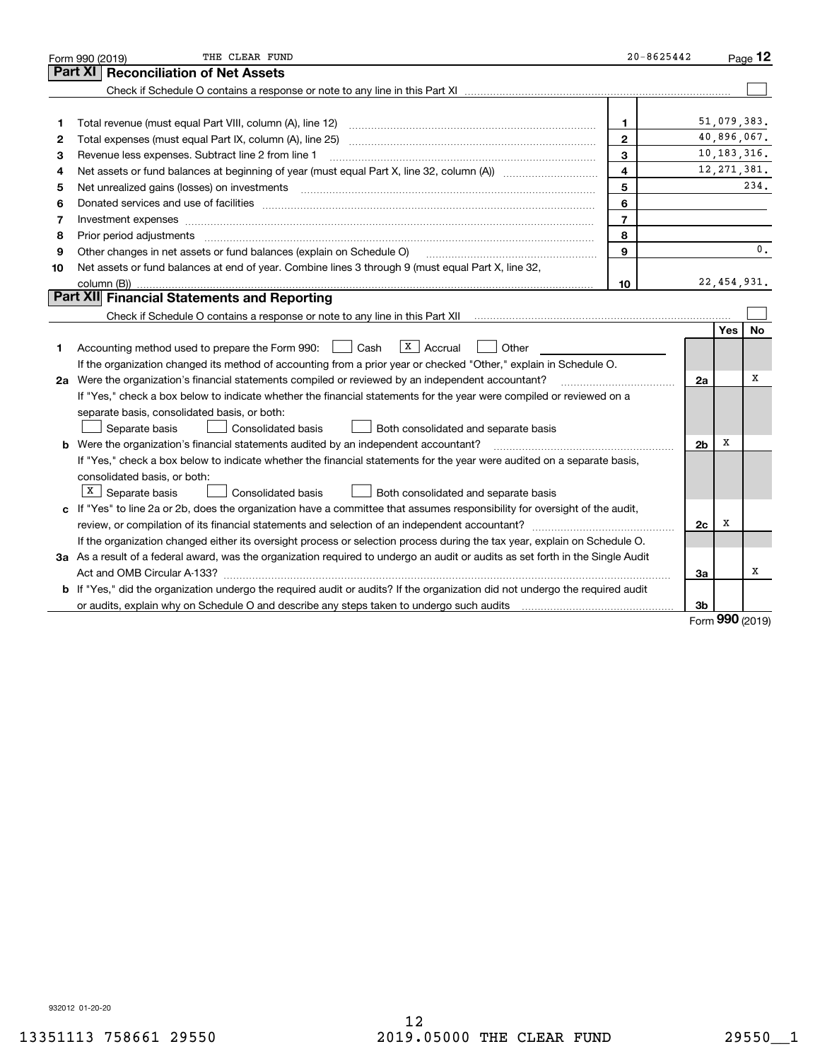|    | THE CLEAR FUND<br>Form 990 (2019)                                                                                                                                                                                              | $20 - 8625442$          |                |               | Page 12        |
|----|--------------------------------------------------------------------------------------------------------------------------------------------------------------------------------------------------------------------------------|-------------------------|----------------|---------------|----------------|
|    | <b>Reconciliation of Net Assets</b><br>Part XI                                                                                                                                                                                 |                         |                |               |                |
|    |                                                                                                                                                                                                                                |                         |                |               |                |
|    |                                                                                                                                                                                                                                |                         |                |               |                |
| 1  |                                                                                                                                                                                                                                | 1                       |                | 51,079,383.   |                |
| 2  |                                                                                                                                                                                                                                | $\mathbf{2}$            |                | 40,896,067.   |                |
| з  | Revenue less expenses. Subtract line 2 from line 1                                                                                                                                                                             | 3                       |                | 10, 183, 316. |                |
| 4  |                                                                                                                                                                                                                                | $\overline{\mathbf{4}}$ |                | 12, 271, 381. |                |
| 5  | Net unrealized gains (losses) on investments [11] matter continuum matter is a set of the set of the set of the                                                                                                                | 5                       |                |               | 234.           |
| 6  |                                                                                                                                                                                                                                | 6                       |                |               |                |
| 7  | Investment expenses www.communication.com/www.communication.com/www.communication.com/www.com                                                                                                                                  | $\overline{7}$          |                |               |                |
| 8  | Prior period adjustments manufactured content and all the content of the content of the content of the content of the content of the content of the content of the content of the content of the content of the content of the | 8                       |                |               |                |
| 9  | Other changes in net assets or fund balances (explain on Schedule O)                                                                                                                                                           | $\mathbf{9}$            |                |               | $\mathbf{0}$ . |
| 10 | Net assets or fund balances at end of year. Combine lines 3 through 9 (must equal Part X, line 32,                                                                                                                             |                         |                |               |                |
|    |                                                                                                                                                                                                                                | 10                      |                | 22,454,931.   |                |
|    | Part XII Financial Statements and Reporting                                                                                                                                                                                    |                         |                |               |                |
|    |                                                                                                                                                                                                                                |                         |                |               |                |
|    |                                                                                                                                                                                                                                |                         |                | Yes           | <b>No</b>      |
| 1  | $\overline{\mathbf{x}}$   Accrual<br>Accounting method used to prepare the Form 990: <u>June</u> Cash<br>Other                                                                                                                 |                         |                |               |                |
|    | If the organization changed its method of accounting from a prior year or checked "Other," explain in Schedule O.                                                                                                              |                         |                |               |                |
|    | 2a Were the organization's financial statements compiled or reviewed by an independent accountant?                                                                                                                             |                         | 2a             |               | х              |
|    | If "Yes," check a box below to indicate whether the financial statements for the year were compiled or reviewed on a                                                                                                           |                         |                |               |                |
|    | separate basis, consolidated basis, or both:                                                                                                                                                                                   |                         |                |               |                |
|    | Separate basis<br>Consolidated basis<br>Both consolidated and separate basis                                                                                                                                                   |                         |                |               |                |
|    | b Were the organization's financial statements audited by an independent accountant?                                                                                                                                           |                         | 2 <sub>b</sub> | х             |                |
|    | If "Yes," check a box below to indicate whether the financial statements for the year were audited on a separate basis,                                                                                                        |                         |                |               |                |
|    | consolidated basis, or both:                                                                                                                                                                                                   |                         |                |               |                |
|    | $X \mid$ Separate basis<br>Consolidated basis<br>Both consolidated and separate basis                                                                                                                                          |                         |                |               |                |
|    | c If "Yes" to line 2a or 2b, does the organization have a committee that assumes responsibility for oversight of the audit,                                                                                                    |                         |                |               |                |
|    |                                                                                                                                                                                                                                |                         | 2c             | х             |                |
|    | If the organization changed either its oversight process or selection process during the tax year, explain on Schedule O.                                                                                                      |                         |                |               |                |
|    | 3a As a result of a federal award, was the organization required to undergo an audit or audits as set forth in the Single Audit                                                                                                |                         |                |               |                |
|    |                                                                                                                                                                                                                                |                         | 3a             |               | х              |
|    | b If "Yes," did the organization undergo the required audit or audits? If the organization did not undergo the required audit                                                                                                  |                         |                |               |                |
|    | or audits, explain why on Schedule O and describe any steps taken to undergo such audits manufactured content to                                                                                                               |                         | 3b             | nnn           |                |

Form (2019) **990**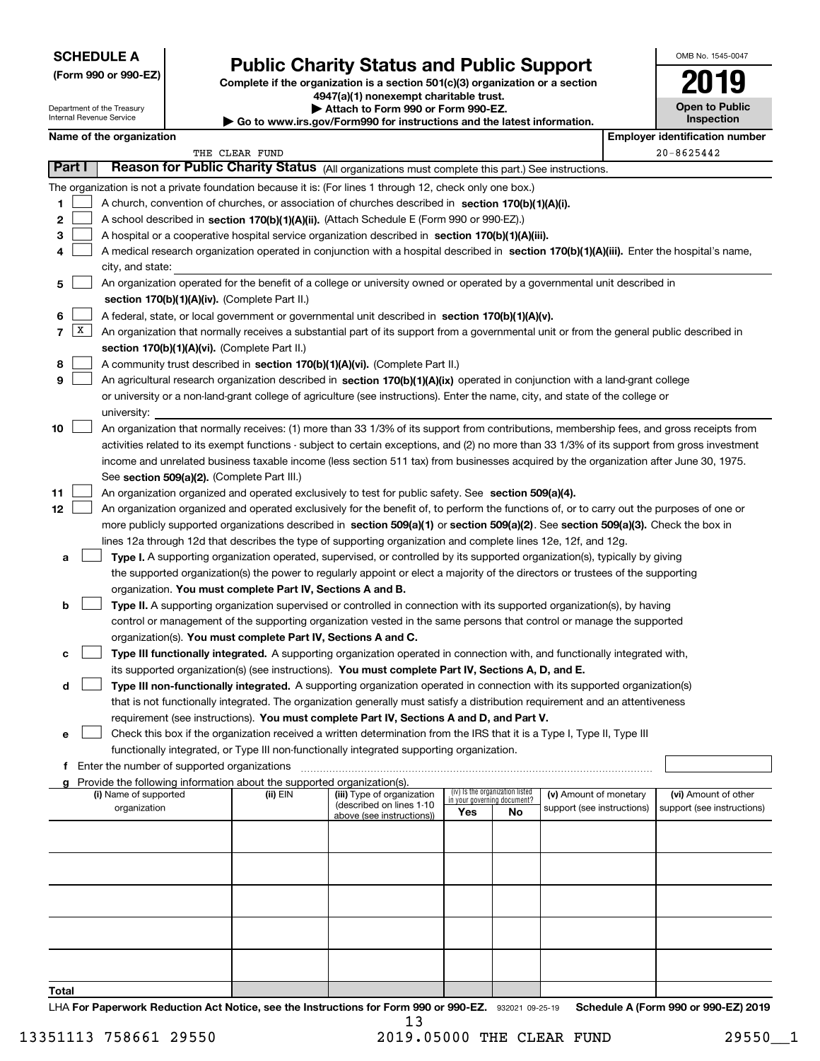### **SCHEDULE A**

**(Form 990 or 990-EZ)**

Department of the Treasury Internal Revenue Service

# **Public Charity Status and Public Support**

**Complete if the organization is a section 501(c)(3) organization or a section 4947(a)(1) nonexempt charitable trust. | Attach to Form 990 or Form 990-EZ. | Go to www.irs.gov/Form990 for instructions and the latest information.**

| <b>Open to Public</b><br>Inspection |  |
|-------------------------------------|--|

OMB No. 1545-0047

|        | Name of the organization<br><b>Employer identification number</b> |                                                                                                                                                   |                |                                                       |                                                                |    |                            |  |                            |  |
|--------|-------------------------------------------------------------------|---------------------------------------------------------------------------------------------------------------------------------------------------|----------------|-------------------------------------------------------|----------------------------------------------------------------|----|----------------------------|--|----------------------------|--|
|        |                                                                   |                                                                                                                                                   | THE CLEAR FUND |                                                       |                                                                |    |                            |  | $20 - 8625442$             |  |
| Part I |                                                                   | Reason for Public Charity Status (All organizations must complete this part.) See instructions.                                                   |                |                                                       |                                                                |    |                            |  |                            |  |
|        |                                                                   | The organization is not a private foundation because it is: (For lines 1 through 12, check only one box.)                                         |                |                                                       |                                                                |    |                            |  |                            |  |
| 1      |                                                                   | A church, convention of churches, or association of churches described in section 170(b)(1)(A)(i).                                                |                |                                                       |                                                                |    |                            |  |                            |  |
| 2      |                                                                   | A school described in section 170(b)(1)(A)(ii). (Attach Schedule E (Form 990 or 990-EZ).)                                                         |                |                                                       |                                                                |    |                            |  |                            |  |
| 3      |                                                                   | A hospital or a cooperative hospital service organization described in section 170(b)(1)(A)(iii).                                                 |                |                                                       |                                                                |    |                            |  |                            |  |
| 4      |                                                                   | A medical research organization operated in conjunction with a hospital described in section 170(b)(1)(A)(iii). Enter the hospital's name,        |                |                                                       |                                                                |    |                            |  |                            |  |
|        |                                                                   | city, and state:                                                                                                                                  |                |                                                       |                                                                |    |                            |  |                            |  |
| 5      |                                                                   | An organization operated for the benefit of a college or university owned or operated by a governmental unit described in                         |                |                                                       |                                                                |    |                            |  |                            |  |
|        |                                                                   | section 170(b)(1)(A)(iv). (Complete Part II.)<br>A federal, state, or local government or governmental unit described in section 170(b)(1)(A)(v). |                |                                                       |                                                                |    |                            |  |                            |  |
| 6<br>7 | X                                                                 |                                                                                                                                                   |                |                                                       |                                                                |    |                            |  |                            |  |
|        |                                                                   | An organization that normally receives a substantial part of its support from a governmental unit or from the general public described in         |                |                                                       |                                                                |    |                            |  |                            |  |
|        |                                                                   | section 170(b)(1)(A)(vi). (Complete Part II.)                                                                                                     |                |                                                       |                                                                |    |                            |  |                            |  |
| 8      |                                                                   | A community trust described in section 170(b)(1)(A)(vi). (Complete Part II.)                                                                      |                |                                                       |                                                                |    |                            |  |                            |  |
| 9      |                                                                   | An agricultural research organization described in section 170(b)(1)(A)(ix) operated in conjunction with a land-grant college                     |                |                                                       |                                                                |    |                            |  |                            |  |
|        |                                                                   | or university or a non-land-grant college of agriculture (see instructions). Enter the name, city, and state of the college or<br>university:     |                |                                                       |                                                                |    |                            |  |                            |  |
| 10     |                                                                   | An organization that normally receives: (1) more than 33 1/3% of its support from contributions, membership fees, and gross receipts from         |                |                                                       |                                                                |    |                            |  |                            |  |
|        |                                                                   | activities related to its exempt functions - subject to certain exceptions, and (2) no more than 33 1/3% of its support from gross investment     |                |                                                       |                                                                |    |                            |  |                            |  |
|        |                                                                   | income and unrelated business taxable income (less section 511 tax) from businesses acquired by the organization after June 30, 1975.             |                |                                                       |                                                                |    |                            |  |                            |  |
|        |                                                                   | See section 509(a)(2). (Complete Part III.)                                                                                                       |                |                                                       |                                                                |    |                            |  |                            |  |
| 11     |                                                                   | An organization organized and operated exclusively to test for public safety. See section 509(a)(4).                                              |                |                                                       |                                                                |    |                            |  |                            |  |
| 12     |                                                                   | An organization organized and operated exclusively for the benefit of, to perform the functions of, or to carry out the purposes of one or        |                |                                                       |                                                                |    |                            |  |                            |  |
|        |                                                                   | more publicly supported organizations described in section 509(a)(1) or section 509(a)(2). See section 509(a)(3). Check the box in                |                |                                                       |                                                                |    |                            |  |                            |  |
|        |                                                                   | lines 12a through 12d that describes the type of supporting organization and complete lines 12e, 12f, and 12g.                                    |                |                                                       |                                                                |    |                            |  |                            |  |
| а      |                                                                   | Type I. A supporting organization operated, supervised, or controlled by its supported organization(s), typically by giving                       |                |                                                       |                                                                |    |                            |  |                            |  |
|        |                                                                   | the supported organization(s) the power to regularly appoint or elect a majority of the directors or trustees of the supporting                   |                |                                                       |                                                                |    |                            |  |                            |  |
|        |                                                                   | organization. You must complete Part IV, Sections A and B.                                                                                        |                |                                                       |                                                                |    |                            |  |                            |  |
| b      |                                                                   | Type II. A supporting organization supervised or controlled in connection with its supported organization(s), by having                           |                |                                                       |                                                                |    |                            |  |                            |  |
|        |                                                                   | control or management of the supporting organization vested in the same persons that control or manage the supported                              |                |                                                       |                                                                |    |                            |  |                            |  |
|        |                                                                   | organization(s). You must complete Part IV, Sections A and C.                                                                                     |                |                                                       |                                                                |    |                            |  |                            |  |
| с      |                                                                   | Type III functionally integrated. A supporting organization operated in connection with, and functionally integrated with,                        |                |                                                       |                                                                |    |                            |  |                            |  |
|        |                                                                   | its supported organization(s) (see instructions). You must complete Part IV, Sections A, D, and E.                                                |                |                                                       |                                                                |    |                            |  |                            |  |
| d      |                                                                   | Type III non-functionally integrated. A supporting organization operated in connection with its supported organization(s)                         |                |                                                       |                                                                |    |                            |  |                            |  |
|        |                                                                   | that is not functionally integrated. The organization generally must satisfy a distribution requirement and an attentiveness                      |                |                                                       |                                                                |    |                            |  |                            |  |
|        |                                                                   | requirement (see instructions). You must complete Part IV, Sections A and D, and Part V.                                                          |                |                                                       |                                                                |    |                            |  |                            |  |
| е      |                                                                   | Check this box if the organization received a written determination from the IRS that it is a Type I, Type II, Type III                           |                |                                                       |                                                                |    |                            |  |                            |  |
|        |                                                                   | functionally integrated, or Type III non-functionally integrated supporting organization.                                                         |                |                                                       |                                                                |    |                            |  |                            |  |
| f      |                                                                   | Enter the number of supported organizations                                                                                                       |                |                                                       |                                                                |    |                            |  |                            |  |
| g      |                                                                   | Provide the following information about the supported organization(s).                                                                            |                |                                                       |                                                                |    |                            |  |                            |  |
|        |                                                                   | (i) Name of supported                                                                                                                             | (ii) EIN       | (iii) Type of organization                            | (iv) Is the organization listed<br>in your governing document? |    | (v) Amount of monetary     |  | (vi) Amount of other       |  |
|        |                                                                   | organization                                                                                                                                      |                | (described on lines 1-10<br>above (see instructions)) | Yes                                                            | No | support (see instructions) |  | support (see instructions) |  |
|        |                                                                   |                                                                                                                                                   |                |                                                       |                                                                |    |                            |  |                            |  |
|        |                                                                   |                                                                                                                                                   |                |                                                       |                                                                |    |                            |  |                            |  |
|        |                                                                   |                                                                                                                                                   |                |                                                       |                                                                |    |                            |  |                            |  |
|        |                                                                   |                                                                                                                                                   |                |                                                       |                                                                |    |                            |  |                            |  |
|        |                                                                   |                                                                                                                                                   |                |                                                       |                                                                |    |                            |  |                            |  |
|        |                                                                   |                                                                                                                                                   |                |                                                       |                                                                |    |                            |  |                            |  |
|        |                                                                   |                                                                                                                                                   |                |                                                       |                                                                |    |                            |  |                            |  |
|        |                                                                   |                                                                                                                                                   |                |                                                       |                                                                |    |                            |  |                            |  |
|        |                                                                   |                                                                                                                                                   |                |                                                       |                                                                |    |                            |  |                            |  |
| Total  |                                                                   |                                                                                                                                                   |                |                                                       |                                                                |    |                            |  |                            |  |

**Total**

LHA For Paperwork Reduction Act Notice, see the Instructions for Form 990 or 990-EZ. 932021 09-25-19 Schedule A (Form 990 or 990-EZ) 2019 13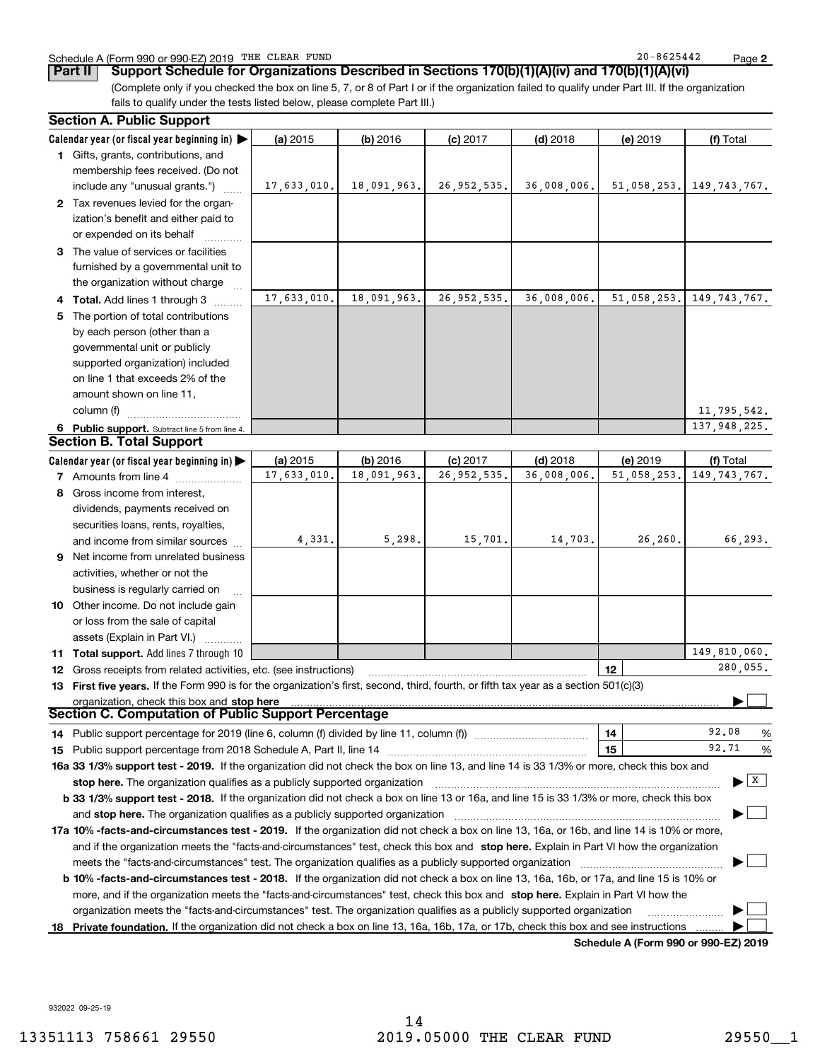### Schedule A (Form 990 or 990-EZ) 2019 Page THE CLEAR FUND 20-8625442

**2**

(Complete only if you checked the box on line 5, 7, or 8 of Part I or if the organization failed to qualify under Part III. If the organization fails to qualify under the tests listed below, please complete Part III.) **Part II Support Schedule for Organizations Described in Sections 170(b)(1)(A)(iv) and 170(b)(1)(A)(vi)**

| <b>Section A. Public Support</b>                                                                                                               |             |             |               |             |                                              |                                          |  |  |
|------------------------------------------------------------------------------------------------------------------------------------------------|-------------|-------------|---------------|-------------|----------------------------------------------|------------------------------------------|--|--|
| Calendar year (or fiscal year beginning in) $\blacktriangleright$                                                                              | (a) 2015    | $(b)$ 2016  | $(c)$ 2017    | $(d)$ 2018  | (e) 2019                                     | (f) Total                                |  |  |
| 1 Gifts, grants, contributions, and                                                                                                            |             |             |               |             |                                              |                                          |  |  |
| membership fees received. (Do not                                                                                                              |             |             |               |             |                                              |                                          |  |  |
| include any "unusual grants.")                                                                                                                 | 17,633,010. | 18,091,963. | 26, 952, 535. | 36,008,006. | 51,058,253.                                  | 149, 743, 767.                           |  |  |
| 2 Tax revenues levied for the organ-                                                                                                           |             |             |               |             |                                              |                                          |  |  |
| ization's benefit and either paid to                                                                                                           |             |             |               |             |                                              |                                          |  |  |
| or expended on its behalf                                                                                                                      |             |             |               |             |                                              |                                          |  |  |
| 3 The value of services or facilities                                                                                                          |             |             |               |             |                                              |                                          |  |  |
| furnished by a governmental unit to                                                                                                            |             |             |               |             |                                              |                                          |  |  |
| the organization without charge                                                                                                                |             |             |               |             |                                              |                                          |  |  |
| 4 Total. Add lines 1 through 3                                                                                                                 | 17,633,010. | 18,091,963. | 26, 952, 535. | 36,008,006. | 51,058,253.                                  | 149, 743, 767.                           |  |  |
| 5 The portion of total contributions                                                                                                           |             |             |               |             |                                              |                                          |  |  |
| by each person (other than a                                                                                                                   |             |             |               |             |                                              |                                          |  |  |
| governmental unit or publicly                                                                                                                  |             |             |               |             |                                              |                                          |  |  |
| supported organization) included                                                                                                               |             |             |               |             |                                              |                                          |  |  |
| on line 1 that exceeds 2% of the                                                                                                               |             |             |               |             |                                              |                                          |  |  |
| amount shown on line 11,                                                                                                                       |             |             |               |             |                                              |                                          |  |  |
| column (f)                                                                                                                                     |             |             |               |             |                                              | 11,795,542.                              |  |  |
| 6 Public support. Subtract line 5 from line 4.                                                                                                 |             |             |               |             |                                              | 137,948,225.                             |  |  |
| <b>Section B. Total Support</b>                                                                                                                |             |             |               |             |                                              |                                          |  |  |
| Calendar year (or fiscal year beginning in) $\blacktriangleright$                                                                              | (a) 2015    | (b) 2016    | $(c)$ 2017    | $(d)$ 2018  | (e) 2019                                     | (f) Total                                |  |  |
| <b>7</b> Amounts from line 4                                                                                                                   | 17,633,010. | 18,091,963. | 26, 952, 535. | 36,008,006. | 51,058,253.                                  | 149, 743, 767.                           |  |  |
| 8 Gross income from interest,                                                                                                                  |             |             |               |             |                                              |                                          |  |  |
| dividends, payments received on                                                                                                                |             |             |               |             |                                              |                                          |  |  |
| securities loans, rents, royalties,                                                                                                            |             |             |               |             |                                              |                                          |  |  |
| and income from similar sources                                                                                                                | 4,331.      | 5,298.      | 15,701.       | 14,703.     | 26,260.                                      | 66,293.                                  |  |  |
| 9 Net income from unrelated business                                                                                                           |             |             |               |             |                                              |                                          |  |  |
| activities, whether or not the                                                                                                                 |             |             |               |             |                                              |                                          |  |  |
| business is regularly carried on                                                                                                               |             |             |               |             |                                              |                                          |  |  |
| 10 Other income. Do not include gain                                                                                                           |             |             |               |             |                                              |                                          |  |  |
| or loss from the sale of capital                                                                                                               |             |             |               |             |                                              |                                          |  |  |
| assets (Explain in Part VI.)                                                                                                                   |             |             |               |             |                                              |                                          |  |  |
| 11 Total support. Add lines 7 through 10                                                                                                       |             |             |               |             |                                              | 149,810,060.                             |  |  |
| <b>12</b> Gross receipts from related activities, etc. (see instructions)                                                                      |             |             |               |             | 12                                           | 280,055.                                 |  |  |
| 13 First five years. If the Form 990 is for the organization's first, second, third, fourth, or fifth tax year as a section 501(c)(3)          |             |             |               |             |                                              |                                          |  |  |
| organization, check this box and stop here                                                                                                     |             |             |               |             |                                              |                                          |  |  |
| Section C. Computation of Public Support Percentage                                                                                            |             |             |               |             |                                              |                                          |  |  |
| 14 Public support percentage for 2019 (line 6, column (f) divided by line 11, column (f) <i>mummeronom</i>                                     |             |             |               |             | 14                                           | 92.08<br>%                               |  |  |
|                                                                                                                                                |             |             |               |             | 15                                           | 92.71<br>%                               |  |  |
| 16a 33 1/3% support test - 2019. If the organization did not check the box on line 13, and line 14 is 33 1/3% or more, check this box and      |             |             |               |             |                                              |                                          |  |  |
| stop here. The organization qualifies as a publicly supported organization                                                                     |             |             |               |             |                                              | $\blacktriangleright$ $\boxed{\text{X}}$ |  |  |
| b 33 1/3% support test - 2018. If the organization did not check a box on line 13 or 16a, and line 15 is 33 1/3% or more, check this box       |             |             |               |             |                                              |                                          |  |  |
| and stop here. The organization qualifies as a publicly supported organization                                                                 |             |             |               |             |                                              |                                          |  |  |
| 17a 10% -facts-and-circumstances test - 2019. If the organization did not check a box on line 13, 16a, or 16b, and line 14 is 10% or more,     |             |             |               |             |                                              |                                          |  |  |
| and if the organization meets the "facts-and-circumstances" test, check this box and stop here. Explain in Part VI how the organization        |             |             |               |             |                                              |                                          |  |  |
| meets the "facts-and-circumstances" test. The organization qualifies as a publicly supported organization <i>manumumumumum</i>                 |             |             |               |             |                                              |                                          |  |  |
| <b>b 10% -facts-and-circumstances test - 2018.</b> If the organization did not check a box on line 13, 16a, 16b, or 17a, and line 15 is 10% or |             |             |               |             |                                              |                                          |  |  |
| more, and if the organization meets the "facts-and-circumstances" test, check this box and stop here. Explain in Part VI how the               |             |             |               |             |                                              |                                          |  |  |
| organization meets the "facts-and-circumstances" test. The organization qualifies as a publicly supported organization                         |             |             |               |             |                                              |                                          |  |  |
| 18 Private foundation. If the organization did not check a box on line 13, 16a, 16b, 17a, or 17b, check this box and see instructions          |             |             |               |             |                                              |                                          |  |  |
|                                                                                                                                                |             |             |               |             | <b>Cabadula A (Fause 000 av 000 EZ) 0040</b> |                                          |  |  |

**Schedule A (Form 990 or 990-EZ) 2019**

932022 09-25-19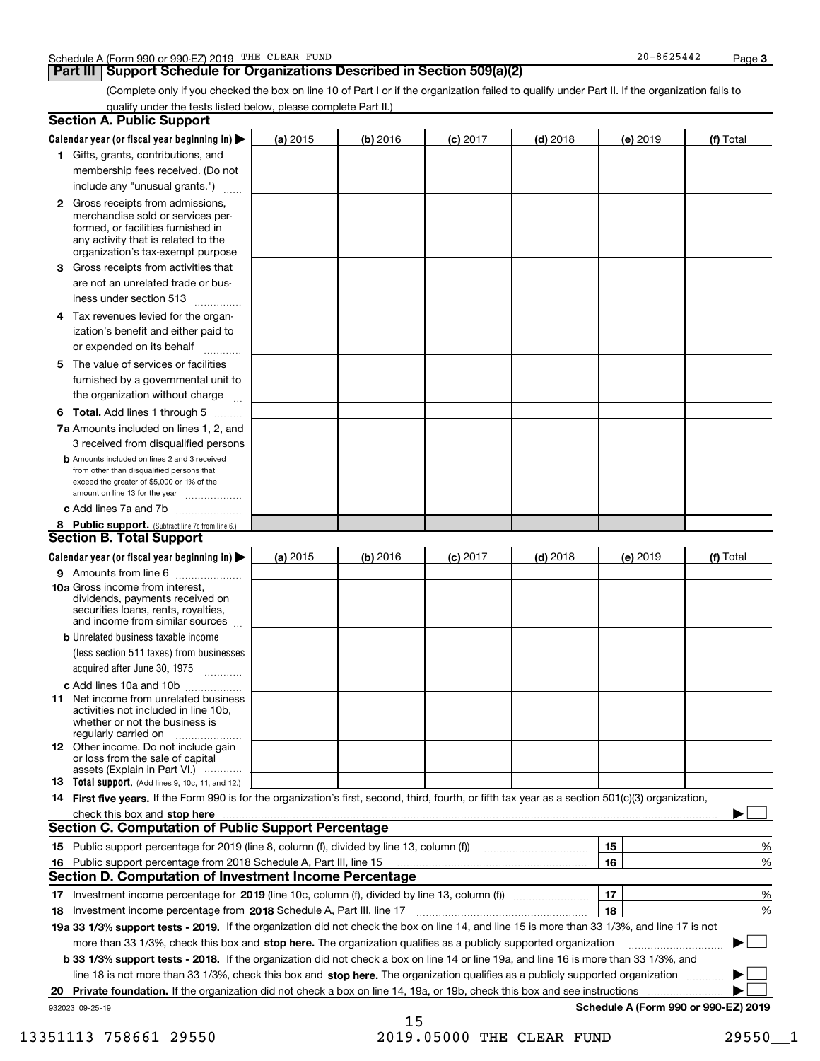### **Part III** | Support Schedule for Organizations Described in Section 509(a)(2)

(Complete only if you checked the box on line 10 of Part I or if the organization failed to qualify under Part II. If the organization fails to qualify under the tests listed below, please complete Part II.)

|     | <b>Section A. Public Support</b>                                                                                                                                                                                               |            |          |                 |            |          |                                      |
|-----|--------------------------------------------------------------------------------------------------------------------------------------------------------------------------------------------------------------------------------|------------|----------|-----------------|------------|----------|--------------------------------------|
|     | Calendar year (or fiscal year beginning in) $\blacktriangleright$                                                                                                                                                              | (a) 2015   | (b) 2016 | <b>(c)</b> 2017 | $(d)$ 2018 | (e) 2019 | (f) Total                            |
|     | 1 Gifts, grants, contributions, and                                                                                                                                                                                            |            |          |                 |            |          |                                      |
|     | membership fees received. (Do not                                                                                                                                                                                              |            |          |                 |            |          |                                      |
|     | include any "unusual grants.")                                                                                                                                                                                                 |            |          |                 |            |          |                                      |
|     | <b>2</b> Gross receipts from admissions,<br>merchandise sold or services per-<br>formed, or facilities furnished in<br>any activity that is related to the<br>organization's tax-exempt purpose                                |            |          |                 |            |          |                                      |
|     | 3 Gross receipts from activities that                                                                                                                                                                                          |            |          |                 |            |          |                                      |
|     | are not an unrelated trade or bus-                                                                                                                                                                                             |            |          |                 |            |          |                                      |
|     | iness under section 513                                                                                                                                                                                                        |            |          |                 |            |          |                                      |
|     | 4 Tax revenues levied for the organ-                                                                                                                                                                                           |            |          |                 |            |          |                                      |
|     | ization's benefit and either paid to<br>or expended on its behalf<br>.                                                                                                                                                         |            |          |                 |            |          |                                      |
|     | 5 The value of services or facilities                                                                                                                                                                                          |            |          |                 |            |          |                                      |
|     | furnished by a governmental unit to                                                                                                                                                                                            |            |          |                 |            |          |                                      |
|     | the organization without charge                                                                                                                                                                                                |            |          |                 |            |          |                                      |
|     | <b>6 Total.</b> Add lines 1 through 5                                                                                                                                                                                          |            |          |                 |            |          |                                      |
|     | 7a Amounts included on lines 1, 2, and<br>3 received from disqualified persons                                                                                                                                                 |            |          |                 |            |          |                                      |
|     | <b>b</b> Amounts included on lines 2 and 3 received<br>from other than disqualified persons that<br>exceed the greater of \$5,000 or 1% of the<br>amount on line 13 for the year                                               |            |          |                 |            |          |                                      |
|     | c Add lines 7a and 7b                                                                                                                                                                                                          |            |          |                 |            |          |                                      |
|     | 8 Public support. (Subtract line 7c from line 6.)<br><b>Section B. Total Support</b>                                                                                                                                           |            |          |                 |            |          |                                      |
|     | Calendar year (or fiscal year beginning in)                                                                                                                                                                                    | (a) $2015$ | (b) 2016 | <b>(c)</b> 2017 | $(d)$ 2018 | (e) 2019 | (f) Total                            |
|     | 9 Amounts from line 6                                                                                                                                                                                                          |            |          |                 |            |          |                                      |
|     | 10a Gross income from interest,<br>dividends, payments received on<br>securities loans, rents, royalties,<br>and income from similar sources                                                                                   |            |          |                 |            |          |                                      |
|     | <b>b</b> Unrelated business taxable income                                                                                                                                                                                     |            |          |                 |            |          |                                      |
|     | (less section 511 taxes) from businesses<br>acquired after June 30, 1975 [10001]                                                                                                                                               |            |          |                 |            |          |                                      |
|     | c Add lines 10a and 10b                                                                                                                                                                                                        |            |          |                 |            |          |                                      |
|     | 11 Net income from unrelated business<br>activities not included in line 10b,<br>whether or not the business is<br>regularly carried on                                                                                        |            |          |                 |            |          |                                      |
|     | <b>12</b> Other income. Do not include gain<br>or loss from the sale of capital<br>assets (Explain in Part VI.)                                                                                                                |            |          |                 |            |          |                                      |
|     | 13 Total support. (Add lines 9, 10c, 11, and 12.)                                                                                                                                                                              |            |          |                 |            |          |                                      |
|     | 14 First five years. If the Form 990 is for the organization's first, second, third, fourth, or fifth tax year as a section 501(c)(3) organization,                                                                            |            |          |                 |            |          |                                      |
|     | check this box and stop here communication and content to the state of the state of the state of the state of the state of the state of the state of the state of the state of the state of the state of the state of the stat |            |          |                 |            |          |                                      |
|     | <b>Section C. Computation of Public Support Percentage</b>                                                                                                                                                                     |            |          |                 |            |          |                                      |
|     |                                                                                                                                                                                                                                |            |          |                 |            | 15       | %                                    |
| 16. | Public support percentage from 2018 Schedule A, Part III, line 15                                                                                                                                                              |            |          |                 |            | 16       | %                                    |
|     | <b>Section D. Computation of Investment Income Percentage</b>                                                                                                                                                                  |            |          |                 |            |          |                                      |
|     | 17 Investment income percentage for 2019 (line 10c, column (f), divided by line 13, column (f))                                                                                                                                |            |          |                 |            | 17       | %                                    |
|     | 18 Investment income percentage from 2018 Schedule A, Part III, line 17                                                                                                                                                        |            |          |                 |            | 18       | %                                    |
|     | 19a 33 1/3% support tests - 2019. If the organization did not check the box on line 14, and line 15 is more than 33 1/3%, and line 17 is not                                                                                   |            |          |                 |            |          |                                      |
|     | more than 33 1/3%, check this box and stop here. The organization qualifies as a publicly supported organization                                                                                                               |            |          |                 |            |          | $\sim$ 1                             |
|     | b 33 1/3% support tests - 2018. If the organization did not check a box on line 14 or line 19a, and line 16 is more than 33 1/3%, and                                                                                          |            |          |                 |            |          |                                      |
|     | line 18 is not more than 33 1/3%, check this box and stop here. The organization qualifies as a publicly supported organization                                                                                                |            |          |                 |            |          |                                      |
| 20  | Private foundation. If the organization did not check a box on line 14, 19a, or 19b, check this box and see instructions                                                                                                       |            |          |                 |            |          |                                      |
|     | 932023 09-25-19                                                                                                                                                                                                                |            | 15       |                 |            |          | Schedule A (Form 990 or 990-EZ) 2019 |

<sup>13351113 758661 29550 2019.05000</sup> THE CLEAR FUND 29550 29550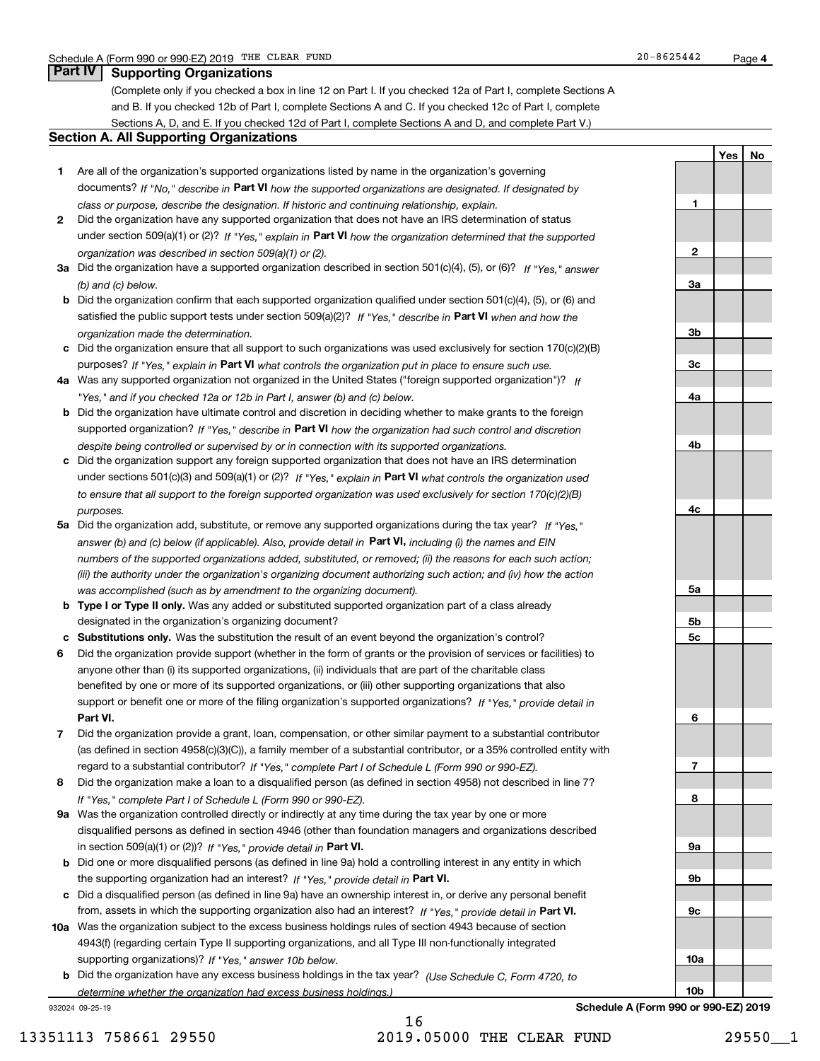(Complete only if you checked a box in line 12 on Part I. If you checked 12a of Part I, complete Sections A and B. If you checked 12b of Part I, complete Sections A and C. If you checked 12c of Part I, complete Sections A, D, and E. If you checked 12d of Part I, complete Sections A and D, and complete Part V.)

### **Section A. All Supporting Organizations**

- **1** Are all of the organization's supported organizations listed by name in the organization's governing documents? If "No," describe in **Part VI** how the supported organizations are designated. If designated by *class or purpose, describe the designation. If historic and continuing relationship, explain.*
- **2** Did the organization have any supported organization that does not have an IRS determination of status under section 509(a)(1) or (2)? If "Yes," explain in Part VI how the organization determined that the supported *organization was described in section 509(a)(1) or (2).*
- **3a** Did the organization have a supported organization described in section 501(c)(4), (5), or (6)? If "Yes," answer *(b) and (c) below.*
- **b** Did the organization confirm that each supported organization qualified under section 501(c)(4), (5), or (6) and satisfied the public support tests under section 509(a)(2)? If "Yes," describe in **Part VI** when and how the *organization made the determination.*
- **c**Did the organization ensure that all support to such organizations was used exclusively for section 170(c)(2)(B) purposes? If "Yes," explain in **Part VI** what controls the organization put in place to ensure such use.
- **4a***If* Was any supported organization not organized in the United States ("foreign supported organization")? *"Yes," and if you checked 12a or 12b in Part I, answer (b) and (c) below.*
- **b** Did the organization have ultimate control and discretion in deciding whether to make grants to the foreign supported organization? If "Yes," describe in **Part VI** how the organization had such control and discretion *despite being controlled or supervised by or in connection with its supported organizations.*
- **c** Did the organization support any foreign supported organization that does not have an IRS determination under sections 501(c)(3) and 509(a)(1) or (2)? If "Yes," explain in **Part VI** what controls the organization used *to ensure that all support to the foreign supported organization was used exclusively for section 170(c)(2)(B) purposes.*
- **5a** Did the organization add, substitute, or remove any supported organizations during the tax year? If "Yes," answer (b) and (c) below (if applicable). Also, provide detail in **Part VI,** including (i) the names and EIN *numbers of the supported organizations added, substituted, or removed; (ii) the reasons for each such action; (iii) the authority under the organization's organizing document authorizing such action; and (iv) how the action was accomplished (such as by amendment to the organizing document).*
- **b** Type I or Type II only. Was any added or substituted supported organization part of a class already designated in the organization's organizing document?
- **cSubstitutions only.**  Was the substitution the result of an event beyond the organization's control?
- **6** Did the organization provide support (whether in the form of grants or the provision of services or facilities) to **Part VI.** *If "Yes," provide detail in* support or benefit one or more of the filing organization's supported organizations? anyone other than (i) its supported organizations, (ii) individuals that are part of the charitable class benefited by one or more of its supported organizations, or (iii) other supporting organizations that also
- **7**Did the organization provide a grant, loan, compensation, or other similar payment to a substantial contributor *If "Yes," complete Part I of Schedule L (Form 990 or 990-EZ).* regard to a substantial contributor? (as defined in section 4958(c)(3)(C)), a family member of a substantial contributor, or a 35% controlled entity with
- **8** Did the organization make a loan to a disqualified person (as defined in section 4958) not described in line 7? *If "Yes," complete Part I of Schedule L (Form 990 or 990-EZ).*
- **9a** Was the organization controlled directly or indirectly at any time during the tax year by one or more in section 509(a)(1) or (2))? If "Yes," *provide detail in* <code>Part VI.</code> disqualified persons as defined in section 4946 (other than foundation managers and organizations described
- **b** Did one or more disqualified persons (as defined in line 9a) hold a controlling interest in any entity in which the supporting organization had an interest? If "Yes," provide detail in P**art VI**.
- **c**Did a disqualified person (as defined in line 9a) have an ownership interest in, or derive any personal benefit from, assets in which the supporting organization also had an interest? If "Yes," provide detail in P**art VI.**
- **10a** Was the organization subject to the excess business holdings rules of section 4943 because of section supporting organizations)? If "Yes," answer 10b below. 4943(f) (regarding certain Type II supporting organizations, and all Type III non-functionally integrated
- **b** Did the organization have any excess business holdings in the tax year? (Use Schedule C, Form 4720, to *determine whether the organization had excess business holdings.)*

932024 09-25-19



**Schedule A (Form 990 or 990-EZ) 2019**

**YesNo**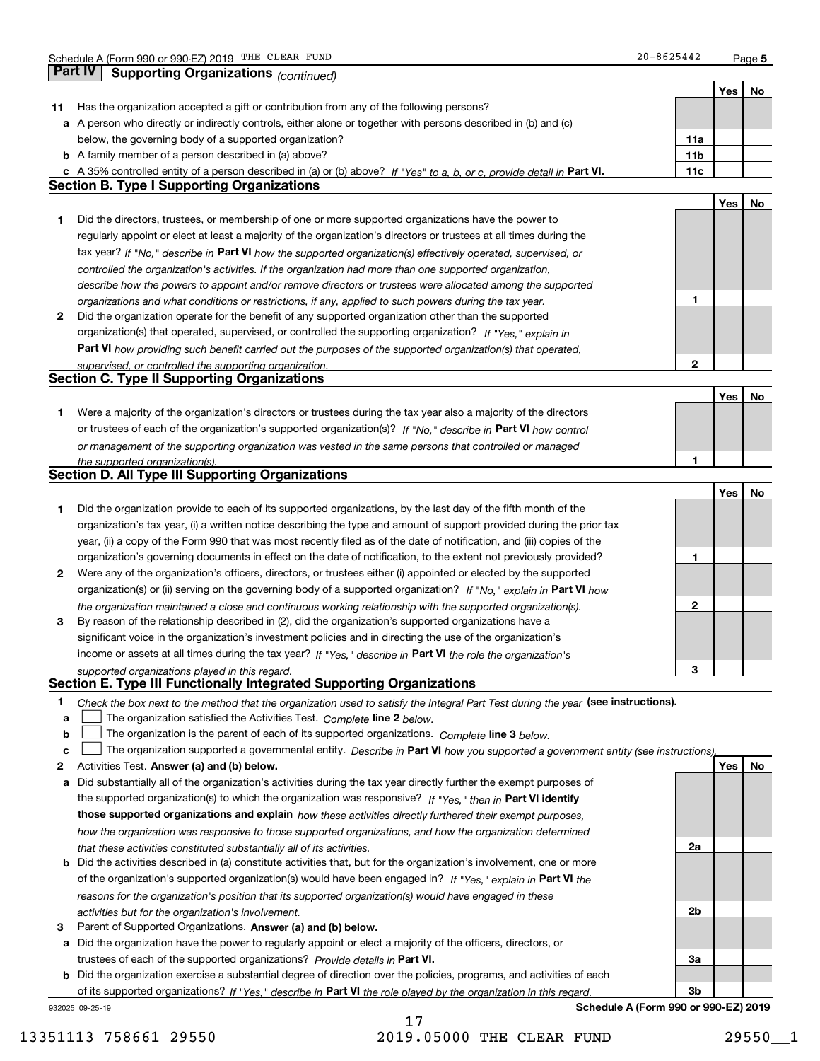**5**

|    | Part IV         | Supporting Organizations (continued)                                                                                                                                         |                 |     |    |
|----|-----------------|------------------------------------------------------------------------------------------------------------------------------------------------------------------------------|-----------------|-----|----|
|    |                 |                                                                                                                                                                              |                 | Yes | No |
| 11 |                 | Has the organization accepted a gift or contribution from any of the following persons?                                                                                      |                 |     |    |
|    |                 | a A person who directly or indirectly controls, either alone or together with persons described in (b) and (c)                                                               |                 |     |    |
|    |                 | below, the governing body of a supported organization?                                                                                                                       | 11a             |     |    |
|    |                 | <b>b</b> A family member of a person described in (a) above?                                                                                                                 | 11 <sub>b</sub> |     |    |
|    |                 |                                                                                                                                                                              | 11c             |     |    |
|    |                 | c A 35% controlled entity of a person described in (a) or (b) above? If "Yes" to a, b, or c, provide detail in Part VI.<br><b>Section B. Type I Supporting Organizations</b> |                 |     |    |
|    |                 |                                                                                                                                                                              |                 |     |    |
|    |                 |                                                                                                                                                                              |                 | Yes | No |
| 1  |                 | Did the directors, trustees, or membership of one or more supported organizations have the power to                                                                          |                 |     |    |
|    |                 | regularly appoint or elect at least a majority of the organization's directors or trustees at all times during the                                                           |                 |     |    |
|    |                 | tax year? If "No," describe in Part VI how the supported organization(s) effectively operated, supervised, or                                                                |                 |     |    |
|    |                 | controlled the organization's activities. If the organization had more than one supported organization,                                                                      |                 |     |    |
|    |                 | describe how the powers to appoint and/or remove directors or trustees were allocated among the supported                                                                    |                 |     |    |
|    |                 | organizations and what conditions or restrictions, if any, applied to such powers during the tax year.                                                                       | 1               |     |    |
| 2  |                 | Did the organization operate for the benefit of any supported organization other than the supported                                                                          |                 |     |    |
|    |                 | organization(s) that operated, supervised, or controlled the supporting organization? If "Yes," explain in                                                                   |                 |     |    |
|    |                 | Part VI how providing such benefit carried out the purposes of the supported organization(s) that operated,                                                                  |                 |     |    |
|    |                 | supervised, or controlled the supporting organization.                                                                                                                       | $\mathbf{2}$    |     |    |
|    |                 | <b>Section C. Type II Supporting Organizations</b>                                                                                                                           |                 |     |    |
|    |                 |                                                                                                                                                                              |                 | Yes | No |
| 1  |                 | Were a majority of the organization's directors or trustees during the tax year also a majority of the directors                                                             |                 |     |    |
|    |                 | or trustees of each of the organization's supported organization(s)? If "No," describe in Part VI how control                                                                |                 |     |    |
|    |                 | or management of the supporting organization was vested in the same persons that controlled or managed                                                                       |                 |     |    |
|    |                 | the supported organization(s).                                                                                                                                               | 1               |     |    |
|    |                 | <b>Section D. All Type III Supporting Organizations</b>                                                                                                                      |                 |     |    |
|    |                 |                                                                                                                                                                              |                 | Yes | No |
| 1  |                 | Did the organization provide to each of its supported organizations, by the last day of the fifth month of the                                                               |                 |     |    |
|    |                 | organization's tax year, (i) a written notice describing the type and amount of support provided during the prior tax                                                        |                 |     |    |
|    |                 | year, (ii) a copy of the Form 990 that was most recently filed as of the date of notification, and (iii) copies of the                                                       |                 |     |    |
|    |                 | organization's governing documents in effect on the date of notification, to the extent not previously provided?                                                             | 1               |     |    |
| 2  |                 | Were any of the organization's officers, directors, or trustees either (i) appointed or elected by the supported                                                             |                 |     |    |
|    |                 | organization(s) or (ii) serving on the governing body of a supported organization? If "No," explain in Part VI how                                                           |                 |     |    |
|    |                 |                                                                                                                                                                              | $\mathbf{2}$    |     |    |
|    |                 | the organization maintained a close and continuous working relationship with the supported organization(s).                                                                  |                 |     |    |
| з  |                 | By reason of the relationship described in (2), did the organization's supported organizations have a                                                                        |                 |     |    |
|    |                 | significant voice in the organization's investment policies and in directing the use of the organization's                                                                   |                 |     |    |
|    |                 | income or assets at all times during the tax year? If "Yes," describe in Part VI the role the organization's                                                                 |                 |     |    |
|    |                 | supported organizations played in this regard.<br>Section E. Type III Functionally Integrated Supporting Organizations                                                       | 3               |     |    |
|    |                 |                                                                                                                                                                              |                 |     |    |
| 1  |                 | Check the box next to the method that the organization used to satisfy the Integral Part Test during the year (see instructions).                                            |                 |     |    |
| a  |                 | The organization satisfied the Activities Test. Complete line 2 below.                                                                                                       |                 |     |    |
| b  |                 | The organization is the parent of each of its supported organizations. Complete line 3 below.                                                                                |                 |     |    |
| c  |                 | The organization supported a governmental entity. Describe in Part VI how you supported a government entity (see instructions),                                              |                 |     |    |
| 2  |                 | Activities Test. Answer (a) and (b) below.                                                                                                                                   |                 | Yes | No |
| а  |                 | Did substantially all of the organization's activities during the tax year directly further the exempt purposes of                                                           |                 |     |    |
|    |                 | the supported organization(s) to which the organization was responsive? If "Yes," then in Part VI identify                                                                   |                 |     |    |
|    |                 | those supported organizations and explain how these activities directly furthered their exempt purposes,                                                                     |                 |     |    |
|    |                 | how the organization was responsive to those supported organizations, and how the organization determined                                                                    |                 |     |    |
|    |                 | that these activities constituted substantially all of its activities.                                                                                                       | 2a              |     |    |
| b  |                 | Did the activities described in (a) constitute activities that, but for the organization's involvement, one or more                                                          |                 |     |    |
|    |                 | of the organization's supported organization(s) would have been engaged in? If "Yes," explain in Part VI the                                                                 |                 |     |    |
|    |                 | reasons for the organization's position that its supported organization(s) would have engaged in these                                                                       |                 |     |    |
|    |                 | activities but for the organization's involvement.                                                                                                                           | 2b              |     |    |
| з  |                 | Parent of Supported Organizations. Answer (a) and (b) below.                                                                                                                 |                 |     |    |
| а  |                 | Did the organization have the power to regularly appoint or elect a majority of the officers, directors, or                                                                  |                 |     |    |
|    |                 | trustees of each of the supported organizations? Provide details in Part VI.                                                                                                 | 3a              |     |    |
|    |                 | <b>b</b> Did the organization exercise a substantial degree of direction over the policies, programs, and activities of each                                                 |                 |     |    |
|    |                 | of its supported organizations? If "Yes," describe in Part VI the role played by the organization in this regard                                                             | 3b              |     |    |
|    | 932025 09-25-19 | Schedule A (Form 990 or 990-EZ) 2019                                                                                                                                         |                 |     |    |

13351113 758661 29550 2019.05000 THE CLEAR FUND 29550 29550

17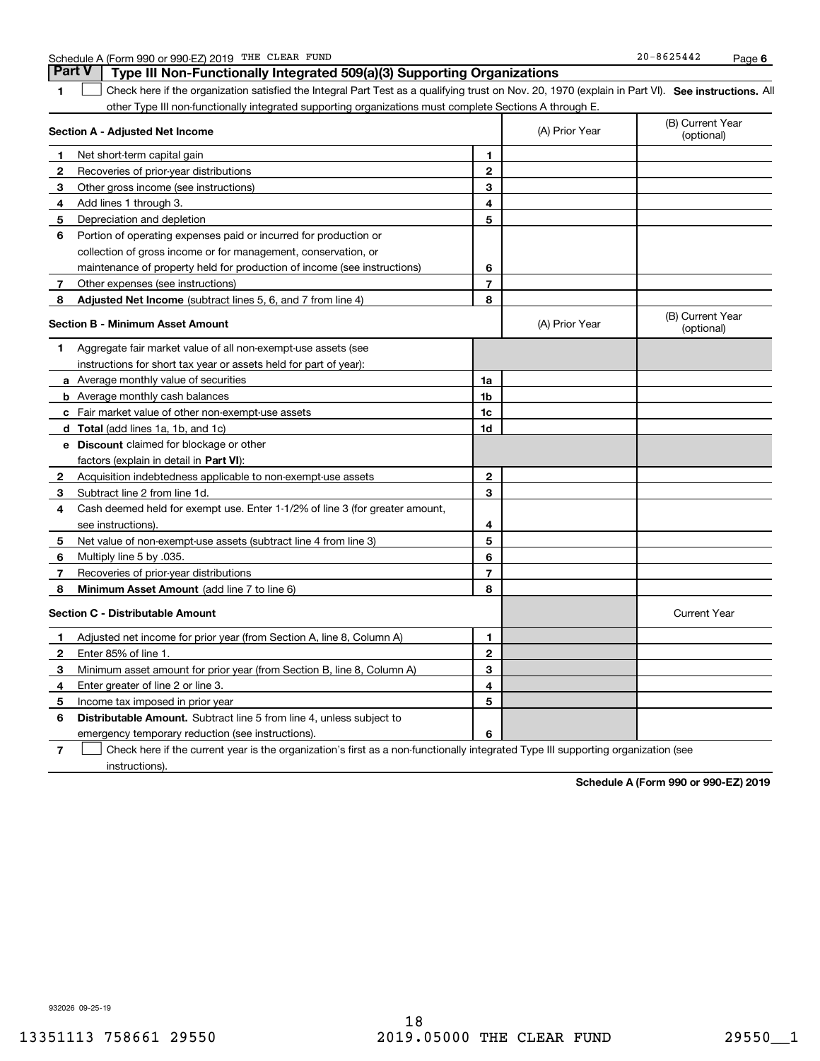| CLEAR<br>FUND<br>THE<br>A (Form 990 or 990-EZ) 2019<br>Schedule | $-8625442$<br>20<br>Paɑe |  |
|-----------------------------------------------------------------|--------------------------|--|
|-----------------------------------------------------------------|--------------------------|--|

|              | <b>Part V</b><br>Type III Non-Functionally Integrated 509(a)(3) Supporting Organizations                                                          |                |                |                                |
|--------------|---------------------------------------------------------------------------------------------------------------------------------------------------|----------------|----------------|--------------------------------|
| 1.           | Check here if the organization satisfied the Integral Part Test as a qualifying trust on Nov. 20, 1970 (explain in Part VI). See instructions. Al |                |                |                                |
|              | other Type III non-functionally integrated supporting organizations must complete Sections A through E.                                           |                |                |                                |
|              | Section A - Adjusted Net Income                                                                                                                   |                | (A) Prior Year | (B) Current Year<br>(optional) |
| 1            | Net short-term capital gain                                                                                                                       | 1              |                |                                |
| $\mathbf{2}$ | Recoveries of prior-year distributions                                                                                                            | $\mathbf{2}$   |                |                                |
| 3            | Other gross income (see instructions)                                                                                                             | 3              |                |                                |
| 4            | Add lines 1 through 3.                                                                                                                            | 4              |                |                                |
| 5            | Depreciation and depletion                                                                                                                        | 5              |                |                                |
| 6            | Portion of operating expenses paid or incurred for production or                                                                                  |                |                |                                |
|              | collection of gross income or for management, conservation, or                                                                                    |                |                |                                |
|              | maintenance of property held for production of income (see instructions)                                                                          | 6              |                |                                |
| 7            | Other expenses (see instructions)                                                                                                                 | $\overline{7}$ |                |                                |
| 8            | Adjusted Net Income (subtract lines 5, 6, and 7 from line 4)                                                                                      | 8              |                |                                |
|              | <b>Section B - Minimum Asset Amount</b>                                                                                                           |                | (A) Prior Year | (B) Current Year<br>(optional) |
| 1            | Aggregate fair market value of all non-exempt-use assets (see                                                                                     |                |                |                                |
|              | instructions for short tax year or assets held for part of year):                                                                                 |                |                |                                |
|              | <b>a</b> Average monthly value of securities                                                                                                      | 1a             |                |                                |
|              | <b>b</b> Average monthly cash balances                                                                                                            | 1 <sub>b</sub> |                |                                |
|              | <b>c</b> Fair market value of other non-exempt-use assets                                                                                         | 1 <sub>c</sub> |                |                                |
|              | <b>d</b> Total (add lines 1a, 1b, and 1c)                                                                                                         | 1d             |                |                                |
|              | <b>e</b> Discount claimed for blockage or other                                                                                                   |                |                |                                |
|              | factors (explain in detail in Part VI):                                                                                                           |                |                |                                |
| $\mathbf{2}$ | Acquisition indebtedness applicable to non-exempt-use assets                                                                                      | $\mathbf{2}$   |                |                                |
| 3            | Subtract line 2 from line 1d.                                                                                                                     | 3              |                |                                |
| 4            | Cash deemed held for exempt use. Enter 1-1/2% of line 3 (for greater amount,                                                                      |                |                |                                |
|              | see instructions).                                                                                                                                | 4              |                |                                |
| 5            | Net value of non-exempt-use assets (subtract line 4 from line 3)                                                                                  | 5              |                |                                |
| 6            | Multiply line 5 by .035.                                                                                                                          | 6              |                |                                |
| 7            | Recoveries of prior-year distributions                                                                                                            | $\overline{7}$ |                |                                |
| 8            | <b>Minimum Asset Amount</b> (add line 7 to line 6)                                                                                                | 8              |                |                                |
|              | <b>Section C - Distributable Amount</b>                                                                                                           |                |                | <b>Current Year</b>            |
| 1            | Adjusted net income for prior year (from Section A, line 8, Column A)                                                                             | 1              |                |                                |
| 2            | Enter 85% of line 1.                                                                                                                              | $\mathbf{2}$   |                |                                |
| З            | Minimum asset amount for prior year (from Section B, line 8, Column A)                                                                            | 3              |                |                                |
| 4            | Enter greater of line 2 or line 3.                                                                                                                | 4              |                |                                |
| 5            | Income tax imposed in prior year                                                                                                                  | 5              |                |                                |
| 6            | <b>Distributable Amount.</b> Subtract line 5 from line 4, unless subject to                                                                       |                |                |                                |
|              | emergency temporary reduction (see instructions).                                                                                                 | 6              |                |                                |

**7**Check here if the current year is the organization's first as a non-functionally integrated Type III supporting organization (see instructions).

**Schedule A (Form 990 or 990-EZ) 2019**

932026 09-25-19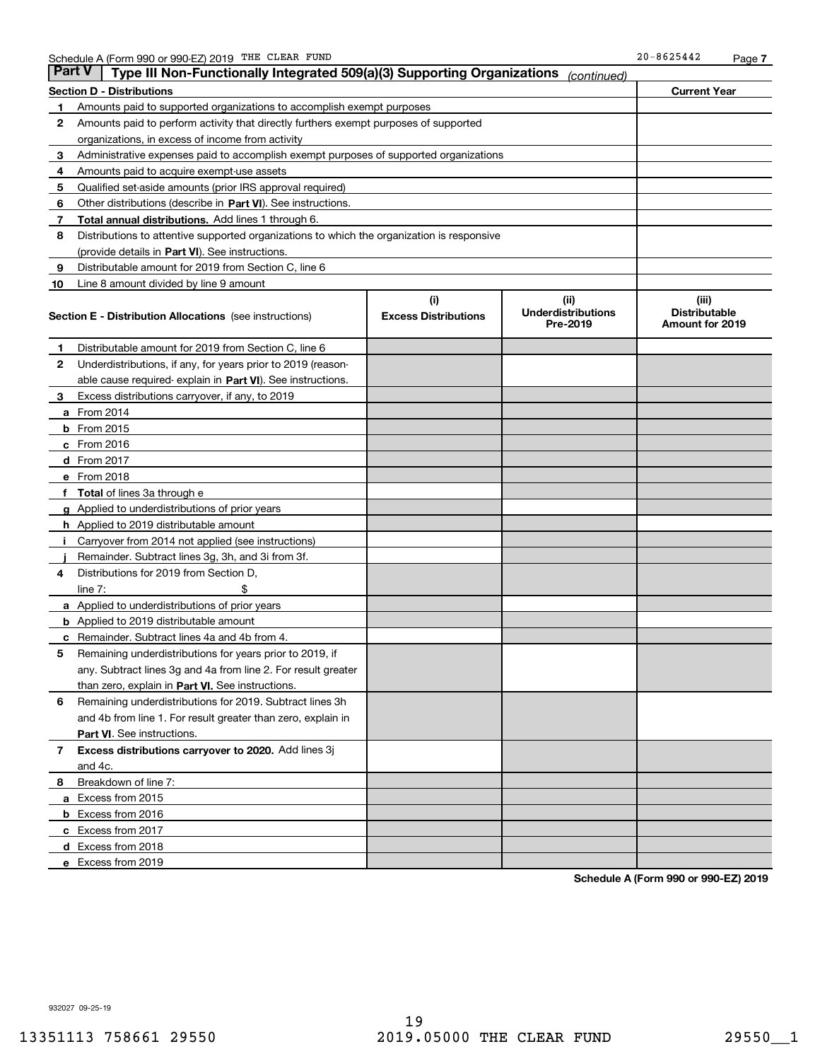| Part V | Type III Non-Functionally Integrated 509(a)(3) Supporting Organizations                    |                             | (continued)                           |                                                |  |  |  |
|--------|--------------------------------------------------------------------------------------------|-----------------------------|---------------------------------------|------------------------------------------------|--|--|--|
|        | <b>Section D - Distributions</b>                                                           |                             |                                       | <b>Current Year</b>                            |  |  |  |
| 1      | Amounts paid to supported organizations to accomplish exempt purposes                      |                             |                                       |                                                |  |  |  |
| 2      | Amounts paid to perform activity that directly furthers exempt purposes of supported       |                             |                                       |                                                |  |  |  |
|        | organizations, in excess of income from activity                                           |                             |                                       |                                                |  |  |  |
| 3      | Administrative expenses paid to accomplish exempt purposes of supported organizations      |                             |                                       |                                                |  |  |  |
| 4      | Amounts paid to acquire exempt-use assets                                                  |                             |                                       |                                                |  |  |  |
| 5      | Qualified set-aside amounts (prior IRS approval required)                                  |                             |                                       |                                                |  |  |  |
| 6      | Other distributions (describe in Part VI). See instructions.                               |                             |                                       |                                                |  |  |  |
| 7      | Total annual distributions. Add lines 1 through 6.                                         |                             |                                       |                                                |  |  |  |
| 8      | Distributions to attentive supported organizations to which the organization is responsive |                             |                                       |                                                |  |  |  |
|        | (provide details in Part VI). See instructions.                                            |                             |                                       |                                                |  |  |  |
| 9      | Distributable amount for 2019 from Section C, line 6                                       |                             |                                       |                                                |  |  |  |
| 10     | Line 8 amount divided by line 9 amount                                                     |                             |                                       |                                                |  |  |  |
|        |                                                                                            | (i)                         | (iii)                                 | (iii)                                          |  |  |  |
|        | Section E - Distribution Allocations (see instructions)                                    | <b>Excess Distributions</b> | <b>Underdistributions</b><br>Pre-2019 | <b>Distributable</b><br><b>Amount for 2019</b> |  |  |  |
| 1      | Distributable amount for 2019 from Section C, line 6                                       |                             |                                       |                                                |  |  |  |
| 2      | Underdistributions, if any, for years prior to 2019 (reason-                               |                             |                                       |                                                |  |  |  |
|        | able cause required- explain in Part VI). See instructions.                                |                             |                                       |                                                |  |  |  |
| З      | Excess distributions carryover, if any, to 2019                                            |                             |                                       |                                                |  |  |  |
|        | <b>a</b> From 2014                                                                         |                             |                                       |                                                |  |  |  |
|        | <b>b</b> From $2015$                                                                       |                             |                                       |                                                |  |  |  |
|        | $c$ From 2016                                                                              |                             |                                       |                                                |  |  |  |
|        | <b>d</b> From 2017                                                                         |                             |                                       |                                                |  |  |  |
|        | e From 2018                                                                                |                             |                                       |                                                |  |  |  |
| f      | <b>Total</b> of lines 3a through e                                                         |                             |                                       |                                                |  |  |  |
|        | <b>g</b> Applied to underdistributions of prior years                                      |                             |                                       |                                                |  |  |  |
|        | <b>h</b> Applied to 2019 distributable amount                                              |                             |                                       |                                                |  |  |  |
|        | Carryover from 2014 not applied (see instructions)                                         |                             |                                       |                                                |  |  |  |
|        | Remainder. Subtract lines 3g, 3h, and 3i from 3f.                                          |                             |                                       |                                                |  |  |  |
| 4      | Distributions for 2019 from Section D,                                                     |                             |                                       |                                                |  |  |  |
|        | line $7:$                                                                                  |                             |                                       |                                                |  |  |  |
|        | <b>a</b> Applied to underdistributions of prior years                                      |                             |                                       |                                                |  |  |  |
|        | <b>b</b> Applied to 2019 distributable amount                                              |                             |                                       |                                                |  |  |  |
| c      | Remainder. Subtract lines 4a and 4b from 4.                                                |                             |                                       |                                                |  |  |  |
| 5      | Remaining underdistributions for years prior to 2019, if                                   |                             |                                       |                                                |  |  |  |
|        | any. Subtract lines 3g and 4a from line 2. For result greater                              |                             |                                       |                                                |  |  |  |
|        | than zero, explain in Part VI. See instructions.                                           |                             |                                       |                                                |  |  |  |
| 6      | Remaining underdistributions for 2019. Subtract lines 3h                                   |                             |                                       |                                                |  |  |  |
|        | and 4b from line 1. For result greater than zero, explain in                               |                             |                                       |                                                |  |  |  |
|        | Part VI. See instructions.                                                                 |                             |                                       |                                                |  |  |  |
| 7      | Excess distributions carryover to 2020. Add lines 3j                                       |                             |                                       |                                                |  |  |  |
|        | and 4c.                                                                                    |                             |                                       |                                                |  |  |  |
| 8      | Breakdown of line 7:                                                                       |                             |                                       |                                                |  |  |  |
|        | a Excess from 2015                                                                         |                             |                                       |                                                |  |  |  |
|        | <b>b</b> Excess from 2016                                                                  |                             |                                       |                                                |  |  |  |
|        | c Excess from 2017                                                                         |                             |                                       |                                                |  |  |  |
|        | d Excess from 2018                                                                         |                             |                                       |                                                |  |  |  |
|        | e Excess from 2019                                                                         |                             |                                       |                                                |  |  |  |

**Schedule A (Form 990 or 990-EZ) 2019**

932027 09-25-19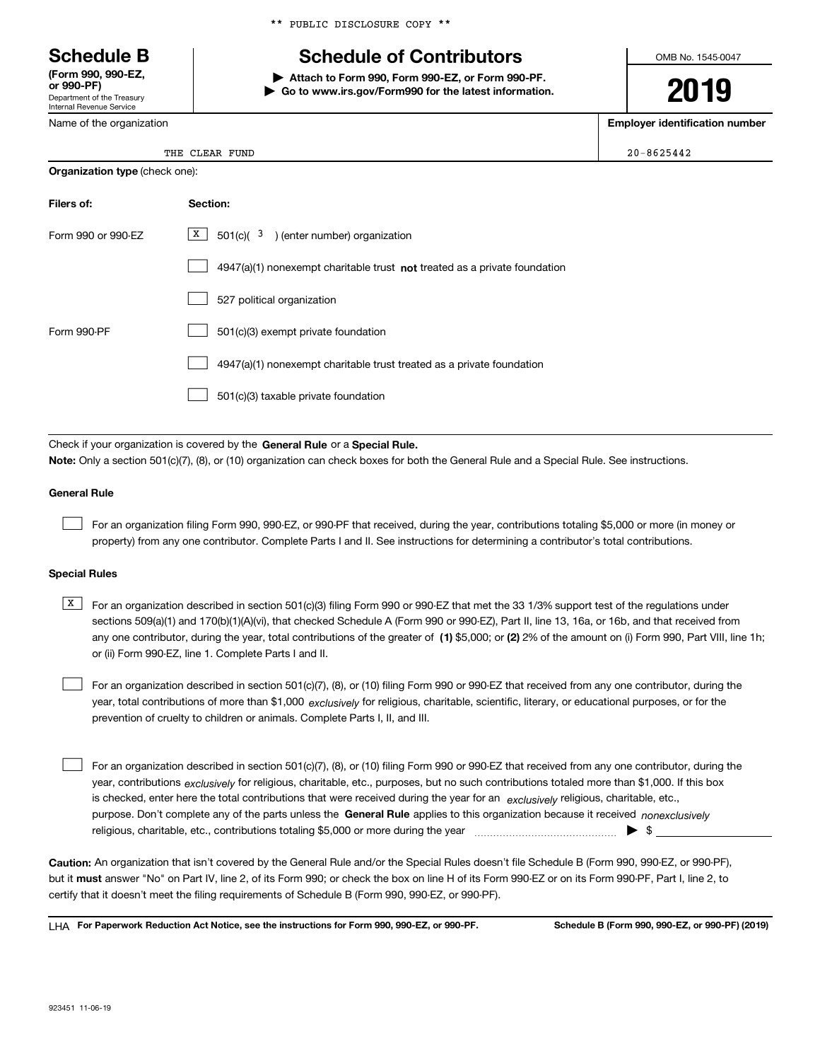Department of the Treasury Internal Revenue Service **(Form 990, 990-EZ, or 990-PF)**

Name of the organization

\*\* PUBLIC DISCLOSURE COPY \*\*

# **Schedule B Schedule of Contributors**

**| Attach to Form 990, Form 990-EZ, or Form 990-PF. | Go to www.irs.gov/Form990 for the latest information.** OMB No. 1545-0047

**2019**

**Employer identification number**

| I |
|---|
|   |

THE CLEAR FUND 200-8625442

| <b>Organization type (check one):</b> |                                                                             |  |  |  |
|---------------------------------------|-----------------------------------------------------------------------------|--|--|--|
| Filers of:                            | Section:                                                                    |  |  |  |
| Form 990 or 990-EZ                    | $X \mid$<br>$501(c)$ ( $3$ ) (enter number) organization                    |  |  |  |
|                                       | $4947(a)(1)$ nonexempt charitable trust not treated as a private foundation |  |  |  |
|                                       | 527 political organization                                                  |  |  |  |
| Form 990-PF                           | 501(c)(3) exempt private foundation                                         |  |  |  |
|                                       | 4947(a)(1) nonexempt charitable trust treated as a private foundation       |  |  |  |
|                                       | 501(c)(3) taxable private foundation                                        |  |  |  |

Check if your organization is covered by the **General Rule** or a **Special Rule. Note:**  Only a section 501(c)(7), (8), or (10) organization can check boxes for both the General Rule and a Special Rule. See instructions.

### **General Rule**

 $\mathcal{L}^{\text{max}}$ 

For an organization filing Form 990, 990-EZ, or 990-PF that received, during the year, contributions totaling \$5,000 or more (in money or property) from any one contributor. Complete Parts I and II. See instructions for determining a contributor's total contributions.

### **Special Rules**

any one contributor, during the year, total contributions of the greater of  $\,$  (1) \$5,000; or **(2)** 2% of the amount on (i) Form 990, Part VIII, line 1h;  $\overline{X}$  For an organization described in section 501(c)(3) filing Form 990 or 990-EZ that met the 33 1/3% support test of the regulations under sections 509(a)(1) and 170(b)(1)(A)(vi), that checked Schedule A (Form 990 or 990-EZ), Part II, line 13, 16a, or 16b, and that received from or (ii) Form 990-EZ, line 1. Complete Parts I and II.

year, total contributions of more than \$1,000 *exclusively* for religious, charitable, scientific, literary, or educational purposes, or for the For an organization described in section 501(c)(7), (8), or (10) filing Form 990 or 990-EZ that received from any one contributor, during the prevention of cruelty to children or animals. Complete Parts I, II, and III.  $\mathcal{L}^{\text{max}}$ 

purpose. Don't complete any of the parts unless the **General Rule** applies to this organization because it received *nonexclusively* year, contributions <sub>exclusively</sub> for religious, charitable, etc., purposes, but no such contributions totaled more than \$1,000. If this box is checked, enter here the total contributions that were received during the year for an  $\;$ exclusively religious, charitable, etc., For an organization described in section 501(c)(7), (8), or (10) filing Form 990 or 990-EZ that received from any one contributor, during the religious, charitable, etc., contributions totaling \$5,000 or more during the year  $\Box$ — $\Box$   $\Box$  $\mathcal{L}^{\text{max}}$ 

**Caution:**  An organization that isn't covered by the General Rule and/or the Special Rules doesn't file Schedule B (Form 990, 990-EZ, or 990-PF),  **must** but it answer "No" on Part IV, line 2, of its Form 990; or check the box on line H of its Form 990-EZ or on its Form 990-PF, Part I, line 2, to certify that it doesn't meet the filing requirements of Schedule B (Form 990, 990-EZ, or 990-PF).

**For Paperwork Reduction Act Notice, see the instructions for Form 990, 990-EZ, or 990-PF. Schedule B (Form 990, 990-EZ, or 990-PF) (2019)** LHA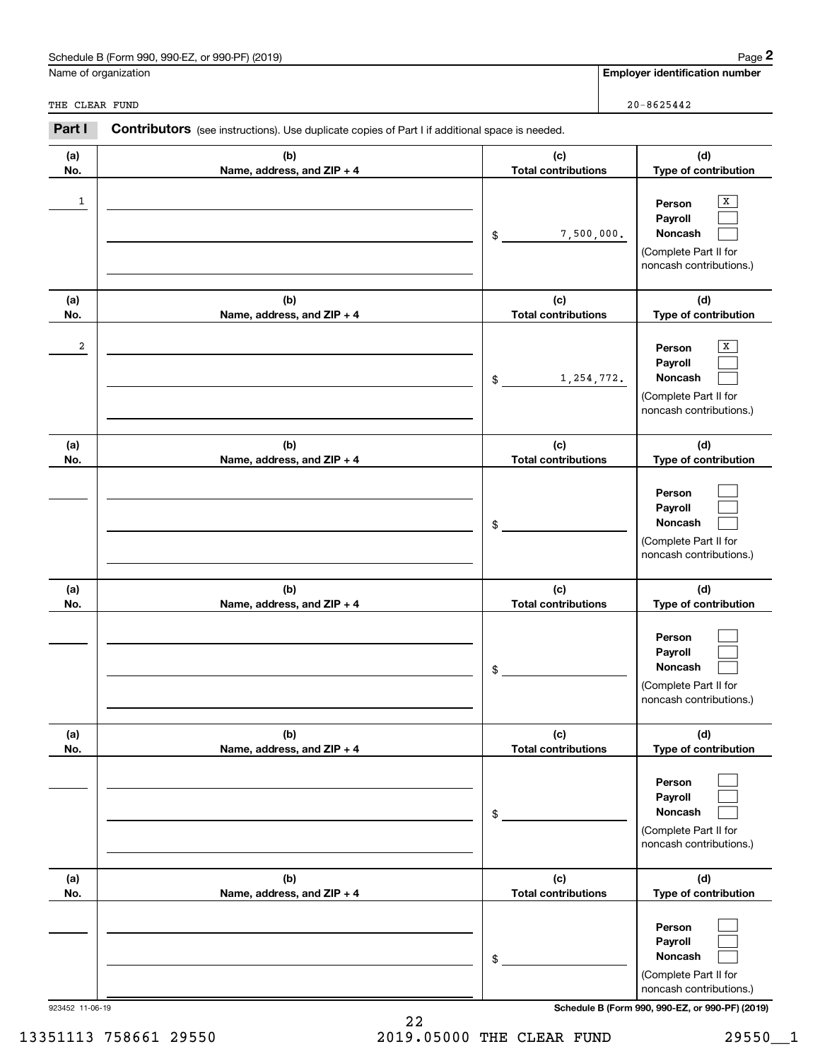|                 | Schedule B (Form 990, 990-EZ, or 990-PF) (2019)                                                       |                                   | Page 2                                                                                |
|-----------------|-------------------------------------------------------------------------------------------------------|-----------------------------------|---------------------------------------------------------------------------------------|
|                 | Name of organization                                                                                  |                                   | <b>Employer identification number</b>                                                 |
| THE CLEAR FUND  |                                                                                                       |                                   | $20 - 8625442$                                                                        |
| Part I          | <b>Contributors</b> (see instructions). Use duplicate copies of Part I if additional space is needed. |                                   |                                                                                       |
| (a)<br>No.      | (b)<br>Name, address, and ZIP + 4                                                                     | (c)<br><b>Total contributions</b> | (d)<br>Type of contribution                                                           |
| $\mathbf{1}$    |                                                                                                       | 7,500,000.<br>\$                  | x<br>Person<br>Payroll<br>Noncash<br>(Complete Part II for<br>noncash contributions.) |
| (a)<br>No.      | (b)<br>Name, address, and ZIP + 4                                                                     | (c)<br><b>Total contributions</b> | (d)<br>Type of contribution                                                           |
| 2               |                                                                                                       | 1,254,772.<br>\$                  | x<br>Person<br>Payroll<br>Noncash<br>(Complete Part II for<br>noncash contributions.) |
| (a)<br>No.      | (b)<br>Name, address, and ZIP + 4                                                                     | (c)<br><b>Total contributions</b> | (d)<br>Type of contribution                                                           |
|                 |                                                                                                       | \$                                | Person<br>Payroll<br>Noncash<br>(Complete Part II for<br>noncash contributions.)      |
| (a)<br>No.      | (b)<br>Name, address, and ZIP + 4                                                                     | (c)<br><b>Total contributions</b> | (d)<br>Type of contribution                                                           |
|                 |                                                                                                       | \$                                | Person<br>Payroll<br>Noncash<br>(Complete Part II for<br>noncash contributions.)      |
| (a)<br>No.      | (b)<br>Name, address, and ZIP + 4                                                                     | (c)<br><b>Total contributions</b> | (d)<br>Type of contribution                                                           |
|                 |                                                                                                       | \$                                | Person<br>Payroll<br>Noncash<br>(Complete Part II for<br>noncash contributions.)      |
| (a)<br>No.      | (b)<br>Name, address, and ZIP + 4                                                                     | (c)<br><b>Total contributions</b> | (d)<br>Type of contribution                                                           |
|                 |                                                                                                       | \$                                | Person<br>Payroll<br>Noncash<br>(Complete Part II for<br>noncash contributions.)      |
| 923452 11-06-19 |                                                                                                       |                                   | Schedule B (Form 990, 990-EZ, or 990-PF) (2019)                                       |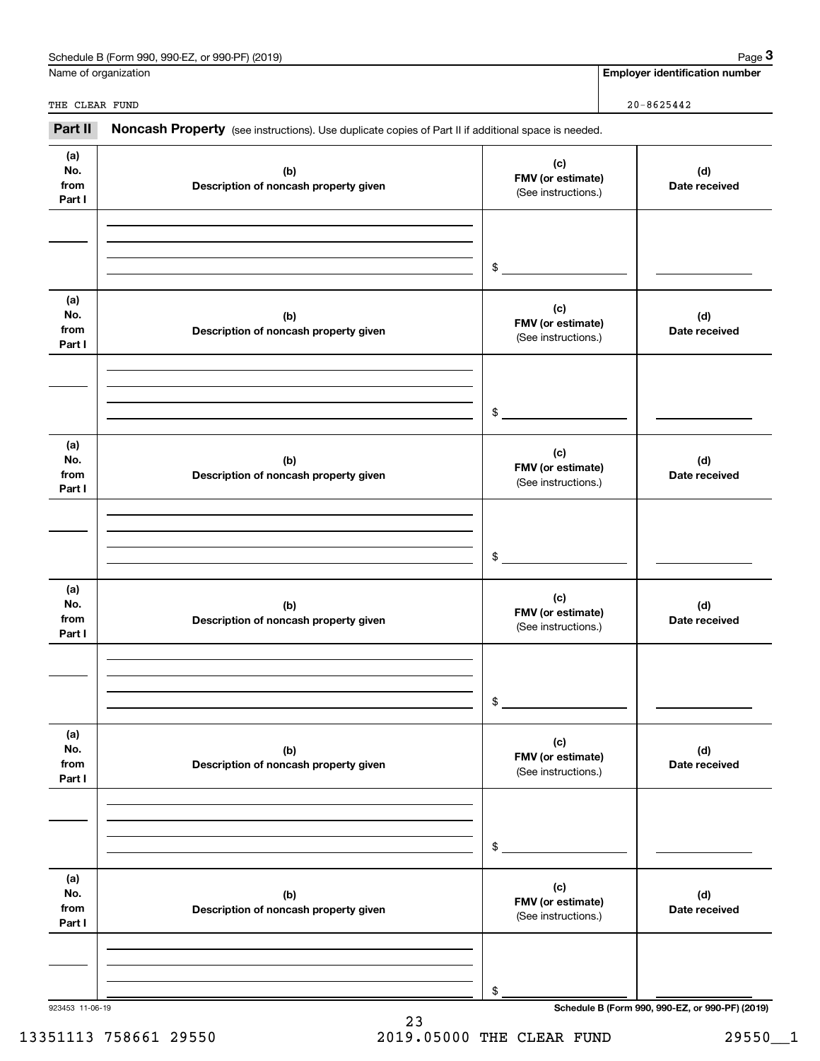| Schedule B (Form 990, 990-EZ, or 990-PF) (2019) |                                        | Page $3$<br><b>Employer identification number</b>                                                                                                                                                                                                                                                                                                                                 |
|-------------------------------------------------|----------------------------------------|-----------------------------------------------------------------------------------------------------------------------------------------------------------------------------------------------------------------------------------------------------------------------------------------------------------------------------------------------------------------------------------|
|                                                 |                                        |                                                                                                                                                                                                                                                                                                                                                                                   |
|                                                 |                                        | $20 - 8625442$                                                                                                                                                                                                                                                                                                                                                                    |
|                                                 |                                        |                                                                                                                                                                                                                                                                                                                                                                                   |
| (b)<br>Description of noncash property given    | (c)                                    | (d)<br>Date received                                                                                                                                                                                                                                                                                                                                                              |
|                                                 |                                        |                                                                                                                                                                                                                                                                                                                                                                                   |
|                                                 | $$\overbrace{\hspace{2.5cm}}$          |                                                                                                                                                                                                                                                                                                                                                                                   |
| (b)<br>Description of noncash property given    | (c)                                    | (d)<br>Date received                                                                                                                                                                                                                                                                                                                                                              |
|                                                 |                                        |                                                                                                                                                                                                                                                                                                                                                                                   |
|                                                 |                                        |                                                                                                                                                                                                                                                                                                                                                                                   |
| (b)<br>Description of noncash property given    | (c)                                    | (d)<br>Date received                                                                                                                                                                                                                                                                                                                                                              |
|                                                 |                                        |                                                                                                                                                                                                                                                                                                                                                                                   |
|                                                 | $$\overbrace{\hspace{2.5cm}}$          |                                                                                                                                                                                                                                                                                                                                                                                   |
| (b)<br>Description of noncash property given    | (c)                                    | (d)<br>Date received                                                                                                                                                                                                                                                                                                                                                              |
|                                                 |                                        |                                                                                                                                                                                                                                                                                                                                                                                   |
|                                                 | $\mathfrak s$                          |                                                                                                                                                                                                                                                                                                                                                                                   |
| (b)<br>Description of noncash property given    | (c)                                    | (d)<br>Date received                                                                                                                                                                                                                                                                                                                                                              |
|                                                 |                                        |                                                                                                                                                                                                                                                                                                                                                                                   |
|                                                 | \$                                     |                                                                                                                                                                                                                                                                                                                                                                                   |
| (b)<br>Description of noncash property given    | (c)                                    | (d)<br>Date received                                                                                                                                                                                                                                                                                                                                                              |
|                                                 |                                        |                                                                                                                                                                                                                                                                                                                                                                                   |
|                                                 | \$                                     |                                                                                                                                                                                                                                                                                                                                                                                   |
|                                                 | Name of organization<br>THE CLEAR FUND | Noncash Property (see instructions). Use duplicate copies of Part II if additional space is needed.<br>FMV (or estimate)<br>(See instructions.)<br>FMV (or estimate)<br>(See instructions.)<br>\$<br>FMV (or estimate)<br>(See instructions.)<br>FMV (or estimate)<br>(See instructions.)<br>FMV (or estimate)<br>(See instructions.)<br>FMV (or estimate)<br>(See instructions.) |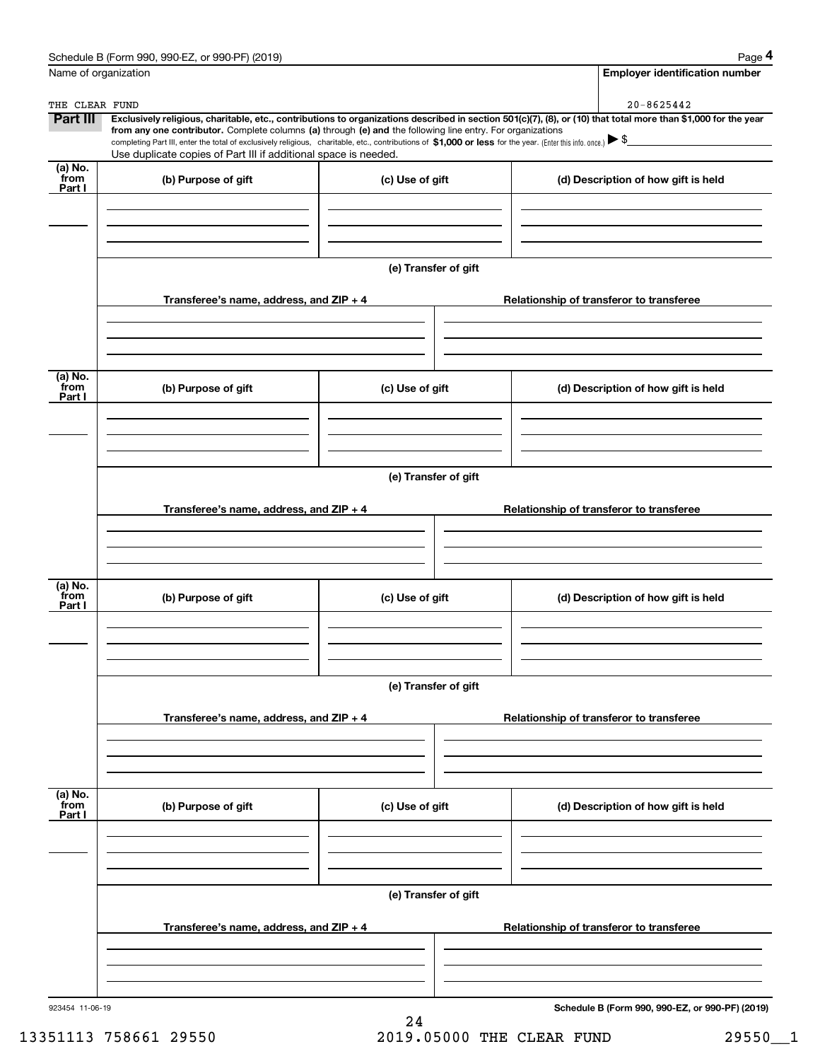|                           | Schedule B (Form 990, 990-EZ, or 990-PF) (2019)                                                                                                                                                                                                                                                                                                                                                                                                                                                                 |                      |  | Page 4                                          |  |  |
|---------------------------|-----------------------------------------------------------------------------------------------------------------------------------------------------------------------------------------------------------------------------------------------------------------------------------------------------------------------------------------------------------------------------------------------------------------------------------------------------------------------------------------------------------------|----------------------|--|-------------------------------------------------|--|--|
| Name of organization      |                                                                                                                                                                                                                                                                                                                                                                                                                                                                                                                 |                      |  | <b>Employer identification number</b>           |  |  |
| THE CLEAR FUND            |                                                                                                                                                                                                                                                                                                                                                                                                                                                                                                                 |                      |  | 20-8625442                                      |  |  |
| <b>Part III</b>           | Exclusively religious, charitable, etc., contributions to organizations described in section 501(c)(7), (8), or (10) that total more than \$1,000 for the year<br>from any one contributor. Complete columns (a) through (e) and the following line entry. For organizations<br>completing Part III, enter the total of exclusively religious, charitable, etc., contributions of \$1,000 or less for the year. (Enter this info. once.) \\$<br>Use duplicate copies of Part III if additional space is needed. |                      |  |                                                 |  |  |
| (a) No.<br>from           | (b) Purpose of gift                                                                                                                                                                                                                                                                                                                                                                                                                                                                                             | (c) Use of gift      |  | (d) Description of how gift is held             |  |  |
| Part I                    |                                                                                                                                                                                                                                                                                                                                                                                                                                                                                                                 |                      |  |                                                 |  |  |
|                           |                                                                                                                                                                                                                                                                                                                                                                                                                                                                                                                 | (e) Transfer of gift |  |                                                 |  |  |
|                           | Transferee's name, address, and ZIP + 4                                                                                                                                                                                                                                                                                                                                                                                                                                                                         |                      |  | Relationship of transferor to transferee        |  |  |
| (a) No.<br>from<br>Part I | (b) Purpose of gift                                                                                                                                                                                                                                                                                                                                                                                                                                                                                             | (c) Use of gift      |  | (d) Description of how gift is held             |  |  |
|                           |                                                                                                                                                                                                                                                                                                                                                                                                                                                                                                                 |                      |  |                                                 |  |  |
|                           | (e) Transfer of gift                                                                                                                                                                                                                                                                                                                                                                                                                                                                                            |                      |  |                                                 |  |  |
|                           | Transferee's name, address, and ZIP + 4                                                                                                                                                                                                                                                                                                                                                                                                                                                                         |                      |  | Relationship of transferor to transferee        |  |  |
|                           |                                                                                                                                                                                                                                                                                                                                                                                                                                                                                                                 |                      |  |                                                 |  |  |
| (a) No.<br>from<br>Part I | (b) Purpose of gift                                                                                                                                                                                                                                                                                                                                                                                                                                                                                             | (c) Use of gift      |  | (d) Description of how gift is held             |  |  |
|                           |                                                                                                                                                                                                                                                                                                                                                                                                                                                                                                                 |                      |  |                                                 |  |  |
|                           |                                                                                                                                                                                                                                                                                                                                                                                                                                                                                                                 | (e) Transfer of gift |  |                                                 |  |  |
|                           | Transferee's name, address, and $ZIP + 4$                                                                                                                                                                                                                                                                                                                                                                                                                                                                       |                      |  | Relationship of transferor to transferee        |  |  |
| (a) No.<br>from           |                                                                                                                                                                                                                                                                                                                                                                                                                                                                                                                 |                      |  |                                                 |  |  |
| Part I                    | (b) Purpose of gift                                                                                                                                                                                                                                                                                                                                                                                                                                                                                             | (c) Use of gift      |  | (d) Description of how gift is held             |  |  |
|                           |                                                                                                                                                                                                                                                                                                                                                                                                                                                                                                                 |                      |  |                                                 |  |  |
|                           |                                                                                                                                                                                                                                                                                                                                                                                                                                                                                                                 | (e) Transfer of gift |  |                                                 |  |  |
|                           | Transferee's name, address, and $ZIP + 4$                                                                                                                                                                                                                                                                                                                                                                                                                                                                       |                      |  | Relationship of transferor to transferee        |  |  |
|                           |                                                                                                                                                                                                                                                                                                                                                                                                                                                                                                                 |                      |  |                                                 |  |  |
| 923454 11-06-19           |                                                                                                                                                                                                                                                                                                                                                                                                                                                                                                                 |                      |  | Schedule B (Form 990, 990-EZ, or 990-PF) (2019) |  |  |

13351113 758661 29550 2019.05000 THE CLEAR FUND 29550 29550

24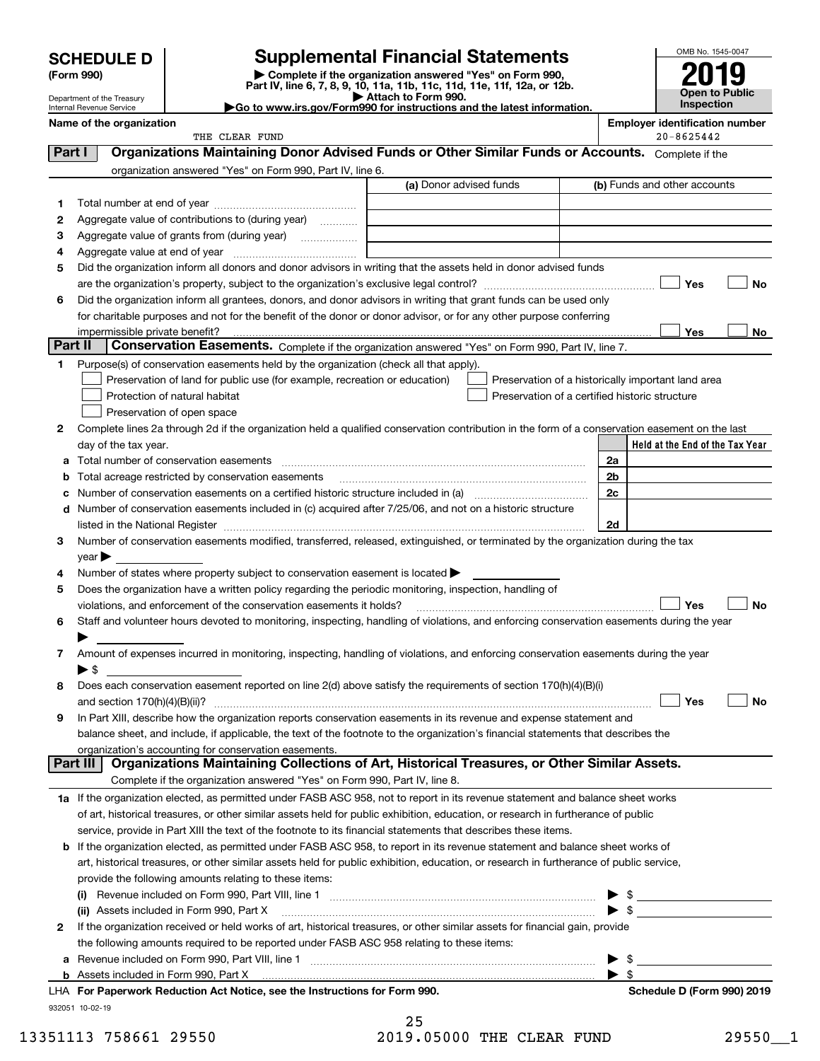# **Supplemental Financial Statements**

**(Form 990) | Complete if the organization answered "Yes" on Form 990, Part IV, line 6, 7, 8, 9, 10, 11a, 11b, 11c, 11d, 11e, 11f, 12a, or 12b.**



|          | Department of the Treasury<br>Internal Revenue Service |                                                                                                                | Part IV, line 6, 7, 8, 9, 10, 11a, 11b, 11c, 11d, 11e, 11f, 12a, or 12b.<br>Attach to Form 990.<br>Go to www.irs.gov/Form990 for instructions and the latest information.                                                     |                | <b>Open to Public</b><br>Inspection   |
|----------|--------------------------------------------------------|----------------------------------------------------------------------------------------------------------------|-------------------------------------------------------------------------------------------------------------------------------------------------------------------------------------------------------------------------------|----------------|---------------------------------------|
|          | Name of the organization                               |                                                                                                                |                                                                                                                                                                                                                               |                | <b>Employer identification number</b> |
|          |                                                        | THE CLEAR FUND                                                                                                 |                                                                                                                                                                                                                               |                | $20 - 8625442$                        |
| Part I   |                                                        |                                                                                                                | Organizations Maintaining Donor Advised Funds or Other Similar Funds or Accounts. Complete if the                                                                                                                             |                |                                       |
|          |                                                        | organization answered "Yes" on Form 990, Part IV, line 6.                                                      |                                                                                                                                                                                                                               |                |                                       |
|          |                                                        |                                                                                                                | (a) Donor advised funds                                                                                                                                                                                                       |                | (b) Funds and other accounts          |
| 1        |                                                        |                                                                                                                |                                                                                                                                                                                                                               |                |                                       |
| 2        |                                                        | Aggregate value of contributions to (during year)                                                              |                                                                                                                                                                                                                               |                |                                       |
| 3        |                                                        | Aggregate value of grants from (during year)                                                                   |                                                                                                                                                                                                                               |                |                                       |
| 4        |                                                        |                                                                                                                |                                                                                                                                                                                                                               |                |                                       |
| 5        |                                                        |                                                                                                                | Did the organization inform all donors and donor advisors in writing that the assets held in donor advised funds                                                                                                              |                |                                       |
|          |                                                        |                                                                                                                |                                                                                                                                                                                                                               |                | Yes<br>No                             |
| 6        |                                                        |                                                                                                                | Did the organization inform all grantees, donors, and donor advisors in writing that grant funds can be used only                                                                                                             |                |                                       |
|          |                                                        |                                                                                                                | for charitable purposes and not for the benefit of the donor or donor advisor, or for any other purpose conferring                                                                                                            |                |                                       |
|          | impermissible private benefit?                         |                                                                                                                |                                                                                                                                                                                                                               |                | Yes<br>No                             |
| Part II  |                                                        |                                                                                                                | Conservation Easements. Complete if the organization answered "Yes" on Form 990, Part IV, line 7.                                                                                                                             |                |                                       |
| 1.       |                                                        | Purpose(s) of conservation easements held by the organization (check all that apply).                          |                                                                                                                                                                                                                               |                |                                       |
|          |                                                        | Preservation of land for public use (for example, recreation or education)                                     | Preservation of a historically important land area                                                                                                                                                                            |                |                                       |
|          |                                                        | Protection of natural habitat                                                                                  | Preservation of a certified historic structure                                                                                                                                                                                |                |                                       |
|          |                                                        | Preservation of open space                                                                                     |                                                                                                                                                                                                                               |                |                                       |
| 2        |                                                        |                                                                                                                | Complete lines 2a through 2d if the organization held a qualified conservation contribution in the form of a conservation easement on the last                                                                                |                |                                       |
|          | day of the tax year.                                   |                                                                                                                |                                                                                                                                                                                                                               | 2a             | Held at the End of the Tax Year       |
| а        |                                                        | Total number of conservation easements                                                                         |                                                                                                                                                                                                                               | 2 <sub>b</sub> |                                       |
| b        |                                                        | Total acreage restricted by conservation easements                                                             |                                                                                                                                                                                                                               | 2c             |                                       |
| с        |                                                        |                                                                                                                | d Number of conservation easements included in (c) acquired after 7/25/06, and not on a historic structure                                                                                                                    |                |                                       |
|          |                                                        |                                                                                                                | listed in the National Register [11, 1200] [12] The National Register [11, 1200] [12] The National Register [11, 1200] [12] The National Register [11, 1200] [12] The National Register [11, 1200] [12] The National Register | 2d             |                                       |
| 3        |                                                        |                                                                                                                | Number of conservation easements modified, transferred, released, extinguished, or terminated by the organization during the tax                                                                                              |                |                                       |
|          | $year \blacktriangleright$                             |                                                                                                                |                                                                                                                                                                                                                               |                |                                       |
| 4        |                                                        | Number of states where property subject to conservation easement is located >                                  |                                                                                                                                                                                                                               |                |                                       |
| 5        |                                                        | Does the organization have a written policy regarding the periodic monitoring, inspection, handling of         |                                                                                                                                                                                                                               |                |                                       |
|          |                                                        | violations, and enforcement of the conservation easements it holds?                                            |                                                                                                                                                                                                                               |                | Yes<br>No                             |
| 6        |                                                        |                                                                                                                | Staff and volunteer hours devoted to monitoring, inspecting, handling of violations, and enforcing conservation easements during the year                                                                                     |                |                                       |
|          |                                                        |                                                                                                                |                                                                                                                                                                                                                               |                |                                       |
| 7        |                                                        |                                                                                                                | Amount of expenses incurred in monitoring, inspecting, handling of violations, and enforcing conservation easements during the year                                                                                           |                |                                       |
|          | ▶ \$                                                   |                                                                                                                |                                                                                                                                                                                                                               |                |                                       |
|          |                                                        |                                                                                                                | Does each conservation easement reported on line 2(d) above satisfy the requirements of section 170(h)(4)(B)(i)                                                                                                               |                |                                       |
|          | and section $170(h)(4)(B)(ii)?$                        |                                                                                                                |                                                                                                                                                                                                                               |                | Yes<br>No                             |
| 9        |                                                        |                                                                                                                | In Part XIII, describe how the organization reports conservation easements in its revenue and expense statement and                                                                                                           |                |                                       |
|          |                                                        |                                                                                                                | balance sheet, and include, if applicable, the text of the footnote to the organization's financial statements that describes the                                                                                             |                |                                       |
| Part III |                                                        | organization's accounting for conservation easements.                                                          | Organizations Maintaining Collections of Art, Historical Treasures, or Other Similar Assets.                                                                                                                                  |                |                                       |
|          |                                                        | Complete if the organization answered "Yes" on Form 990, Part IV, line 8.                                      |                                                                                                                                                                                                                               |                |                                       |
|          |                                                        |                                                                                                                |                                                                                                                                                                                                                               |                |                                       |
|          |                                                        |                                                                                                                | 1a If the organization elected, as permitted under FASB ASC 958, not to report in its revenue statement and balance sheet works                                                                                               |                |                                       |
|          |                                                        | service, provide in Part XIII the text of the footnote to its financial statements that describes these items. | of art, historical treasures, or other similar assets held for public exhibition, education, or research in furtherance of public                                                                                             |                |                                       |
| b        |                                                        |                                                                                                                | If the organization elected, as permitted under FASB ASC 958, to report in its revenue statement and balance sheet works of                                                                                                   |                |                                       |
|          |                                                        |                                                                                                                | art, historical treasures, or other similar assets held for public exhibition, education, or research in furtherance of public service,                                                                                       |                |                                       |
|          |                                                        | provide the following amounts relating to these items:                                                         |                                                                                                                                                                                                                               |                |                                       |
|          |                                                        |                                                                                                                |                                                                                                                                                                                                                               | \$             |                                       |
|          |                                                        | (ii) Assets included in Form 990, Part X                                                                       |                                                                                                                                                                                                                               | \$             |                                       |
| 2        |                                                        |                                                                                                                | If the organization received or held works of art, historical treasures, or other similar assets for financial gain, provide                                                                                                  |                |                                       |
|          |                                                        | the following amounts required to be reported under FASB ASC 958 relating to these items:                      |                                                                                                                                                                                                                               |                |                                       |

**a**Revenue included on Form 990, Part VIII, line 1 ~~~~~~~~~~~~~~~~~~~~~~~~~~~~~~

13351113 758661 29550 2019.05000 THE CLEAR FUND 29550 1

Assets included in Form 990, Part X

932051 10-02-19

**b**

| 25                     |  |  |
|------------------------|--|--|
| 2019.05000 THE CLEAR F |  |  |

 $\blacktriangleright$  \$

 $\blacktriangleright$  \$

**For Paperwork Reduction Act Notice, see the Instructions for Form 990. Schedule D (Form 990) 2019** LHA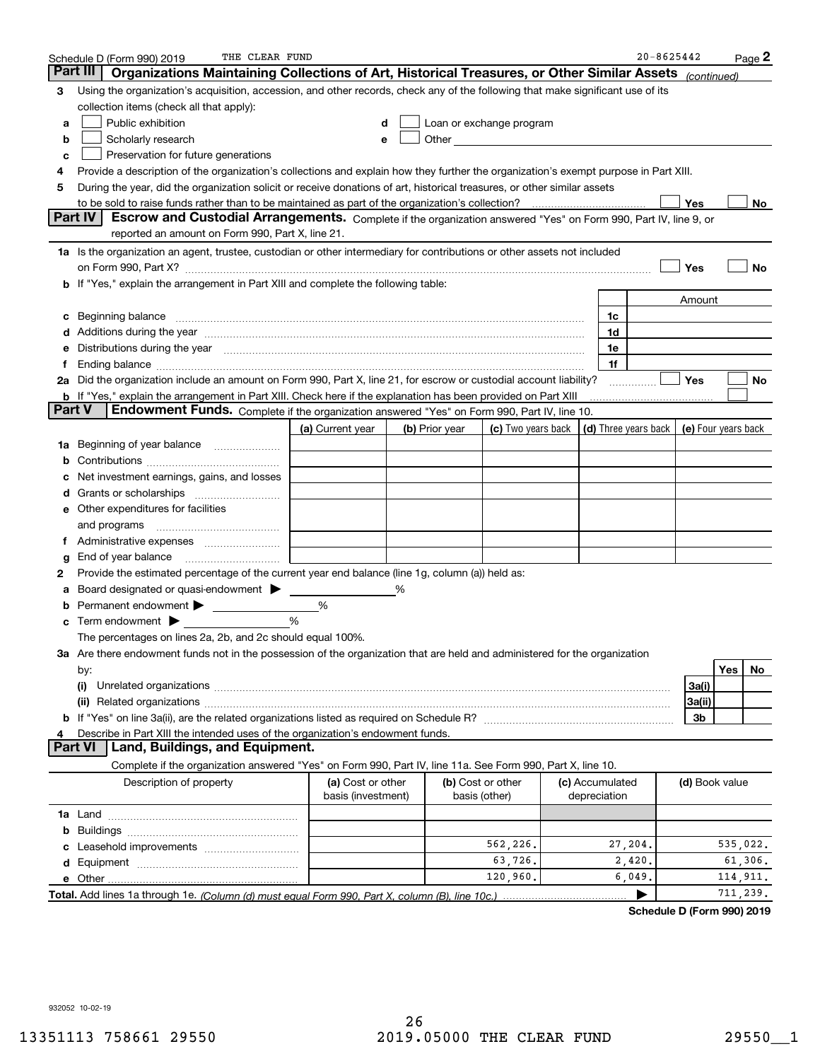|               | THE CLEAR FUND<br>Schedule D (Form 990) 2019                                                                                                                                                                                   |                                         |   |                |                                                                                                               |                                 | $20 - 8625442$   |                | Page <sup>2</sup>   |
|---------------|--------------------------------------------------------------------------------------------------------------------------------------------------------------------------------------------------------------------------------|-----------------------------------------|---|----------------|---------------------------------------------------------------------------------------------------------------|---------------------------------|------------------|----------------|---------------------|
|               | Part III<br>Organizations Maintaining Collections of Art, Historical Treasures, or Other Similar Assets (continued)                                                                                                            |                                         |   |                |                                                                                                               |                                 |                  |                |                     |
| 3             | Using the organization's acquisition, accession, and other records, check any of the following that make significant use of its                                                                                                |                                         |   |                |                                                                                                               |                                 |                  |                |                     |
|               | collection items (check all that apply):                                                                                                                                                                                       |                                         |   |                |                                                                                                               |                                 |                  |                |                     |
| а             | Public exhibition                                                                                                                                                                                                              |                                         |   |                | Loan or exchange program                                                                                      |                                 |                  |                |                     |
| b             | Scholarly research                                                                                                                                                                                                             |                                         |   |                | Other and the contract of the contract of the contract of the contract of the contract of the contract of the |                                 |                  |                |                     |
| с             | Preservation for future generations                                                                                                                                                                                            |                                         |   |                |                                                                                                               |                                 |                  |                |                     |
| 4             | Provide a description of the organization's collections and explain how they further the organization's exempt purpose in Part XIII.                                                                                           |                                         |   |                |                                                                                                               |                                 |                  |                |                     |
| 5             | During the year, did the organization solicit or receive donations of art, historical treasures, or other similar assets                                                                                                       |                                         |   |                |                                                                                                               |                                 |                  |                |                     |
|               |                                                                                                                                                                                                                                |                                         |   |                |                                                                                                               |                                 |                  | Yes            | No                  |
|               | Part IV<br>Escrow and Custodial Arrangements. Complete if the organization answered "Yes" on Form 990, Part IV, line 9, or                                                                                                     |                                         |   |                |                                                                                                               |                                 |                  |                |                     |
|               | reported an amount on Form 990, Part X, line 21.                                                                                                                                                                               |                                         |   |                |                                                                                                               |                                 |                  |                |                     |
|               | 1a Is the organization an agent, trustee, custodian or other intermediary for contributions or other assets not included                                                                                                       |                                         |   |                |                                                                                                               |                                 |                  |                |                     |
|               | on Form 990, Part X? [11] matter contracts and contracts and contracts are contracted and contracts are contracted and contract and contract of the contract of the contract of the contract of the contract of the contract o |                                         |   |                |                                                                                                               |                                 |                  | Yes            | No                  |
|               | b If "Yes," explain the arrangement in Part XIII and complete the following table:                                                                                                                                             |                                         |   |                |                                                                                                               |                                 |                  |                |                     |
|               |                                                                                                                                                                                                                                |                                         |   |                |                                                                                                               |                                 |                  | Amount         |                     |
| c             |                                                                                                                                                                                                                                |                                         |   |                |                                                                                                               | 1c                              |                  |                |                     |
|               | Additions during the year manufactured and an annual contract of the year manufactured and a set of the year manufactured and a set of the year manufactured and a set of the year manufactured and set of the set of the set  |                                         |   |                |                                                                                                               | 1d                              |                  |                |                     |
| е             | Distributions during the year manufactured and an account of the year manufactured and the year manufactured and the year manufactured and the year manufactured and the year manufactured and the year manufactured and the y |                                         |   |                |                                                                                                               | 1e                              |                  |                |                     |
| Ť.            |                                                                                                                                                                                                                                |                                         |   |                |                                                                                                               | 1f                              |                  |                |                     |
|               | 2a Did the organization include an amount on Form 990, Part X, line 21, for escrow or custodial account liability?                                                                                                             |                                         |   |                |                                                                                                               |                                 | .                | Yes            | No                  |
|               | <b>b</b> If "Yes," explain the arrangement in Part XIII. Check here if the explanation has been provided on Part XIII                                                                                                          |                                         |   |                |                                                                                                               |                                 |                  |                |                     |
| <b>Part V</b> | Endowment Funds. Complete if the organization answered "Yes" on Form 990, Part IV, line 10.                                                                                                                                    |                                         |   |                |                                                                                                               |                                 |                  |                |                     |
|               |                                                                                                                                                                                                                                | (a) Current year                        |   | (b) Prior year | (c) Two years back $\vert$ (d) Three years back $\vert$                                                       |                                 |                  |                | (e) Four years back |
|               | 1a Beginning of year balance                                                                                                                                                                                                   |                                         |   |                |                                                                                                               |                                 |                  |                |                     |
|               |                                                                                                                                                                                                                                |                                         |   |                |                                                                                                               |                                 |                  |                |                     |
|               | Net investment earnings, gains, and losses                                                                                                                                                                                     |                                         |   |                |                                                                                                               |                                 |                  |                |                     |
|               |                                                                                                                                                                                                                                |                                         |   |                |                                                                                                               |                                 |                  |                |                     |
|               | e Other expenditures for facilities                                                                                                                                                                                            |                                         |   |                |                                                                                                               |                                 |                  |                |                     |
|               | and programs                                                                                                                                                                                                                   |                                         |   |                |                                                                                                               |                                 |                  |                |                     |
| Ť.            |                                                                                                                                                                                                                                |                                         |   |                |                                                                                                               |                                 |                  |                |                     |
| g             | End of year balance <i>manually contained</i>                                                                                                                                                                                  |                                         |   |                |                                                                                                               |                                 |                  |                |                     |
| 2             | Provide the estimated percentage of the current year end balance (line 1g, column (a)) held as:                                                                                                                                |                                         |   |                |                                                                                                               |                                 |                  |                |                     |
|               | Board designated or quasi-endowment                                                                                                                                                                                            |                                         | % |                |                                                                                                               |                                 |                  |                |                     |
|               | <b>b</b> Permanent endowment >                                                                                                                                                                                                 | %                                       |   |                |                                                                                                               |                                 |                  |                |                     |
|               | Term endowment $\blacktriangleright$                                                                                                                                                                                           | %                                       |   |                |                                                                                                               |                                 |                  |                |                     |
|               | The percentages on lines 2a, 2b, and 2c should equal 100%.                                                                                                                                                                     |                                         |   |                |                                                                                                               |                                 |                  |                |                     |
|               | 3a Are there endowment funds not in the possession of the organization that are held and administered for the organization                                                                                                     |                                         |   |                |                                                                                                               |                                 |                  |                |                     |
|               | by:                                                                                                                                                                                                                            |                                         |   |                |                                                                                                               |                                 |                  |                | <b>Yes</b><br>No.   |
|               | (i)                                                                                                                                                                                                                            |                                         |   |                |                                                                                                               |                                 |                  | 3a(i)          |                     |
|               |                                                                                                                                                                                                                                |                                         |   |                |                                                                                                               |                                 |                  | 3a(ii)         |                     |
|               |                                                                                                                                                                                                                                |                                         |   |                |                                                                                                               |                                 |                  | 3b             |                     |
| 4             | Describe in Part XIII the intended uses of the organization's endowment funds.<br>Land, Buildings, and Equipment.<br>Part VI                                                                                                   |                                         |   |                |                                                                                                               |                                 |                  |                |                     |
|               |                                                                                                                                                                                                                                |                                         |   |                |                                                                                                               |                                 |                  |                |                     |
|               | Complete if the organization answered "Yes" on Form 990, Part IV, line 11a. See Form 990, Part X, line 10.                                                                                                                     |                                         |   |                |                                                                                                               |                                 |                  |                |                     |
|               | Description of property                                                                                                                                                                                                        | (a) Cost or other<br>basis (investment) |   |                | (b) Cost or other<br>basis (other)                                                                            | (c) Accumulated<br>depreciation |                  | (d) Book value |                     |
|               |                                                                                                                                                                                                                                |                                         |   |                |                                                                                                               |                                 |                  |                |                     |
|               |                                                                                                                                                                                                                                |                                         |   |                |                                                                                                               |                                 |                  |                |                     |
| b             |                                                                                                                                                                                                                                |                                         |   |                | 562,226.                                                                                                      |                                 |                  |                | 535,022.            |
|               |                                                                                                                                                                                                                                |                                         |   |                |                                                                                                               | 27,204.                         |                  |                |                     |
| d             |                                                                                                                                                                                                                                |                                         |   |                | 63,726.<br>120,960.                                                                                           |                                 | 2,420.<br>6,049. |                | 61,306.<br>114,911. |
|               |                                                                                                                                                                                                                                |                                         |   |                |                                                                                                               |                                 |                  |                |                     |
|               |                                                                                                                                                                                                                                |                                         |   |                |                                                                                                               |                                 |                  |                | 711,239.            |

**Schedule D (Form 990) 2019**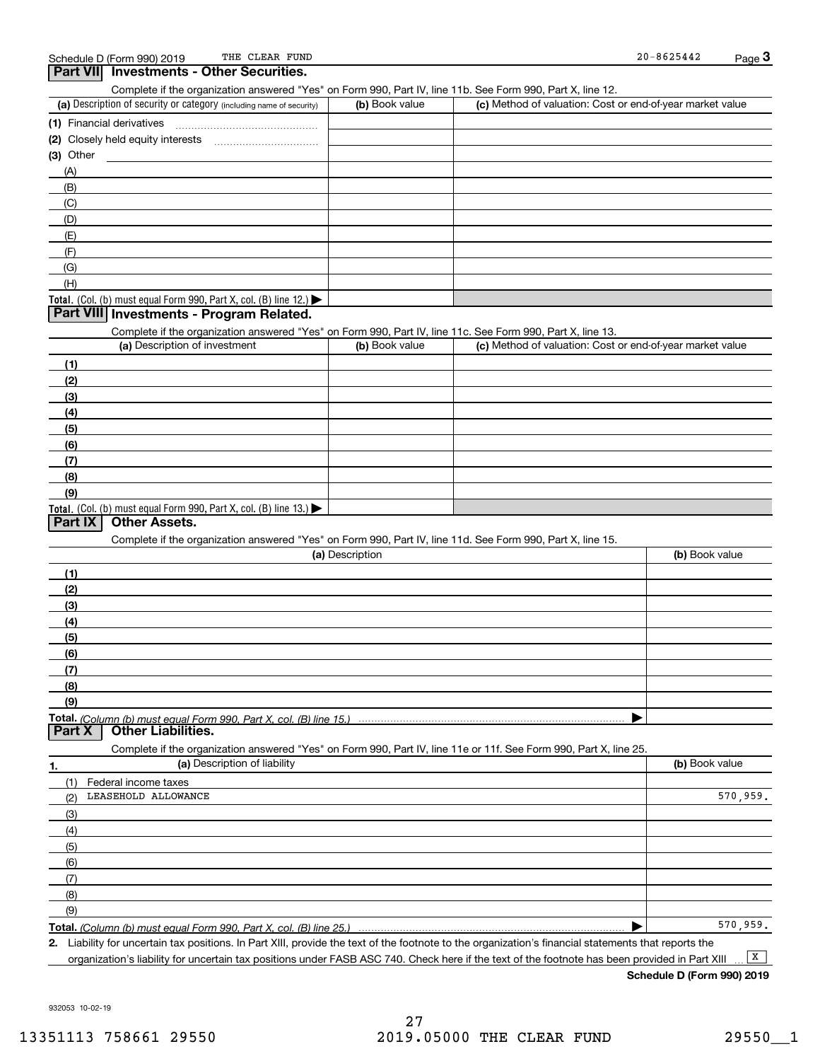| THE CLEAR FUND<br>Schedule D (Form 990) 2019                                                                      |                 |                                                           | $20 - 8625442$ | $Page$ <sup>3</sup> |
|-------------------------------------------------------------------------------------------------------------------|-----------------|-----------------------------------------------------------|----------------|---------------------|
| Part VII Investments - Other Securities.                                                                          |                 |                                                           |                |                     |
| Complete if the organization answered "Yes" on Form 990, Part IV, line 11b. See Form 990, Part X, line 12.        |                 |                                                           |                |                     |
| (a) Description of security or category (including name of security)                                              | (b) Book value  | (c) Method of valuation: Cost or end-of-year market value |                |                     |
|                                                                                                                   |                 |                                                           |                |                     |
|                                                                                                                   |                 |                                                           |                |                     |
| (3) Other                                                                                                         |                 |                                                           |                |                     |
| (A)                                                                                                               |                 |                                                           |                |                     |
| (B)                                                                                                               |                 |                                                           |                |                     |
| (C)                                                                                                               |                 |                                                           |                |                     |
| (D)                                                                                                               |                 |                                                           |                |                     |
| (E)                                                                                                               |                 |                                                           |                |                     |
| (F)                                                                                                               |                 |                                                           |                |                     |
| (G)                                                                                                               |                 |                                                           |                |                     |
| (H)                                                                                                               |                 |                                                           |                |                     |
| Total. (Col. (b) must equal Form 990, Part X, col. (B) line 12.)                                                  |                 |                                                           |                |                     |
| Part VIII Investments - Program Related.                                                                          |                 |                                                           |                |                     |
| Complete if the organization answered "Yes" on Form 990, Part IV, line 11c. See Form 990, Part X, line 13.        |                 |                                                           |                |                     |
| (a) Description of investment                                                                                     | (b) Book value  | (c) Method of valuation: Cost or end-of-year market value |                |                     |
| (1)                                                                                                               |                 |                                                           |                |                     |
| (2)                                                                                                               |                 |                                                           |                |                     |
| (3)                                                                                                               |                 |                                                           |                |                     |
| (4)                                                                                                               |                 |                                                           |                |                     |
| (5)                                                                                                               |                 |                                                           |                |                     |
| (6)                                                                                                               |                 |                                                           |                |                     |
| (7)                                                                                                               |                 |                                                           |                |                     |
| (8)                                                                                                               |                 |                                                           |                |                     |
| (9)                                                                                                               |                 |                                                           |                |                     |
| Total. (Col. (b) must equal Form 990, Part X, col. (B) line 13.)                                                  |                 |                                                           |                |                     |
| <b>Other Assets.</b><br>Part IX                                                                                   |                 |                                                           |                |                     |
| Complete if the organization answered "Yes" on Form 990, Part IV, line 11d. See Form 990, Part X, line 15.        |                 |                                                           |                |                     |
|                                                                                                                   | (a) Description |                                                           | (b) Book value |                     |
| (1)                                                                                                               |                 |                                                           |                |                     |
| (2)                                                                                                               |                 |                                                           |                |                     |
| (3)                                                                                                               |                 |                                                           |                |                     |
|                                                                                                                   |                 |                                                           |                |                     |
| (4)                                                                                                               |                 |                                                           |                |                     |
| (5)                                                                                                               |                 |                                                           |                |                     |
| (6)                                                                                                               |                 |                                                           |                |                     |
| (7)                                                                                                               |                 |                                                           |                |                     |
| (8)                                                                                                               |                 |                                                           |                |                     |
| (9)                                                                                                               |                 |                                                           |                |                     |
| Total. (Column (b) must equal Form 990. Part X, col. (B) line 15.)<br><b>Other Liabilities.</b><br>Part X         |                 |                                                           |                |                     |
| Complete if the organization answered "Yes" on Form 990, Part IV, line 11e or 11f. See Form 990, Part X, line 25. |                 |                                                           |                |                     |
| (a) Description of liability                                                                                      |                 |                                                           | (b) Book value |                     |
| 1.                                                                                                                |                 |                                                           |                |                     |
| (1)<br>Federal income taxes                                                                                       |                 |                                                           |                |                     |
| LEASEHOLD ALLOWANCE<br>(2)                                                                                        |                 |                                                           |                | 570,959.            |
| (3)                                                                                                               |                 |                                                           |                |                     |
| (4)                                                                                                               |                 |                                                           |                |                     |
| (5)                                                                                                               |                 |                                                           |                |                     |
| (6)                                                                                                               |                 |                                                           |                |                     |
| (7)                                                                                                               |                 |                                                           |                |                     |
| (8)                                                                                                               |                 |                                                           |                |                     |
| (9)                                                                                                               |                 |                                                           |                |                     |
| Total. (Column (b) must equal Form 990, Part X, col. (B) line 25.)                                                |                 |                                                           |                | 570, 959.           |

**2.** Liability for uncertain tax positions. In Part XIII, provide the text of the footnote to the organization's financial statements that reports the organization's liability for uncertain tax positions under FASB ASC 740. Check here if the text of the footnote has been provided in Part XIII

**Schedule D (Form 990) 2019**  $\boxed{\mathbf{X}}$ 

932053 10-02-19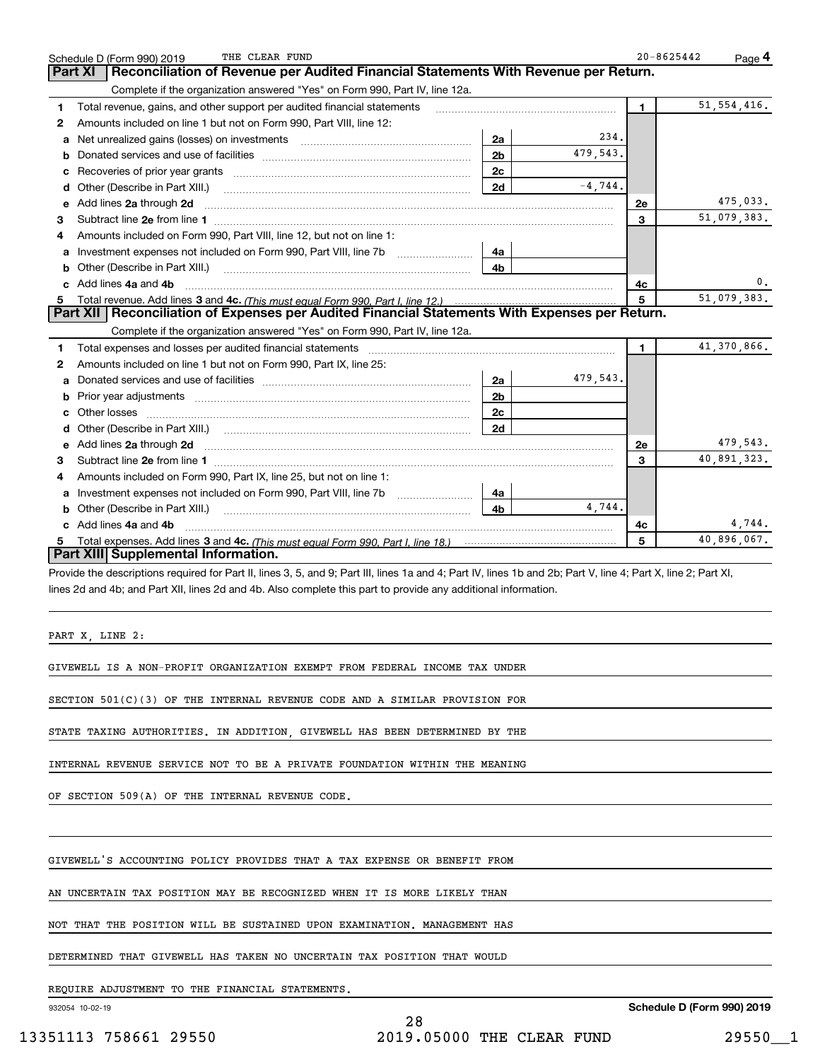|    | THE CLEAR FUND<br>Schedule D (Form 990) 2019                                                                                                                                                            |                |           | $20 - 8625442$ | Page 4        |
|----|---------------------------------------------------------------------------------------------------------------------------------------------------------------------------------------------------------|----------------|-----------|----------------|---------------|
|    | <b>Part XI</b><br>Reconciliation of Revenue per Audited Financial Statements With Revenue per Return.                                                                                                   |                |           |                |               |
|    | Complete if the organization answered "Yes" on Form 990, Part IV, line 12a.                                                                                                                             |                |           |                |               |
| 1  | Total revenue, gains, and other support per audited financial statements                                                                                                                                |                |           | $\mathbf{1}$   | 51, 554, 416. |
| 2  | Amounts included on line 1 but not on Form 990, Part VIII, line 12:                                                                                                                                     |                |           |                |               |
| а  | Net unrealized gains (losses) on investments                                                                                                                                                            | 2a             | 234.      |                |               |
| b  |                                                                                                                                                                                                         | 2 <sub>b</sub> | 479,543.  |                |               |
| c  |                                                                                                                                                                                                         | 2c             |           |                |               |
|    | d Other (Describe in Part XIII.)                                                                                                                                                                        | 2d             | $-4,744.$ |                |               |
| е  | Add lines 2a through 2d                                                                                                                                                                                 |                |           | <b>2e</b>      | 475,033.      |
| 3  |                                                                                                                                                                                                         |                |           | $\mathbf{a}$   | 51,079,383.   |
|    | Amounts included on Form 990, Part VIII, line 12, but not on line 1:                                                                                                                                    |                |           |                |               |
| a  | Investment expenses not included on Form 990, Part VIII, line 7b                                                                                                                                        | 4a             |           |                |               |
|    | <b>b</b> Other (Describe in Part XIII.)                                                                                                                                                                 | 4b             |           |                |               |
|    | c Add lines 4a and 4b                                                                                                                                                                                   |                |           | 4c             | 0.            |
|    |                                                                                                                                                                                                         |                |           | 5              | 51,079,383.   |
|    | Part XII   Reconciliation of Expenses per Audited Financial Statements With Expenses per Return.                                                                                                        |                |           |                |               |
|    | Complete if the organization answered "Yes" on Form 990, Part IV, line 12a.                                                                                                                             |                |           |                |               |
| 1. | Total expenses and losses per audited financial statements [11,11] [11] Total expenses and losses per audited financial statements [11] [11] Total expenses and losses per audited financial statements |                |           | $\mathbf{1}$   | 41,370,866.   |
| 2  | Amounts included on line 1 but not on Form 990, Part IX, line 25:                                                                                                                                       |                |           |                |               |
|    |                                                                                                                                                                                                         | 2a             | 479,543.  |                |               |
|    |                                                                                                                                                                                                         | 2 <sub>b</sub> |           |                |               |
| c. |                                                                                                                                                                                                         | 2 <sub>c</sub> |           |                |               |
|    |                                                                                                                                                                                                         | 2d             |           |                |               |
| е  |                                                                                                                                                                                                         |                |           | 2e             | 479,543.      |
| 3  |                                                                                                                                                                                                         |                |           | 3              | 40,891,323.   |
| 4  | Amounts included on Form 990, Part IX, line 25, but not on line 1:                                                                                                                                      |                |           |                |               |
| a  |                                                                                                                                                                                                         | 4a             |           |                |               |
|    |                                                                                                                                                                                                         | 4 <sub>h</sub> | 4 744.    |                |               |
|    | c Add lines 4a and 4b                                                                                                                                                                                   |                |           | 4c             | 4,744.        |
|    |                                                                                                                                                                                                         |                |           | 5              | 40,896,067.   |
|    | Part XIII Supplemental Information.                                                                                                                                                                     |                |           |                |               |
|    | Provide the descriptions required for Part II, lines 3, 5, and 9; Part III, lines 1a and 4; Part IV, lines 1b and 2b; Part V, line 4; Part X, line 2; Part XI,                                          |                |           |                |               |
|    | lines 2d and 4b; and Part XII, lines 2d and 4b. Also complete this part to provide any additional information.                                                                                          |                |           |                |               |

PART X, LINE 2:

GIVEWELL IS A NON-PROFIT ORGANIZATION EXEMPT FROM FEDERAL INCOME TAX UNDER

SECTION 501(C)(3) OF THE INTERNAL REVENUE CODE AND A SIMILAR PROVISION FOR

STATE TAXING AUTHORITIES. IN ADDITION, GIVEWELL HAS BEEN DETERMINED BY THE

INTERNAL REVENUE SERVICE NOT TO BE A PRIVATE FOUNDATION WITHIN THE MEANING

OF SECTION 509(A) OF THE INTERNAL REVENUE CODE.

GIVEWELL'S ACCOUNTING POLICY PROVIDES THAT A TAX EXPENSE OR BENEFIT FROM

AN UNCERTAIN TAX POSITION MAY BE RECOGNIZED WHEN IT IS MORE LIKELY THAN

NOT THAT THE POSITION WILL BE SUSTAINED UPON EXAMINATION. MANAGEMENT HAS

DETERMINED THAT GIVEWELL HAS TAKEN NO UNCERTAIN TAX POSITION THAT WOULD

REQUIRE ADJUSTMENT TO THE FINANCIAL STATEMENTS.

932054 10-02-19

**Schedule D (Form 990) 2019**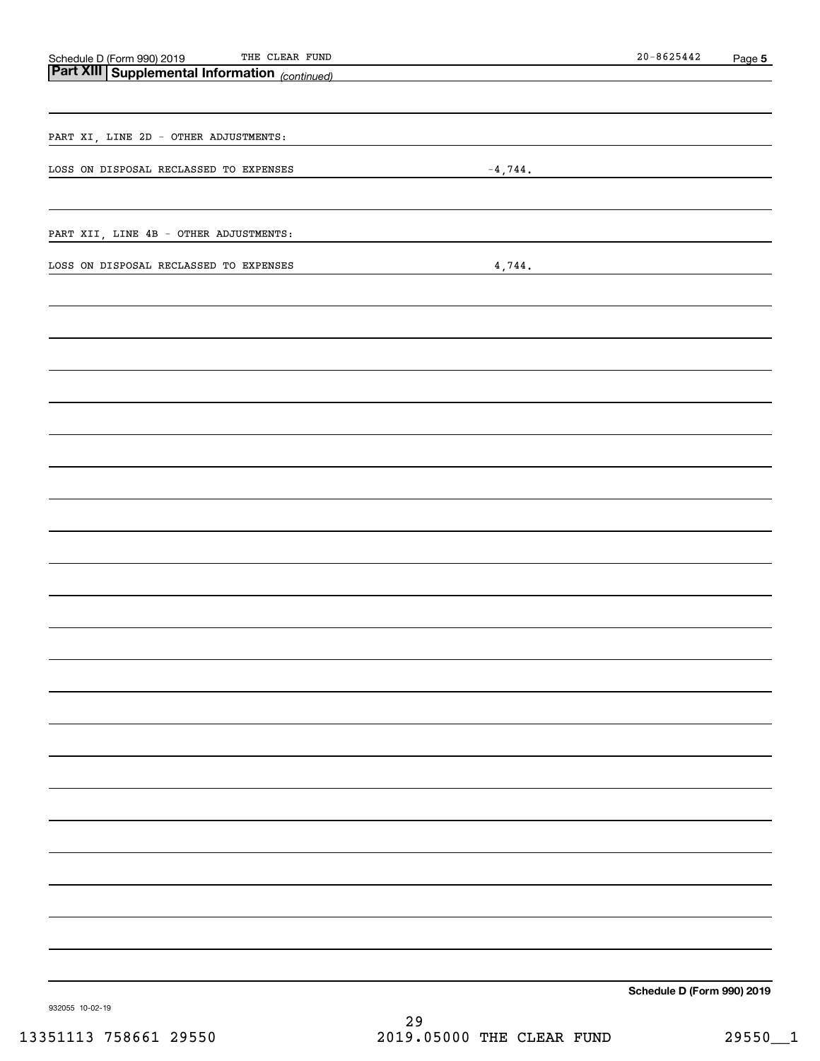| Schedule D (Form 990) 2019 THE CLEAR FUND<br><b>Part XIII Supplemental Information</b> (continued) |           | $20 - 8625442$                                | Page 5 |
|----------------------------------------------------------------------------------------------------|-----------|-----------------------------------------------|--------|
|                                                                                                    |           |                                               |        |
|                                                                                                    |           |                                               |        |
|                                                                                                    |           |                                               |        |
| PART XI, LINE 2D - OTHER ADJUSTMENTS:                                                              |           |                                               |        |
|                                                                                                    |           |                                               |        |
| LOSS ON DISPOSAL RECLASSED TO EXPENSES                                                             | $-4,744.$ |                                               |        |
|                                                                                                    |           |                                               |        |
|                                                                                                    |           |                                               |        |
| PART XII, LINE 4B - OTHER ADJUSTMENTS:                                                             |           |                                               |        |
| LOSS ON DISPOSAL RECLASSED TO EXPENSES                                                             |           |                                               |        |
|                                                                                                    | 4,744.    | <u> 1989 - Andrea Andrew Maria (h. 1989).</u> |        |
|                                                                                                    |           |                                               |        |
|                                                                                                    |           |                                               |        |
|                                                                                                    |           |                                               |        |
|                                                                                                    |           |                                               |        |
|                                                                                                    |           |                                               |        |
|                                                                                                    |           |                                               |        |
|                                                                                                    |           |                                               |        |
|                                                                                                    |           |                                               |        |
|                                                                                                    |           |                                               |        |
|                                                                                                    |           |                                               |        |
|                                                                                                    |           |                                               |        |
|                                                                                                    |           |                                               |        |
|                                                                                                    |           |                                               |        |
|                                                                                                    |           |                                               |        |
|                                                                                                    |           |                                               |        |
|                                                                                                    |           |                                               |        |
|                                                                                                    |           |                                               |        |
|                                                                                                    |           |                                               |        |
|                                                                                                    |           |                                               |        |
|                                                                                                    |           |                                               |        |
|                                                                                                    |           |                                               |        |
|                                                                                                    |           |                                               |        |
|                                                                                                    |           |                                               |        |
|                                                                                                    |           |                                               |        |
|                                                                                                    |           |                                               |        |
|                                                                                                    |           |                                               |        |
|                                                                                                    |           |                                               |        |
|                                                                                                    |           |                                               |        |
|                                                                                                    |           |                                               |        |
|                                                                                                    |           |                                               |        |
|                                                                                                    |           |                                               |        |
|                                                                                                    |           |                                               |        |
|                                                                                                    |           |                                               |        |
|                                                                                                    |           |                                               |        |
|                                                                                                    |           |                                               |        |
|                                                                                                    |           | Schedule D (Form 990) 2019                    |        |

932055 10-02-19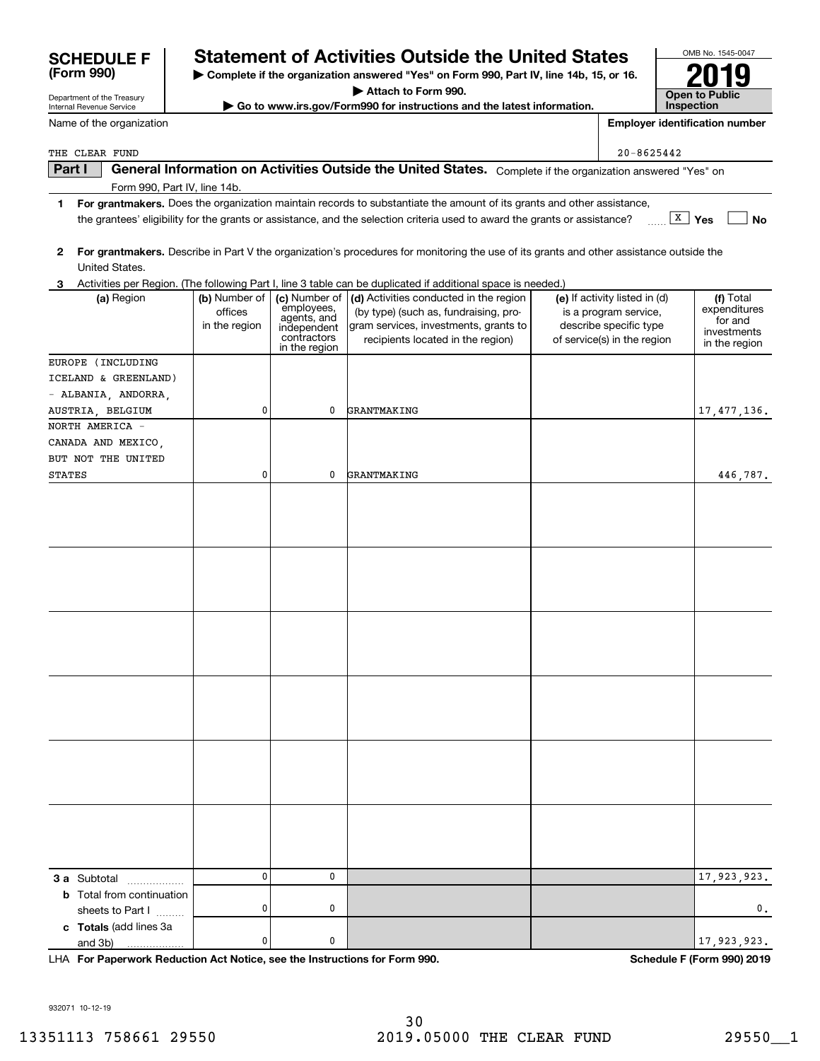| 932071 10-12-19      |  |
|----------------------|--|
| $13351113$ 758661 20 |  |

Department of the Treasury Internal Revenue Service

**(Form 990)**

Form 990, Part IV, line 14b.

| 351113 758661 29550 |  |
|---------------------|--|
|---------------------|--|

# **SCHEDULE F Statement of Activities Outside the United States**

**| Complete if the organization answered "Yes" on Form 990, Part IV, line 14b, 15, or 16.**

**| Attach to Form 990.**

**| Go to www.irs.gov/Form990 for instructions and the latest information.**

**Part I**  $\parallel$  General Information on Activities Outside the United States. Complete if the organization answered "Yes" on

**Yes No** the grantees' eligibility for the grants or assistance, and the selection criteria used to award the grants or assistance? ~~ X

| 2                                                           |                                           |                                                                                           | For grantmakers. Describe in Part V the organization's procedures for monitoring the use of its grants and other assistance outside the                                                                                                                                         |                                                                                                                 |                                                                      |
|-------------------------------------------------------------|-------------------------------------------|-------------------------------------------------------------------------------------------|---------------------------------------------------------------------------------------------------------------------------------------------------------------------------------------------------------------------------------------------------------------------------------|-----------------------------------------------------------------------------------------------------------------|----------------------------------------------------------------------|
| United States.                                              |                                           |                                                                                           |                                                                                                                                                                                                                                                                                 |                                                                                                                 |                                                                      |
| (a) Region                                                  | (b) Number of<br>offices<br>in the region | (c) Number of<br>employees,<br>agents, and<br>independent<br>contractors<br>in the region | 3 Activities per Region. (The following Part I, line 3 table can be duplicated if additional space is needed.)<br>(d) Activities conducted in the region<br>(by type) (such as, fundraising, pro-<br>gram services, investments, grants to<br>recipients located in the region) | (e) If activity listed in (d)<br>is a program service,<br>describe specific type<br>of service(s) in the region | (f) Total<br>expenditures<br>for and<br>investments<br>in the region |
| EUROPE (INCLUDING                                           |                                           |                                                                                           |                                                                                                                                                                                                                                                                                 |                                                                                                                 |                                                                      |
| ICELAND & GREENLAND)<br>- ALBANIA, ANDORRA,                 |                                           |                                                                                           |                                                                                                                                                                                                                                                                                 |                                                                                                                 |                                                                      |
| AUSTRIA, BELGIUM                                            | 0                                         | 0                                                                                         | GRANTMAKING                                                                                                                                                                                                                                                                     |                                                                                                                 | 17,477,136.                                                          |
| NORTH AMERICA -<br>CANADA AND MEXICO,<br>BUT NOT THE UNITED |                                           |                                                                                           |                                                                                                                                                                                                                                                                                 |                                                                                                                 |                                                                      |
| STATES                                                      | 0                                         | 0                                                                                         | GRANTMAKING                                                                                                                                                                                                                                                                     |                                                                                                                 | 446,787.                                                             |
|                                                             |                                           |                                                                                           |                                                                                                                                                                                                                                                                                 |                                                                                                                 |                                                                      |
|                                                             |                                           |                                                                                           |                                                                                                                                                                                                                                                                                 |                                                                                                                 |                                                                      |
|                                                             |                                           |                                                                                           |                                                                                                                                                                                                                                                                                 |                                                                                                                 |                                                                      |
|                                                             |                                           |                                                                                           |                                                                                                                                                                                                                                                                                 |                                                                                                                 |                                                                      |
|                                                             |                                           |                                                                                           |                                                                                                                                                                                                                                                                                 |                                                                                                                 |                                                                      |
|                                                             |                                           |                                                                                           |                                                                                                                                                                                                                                                                                 |                                                                                                                 |                                                                      |
| <b>3 a</b> Subtotal                                         | 0                                         | 0                                                                                         |                                                                                                                                                                                                                                                                                 |                                                                                                                 | 17,923,923.                                                          |
| <b>b</b> Total from continuation<br>sheets to Part I        | 0                                         | 0                                                                                         |                                                                                                                                                                                                                                                                                 |                                                                                                                 | $\mathbf{0}$ .                                                       |
| c Totals (add lines 3a<br>and 3b)                           | 0                                         | 0                                                                                         |                                                                                                                                                                                                                                                                                 |                                                                                                                 | 17,923,923.                                                          |

Name of the organization THE CLEAR FUND 20-8625442

**1For grantmakers.**  Does the organization maintain records to substantiate the amount of its grants and other assistance,

OMB No. 1545-0047 **Open to Public 2019**

**InspectionEmployer identification number**

**For Paperwork Reduction Act Notice, see the Instructions for Form 990. Schedule F (Form 990) 2019** LHA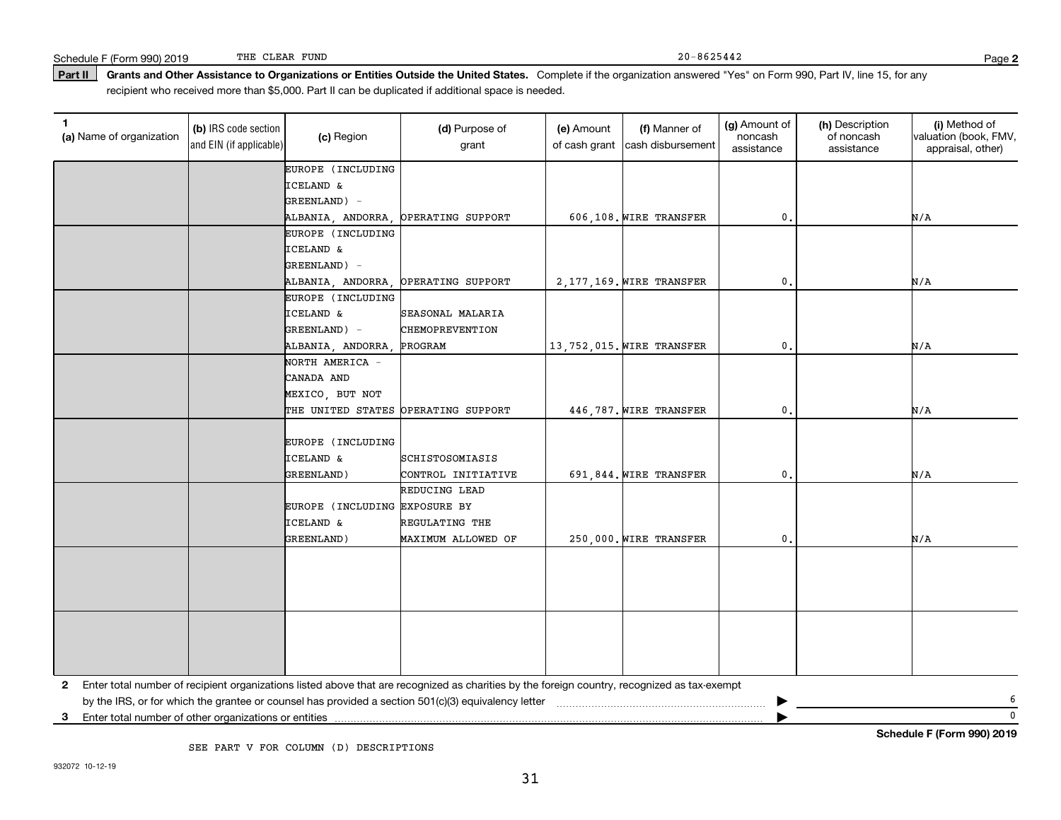### Part II | Grants and Other Assistance to Organizations or Entities Outside the United States. Complete if the organization answered "Yes" on Form 990, Part IV, line 15, for any recipient who received more than \$5,000. Part II can be duplicated if additional space is needed.

| $\mathbf{1}$<br>(a) Name of organization | (b) IRS code section<br>and EIN (if applicable) | (c) Region                                   | (d) Purpose of<br>grant                                                                                                                      | (e) Amount<br>of cash grant | (f) Manner of<br>cash disbursement | (g) Amount of<br>noncash<br>assistance | (h) Description<br>of noncash<br>assistance | (i) Method of<br>valuation (book, FMV,<br>appraisal, other) |
|------------------------------------------|-------------------------------------------------|----------------------------------------------|----------------------------------------------------------------------------------------------------------------------------------------------|-----------------------------|------------------------------------|----------------------------------------|---------------------------------------------|-------------------------------------------------------------|
|                                          |                                                 | EUROPE (INCLUDING                            |                                                                                                                                              |                             |                                    |                                        |                                             |                                                             |
|                                          |                                                 | ICELAND &                                    |                                                                                                                                              |                             |                                    |                                        |                                             |                                                             |
|                                          |                                                 | GREENLAND) -                                 |                                                                                                                                              |                             |                                    |                                        |                                             |                                                             |
|                                          |                                                 | ALBANIA, ANDORRA,                            | OPERATING SUPPORT                                                                                                                            |                             | 606,108. WIRE TRANSFER             | $\mathbf{0}$ .                         |                                             | N/A                                                         |
|                                          |                                                 | EUROPE (INCLUDING                            |                                                                                                                                              |                             |                                    |                                        |                                             |                                                             |
|                                          |                                                 | ICELAND &                                    |                                                                                                                                              |                             |                                    |                                        |                                             |                                                             |
|                                          |                                                 | GREENLAND) -                                 |                                                                                                                                              |                             |                                    |                                        |                                             |                                                             |
|                                          |                                                 | ALBANIA, ANDORRA,                            | OPERATING SUPPORT                                                                                                                            |                             | 2, 177, 169. WIRE TRANSFER         | 0.                                     |                                             | N/A                                                         |
|                                          |                                                 | EUROPE (INCLUDING                            |                                                                                                                                              |                             |                                    |                                        |                                             |                                                             |
|                                          |                                                 | ICELAND &                                    | SEASONAL MALARIA                                                                                                                             |                             |                                    |                                        |                                             |                                                             |
|                                          |                                                 | GREENLAND) -                                 | CHEMOPREVENTION                                                                                                                              |                             |                                    |                                        |                                             |                                                             |
|                                          |                                                 | ALBANIA, ANDORRA,                            | PROGRAM                                                                                                                                      |                             | 13,752,015. WIRE TRANSFER          | $\mathbf{0}$ .                         |                                             | N/A                                                         |
|                                          |                                                 | NORTH AMERICA -                              |                                                                                                                                              |                             |                                    |                                        |                                             |                                                             |
|                                          |                                                 | CANADA AND                                   |                                                                                                                                              |                             |                                    |                                        |                                             |                                                             |
|                                          |                                                 | MEXICO, BUT NOT                              |                                                                                                                                              |                             |                                    |                                        |                                             |                                                             |
|                                          |                                                 | THE UNITED STATES OPERATING SUPPORT          |                                                                                                                                              |                             | 446,787. WIRE TRANSFER             | $\mathbf{0}$ .                         |                                             | N/A                                                         |
|                                          |                                                 | EUROPE (INCLUDING<br>ICELAND &<br>GREENLAND) | SCHISTOSOMIASIS<br>CONTROL INITIATIVE                                                                                                        |                             | 691,844. WIRE TRANSFER             | $\mathbf{0}$ .                         |                                             | N/A                                                         |
|                                          |                                                 |                                              | REDUCING LEAD                                                                                                                                |                             |                                    |                                        |                                             |                                                             |
|                                          |                                                 | EUROPE (INCLUDING EXPOSURE BY                |                                                                                                                                              |                             |                                    |                                        |                                             |                                                             |
|                                          |                                                 | ICELAND &                                    | REGULATING THE                                                                                                                               |                             |                                    |                                        |                                             |                                                             |
|                                          |                                                 | GREENLAND)                                   | MAXIMUM ALLOWED OF                                                                                                                           |                             | 250,000. WIRE TRANSFER             | $\mathbf{0}$                           |                                             | N/A                                                         |
|                                          |                                                 |                                              |                                                                                                                                              |                             |                                    |                                        |                                             |                                                             |
|                                          |                                                 |                                              |                                                                                                                                              |                             |                                    |                                        |                                             |                                                             |
| 2                                        |                                                 |                                              | Enter total number of recipient organizations listed above that are recognized as charities by the foreign country, recognized as tax-exempt |                             |                                    |                                        |                                             |                                                             |
|                                          |                                                 |                                              |                                                                                                                                              |                             |                                    |                                        |                                             | 6                                                           |
| 3                                        |                                                 |                                              |                                                                                                                                              |                             |                                    |                                        |                                             | $\mathbf 0$                                                 |

SEE PART V FOR COLUMN (D) DESCRIPTIONS

**Schedule F (Form 990) 2019**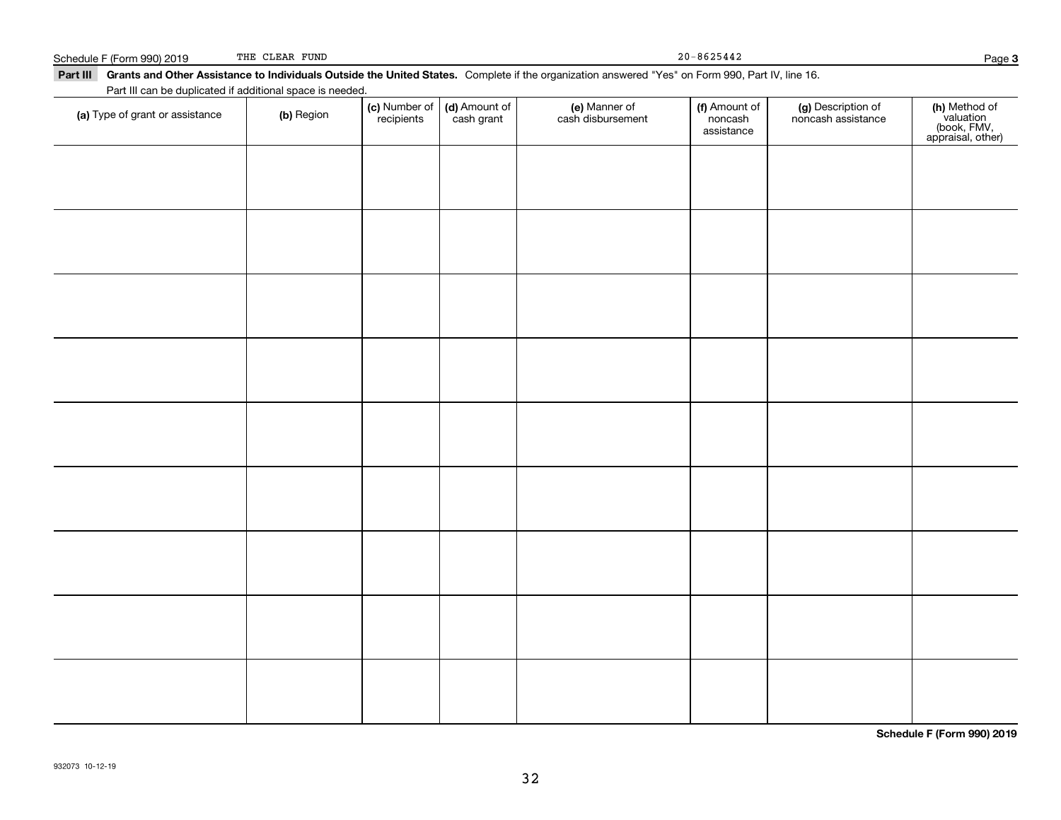932073 10-12-19

Part III Grants and Other Assistance to Individuals Outside the United States. Complete if the organization answered "Yes" on Form 990, Part IV, line 16. Part III can be duplicated if additional space is needed. (c) Number of (d) Amount of (e) Manner of (f) Amount of

cash grant

recipients

**(a)** Type of grant or assistance  $\qquad$  **(b)** Region

noncashassistance noncash assistance

**(c)** Number of **| (d)** Amount of **| (e)** Manner of **| (f)** Amount of **| (g)** Description of **| (h)** 

cash disbursement

**3**

**(h)** Method of<br>valuation<br>(book, FMV,<br>appraisal, other)

**Schedule F (Form 990) 2019**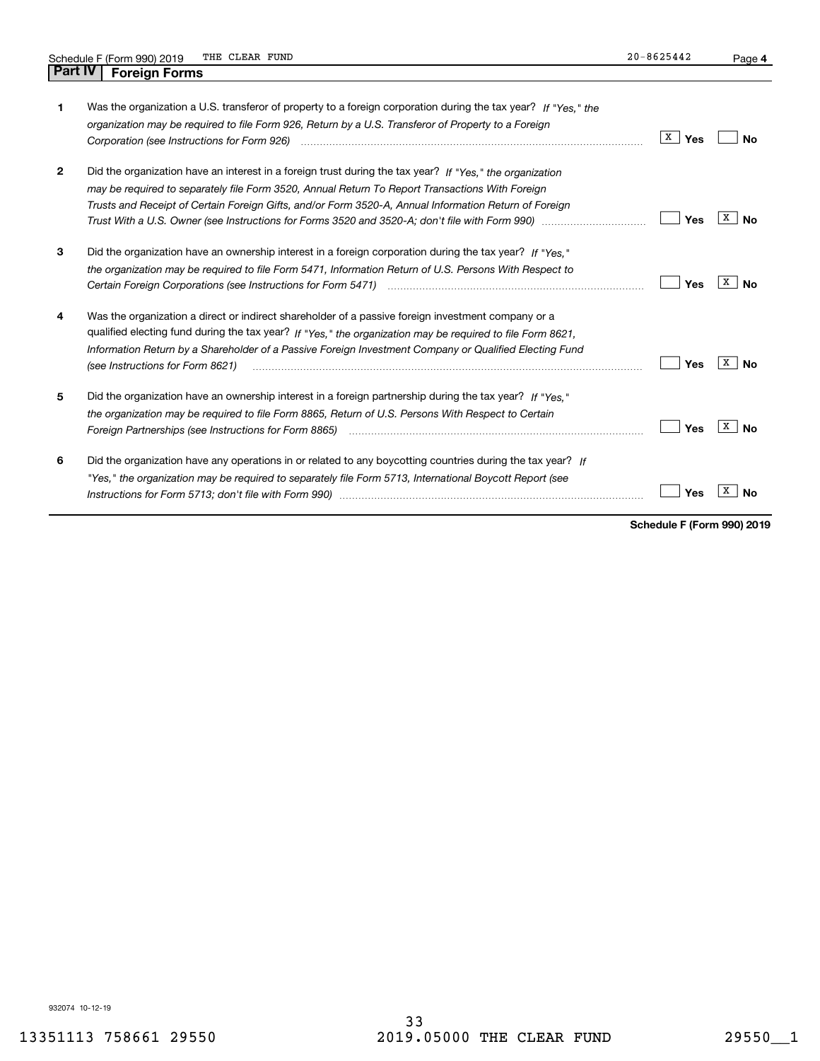| 1            | Was the organization a U.S. transferor of property to a foreign corporation during the tax year? If "Yes." the<br>organization may be required to file Form 926, Return by a U.S. Transferor of Property to a Foreign                                                                                                                                          | X<br>Yes | N٥             |
|--------------|----------------------------------------------------------------------------------------------------------------------------------------------------------------------------------------------------------------------------------------------------------------------------------------------------------------------------------------------------------------|----------|----------------|
| $\mathbf{2}$ | Did the organization have an interest in a foreign trust during the tax year? If "Yes," the organization<br>may be required to separately file Form 3520, Annual Return To Report Transactions With Foreign<br>Trusts and Receipt of Certain Foreign Gifts, and/or Form 3520-A, Annual Information Return of Foreign                                           | Yes      | x<br>Nο        |
| 3            | Did the organization have an ownership interest in a foreign corporation during the tax year? If "Yes."<br>the organization may be required to file Form 5471, Information Return of U.S. Persons With Respect to                                                                                                                                              | Yes      | x<br>N٥        |
| 4            | Was the organization a direct or indirect shareholder of a passive foreign investment company or a<br>qualified electing fund during the tax year? If "Yes," the organization may be required to file Form 8621,<br>Information Return by a Shareholder of a Passive Foreign Investment Company or Qualified Electing Fund<br>(see Instructions for Form 8621) | Yes      | X<br>No        |
| 5            | Did the organization have an ownership interest in a foreign partnership during the tax year? If "Yes."<br>the organization may be required to file Form 8865, Return of U.S. Persons With Respect to Certain                                                                                                                                                  | Yes      | X<br><b>No</b> |
| 6            | Did the organization have any operations in or related to any boycotting countries during the tax year? If<br>"Yes," the organization may be required to separately file Form 5713, International Boycott Report (see                                                                                                                                          | Yes      |                |

**Schedule F (Form 990) 2019**

932074 10-12-19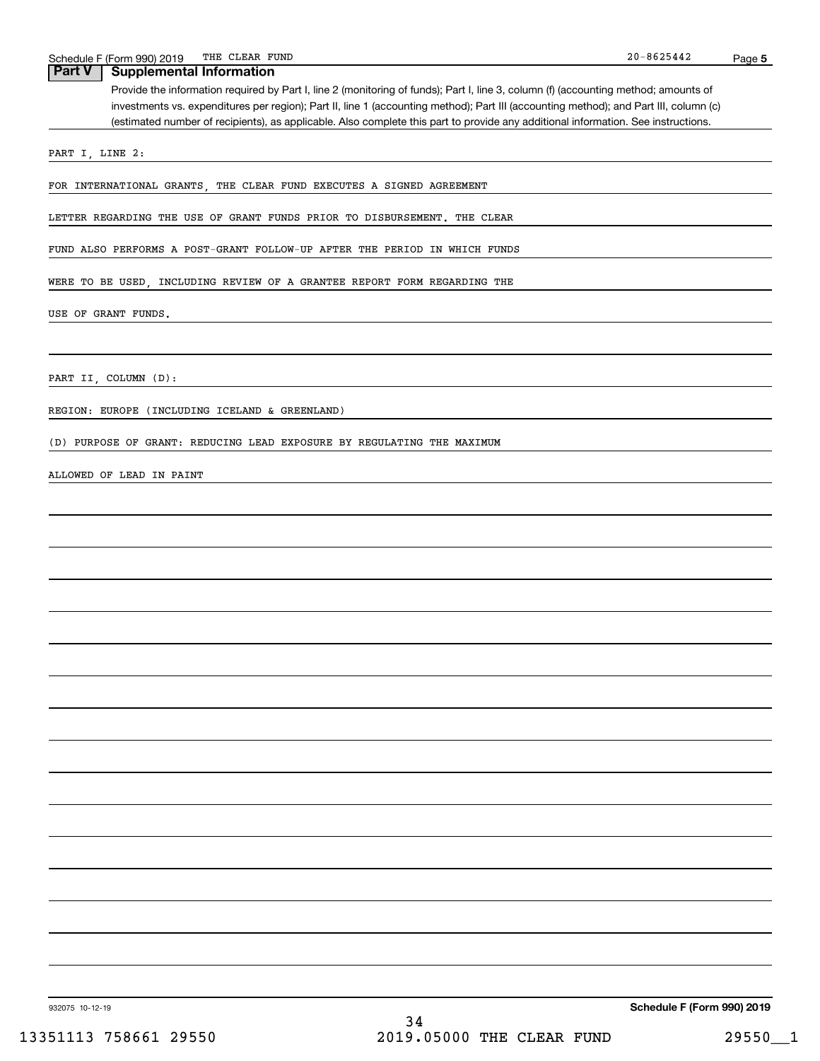## **Part V Supplemental Information**

Provide the information required by Part I, line 2 (monitoring of funds); Part I, line 3, column (f) (accounting method; amounts of investments vs. expenditures per region); Part II, line 1 (accounting method); Part III (accounting method); and Part III, column (c) (estimated number of recipients), as applicable. Also complete this part to provide any additional information. See instructions.

PART I, LINE 2:

FOR INTERNATIONAL GRANTS, THE CLEAR FUND EXECUTES A SIGNED AGREEMENT

LETTER REGARDING THE USE OF GRANT FUNDS PRIOR TO DISBURSEMENT. THE CLEAR

FUND ALSO PERFORMS A POST-GRANT FOLLOW-UP AFTER THE PERIOD IN WHICH FUNDS

WERE TO BE USED, INCLUDING REVIEW OF A GRANTEE REPORT FORM REGARDING THE

USE OF GRANT FUNDS.

PART II, COLUMN (D):

REGION: EUROPE (INCLUDING ICELAND & GREENLAND)

(D) PURPOSE OF GRANT: REDUCING LEAD EXPOSURE BY REGULATING THE MAXIMUM

#### ALLOWED OF LEAD IN PAINT

**Schedule F (Form 990) 2019**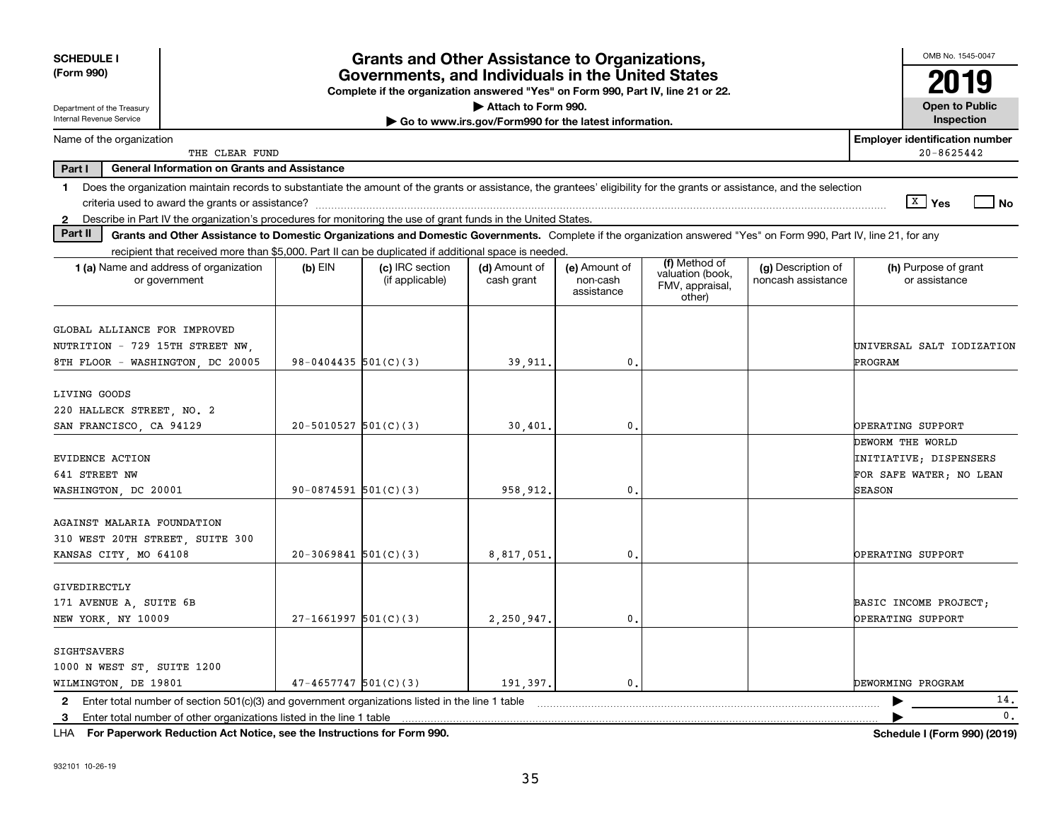| <b>SCHEDULE I</b>                                                                                                                                                             |                          | <b>Grants and Other Assistance to Organizations,</b>                                                                                  |                                                       |                                         |                                                                |                                          | OMB No. 1545-0047                                       |
|-------------------------------------------------------------------------------------------------------------------------------------------------------------------------------|--------------------------|---------------------------------------------------------------------------------------------------------------------------------------|-------------------------------------------------------|-----------------------------------------|----------------------------------------------------------------|------------------------------------------|---------------------------------------------------------|
| (Form 990)                                                                                                                                                                    |                          | Governments, and Individuals in the United States<br>Complete if the organization answered "Yes" on Form 990, Part IV, line 21 or 22. |                                                       |                                         |                                                                |                                          |                                                         |
| Department of the Treasury                                                                                                                                                    |                          |                                                                                                                                       | Attach to Form 990.                                   |                                         |                                                                |                                          | <b>Open to Public</b>                                   |
| Internal Revenue Service                                                                                                                                                      |                          |                                                                                                                                       | Go to www.irs.gov/Form990 for the latest information. |                                         |                                                                |                                          | Inspection                                              |
| Name of the organization<br>THE CLEAR FUND                                                                                                                                    |                          |                                                                                                                                       |                                                       |                                         |                                                                |                                          | <b>Employer identification number</b><br>$20 - 8625442$ |
| Part I<br><b>General Information on Grants and Assistance</b>                                                                                                                 |                          |                                                                                                                                       |                                                       |                                         |                                                                |                                          |                                                         |
| 1 Does the organization maintain records to substantiate the amount of the grants or assistance, the grantees' eligibility for the grants or assistance, and the selection    |                          |                                                                                                                                       |                                                       |                                         |                                                                |                                          |                                                         |
|                                                                                                                                                                               |                          |                                                                                                                                       |                                                       |                                         |                                                                |                                          | ∣ <sup>x</sup> ∣ Yes<br>$\overline{\phantom{a}}$ No     |
| Describe in Part IV the organization's procedures for monitoring the use of grant funds in the United States.<br>$\mathbf{2}$                                                 |                          |                                                                                                                                       |                                                       |                                         |                                                                |                                          |                                                         |
| Part II<br>Grants and Other Assistance to Domestic Organizations and Domestic Governments. Complete if the organization answered "Yes" on Form 990, Part IV, line 21, for any |                          |                                                                                                                                       |                                                       |                                         |                                                                |                                          |                                                         |
| recipient that received more than \$5,000. Part II can be duplicated if additional space is needed.                                                                           |                          |                                                                                                                                       |                                                       |                                         |                                                                |                                          |                                                         |
| 1 (a) Name and address of organization<br>or government                                                                                                                       | $(b)$ EIN                | (c) IRC section<br>(if applicable)                                                                                                    | (d) Amount of<br>cash grant                           | (e) Amount of<br>non-cash<br>assistance | (f) Method of<br>valuation (book,<br>FMV, appraisal,<br>other) | (g) Description of<br>noncash assistance | (h) Purpose of grant<br>or assistance                   |
| GLOBAL ALLIANCE FOR IMPROVED                                                                                                                                                  |                          |                                                                                                                                       |                                                       |                                         |                                                                |                                          |                                                         |
| NUTRITION - 729 15TH STREET NW                                                                                                                                                |                          |                                                                                                                                       |                                                       |                                         |                                                                |                                          | UNIVERSAL SALT IODIZATION                               |
| 8TH FLOOR - WASHINGTON, DC 20005                                                                                                                                              | $98 - 0404435$ 501(C)(3) |                                                                                                                                       | 39,911.                                               | 0.                                      |                                                                |                                          | PROGRAM                                                 |
|                                                                                                                                                                               |                          |                                                                                                                                       |                                                       |                                         |                                                                |                                          |                                                         |
| LIVING GOODS<br>220 HALLECK STREET NO. 2                                                                                                                                      |                          |                                                                                                                                       |                                                       |                                         |                                                                |                                          |                                                         |
| SAN FRANCISCO, CA 94129                                                                                                                                                       | $20 - 5010527$ 501(C)(3) |                                                                                                                                       | 30,401                                                | $\mathbf{0}$ .                          |                                                                |                                          | OPERATING SUPPORT                                       |
|                                                                                                                                                                               |                          |                                                                                                                                       |                                                       |                                         |                                                                |                                          | DEWORM THE WORLD                                        |
| EVIDENCE ACTION                                                                                                                                                               |                          |                                                                                                                                       |                                                       |                                         |                                                                |                                          | INITIATIVE; DISPENSERS                                  |
| 641 STREET NW                                                                                                                                                                 |                          |                                                                                                                                       |                                                       |                                         |                                                                |                                          | FOR SAFE WATER; NO LEAN                                 |
| WASHINGTON, DC 20001                                                                                                                                                          | 90-0874591 $501(C)(3)$   |                                                                                                                                       | 958,912.                                              | $\mathbf{0}$ .                          |                                                                |                                          | <b>SEASON</b>                                           |
|                                                                                                                                                                               |                          |                                                                                                                                       |                                                       |                                         |                                                                |                                          |                                                         |
| <b>AGAINST MALARIA FOUNDATION</b>                                                                                                                                             |                          |                                                                                                                                       |                                                       |                                         |                                                                |                                          |                                                         |
| 310 WEST 20TH STREET, SUITE 300                                                                                                                                               |                          |                                                                                                                                       |                                                       |                                         |                                                                |                                          |                                                         |
| KANSAS CITY, MO 64108                                                                                                                                                         | $20-3069841$ 501(C)(3)   |                                                                                                                                       | 8,817,051                                             | 0.                                      |                                                                |                                          | OPERATING SUPPORT                                       |
| GIVEDIRECTLY                                                                                                                                                                  |                          |                                                                                                                                       |                                                       |                                         |                                                                |                                          |                                                         |
| 171 AVENUE A, SUITE 6B                                                                                                                                                        |                          |                                                                                                                                       |                                                       |                                         |                                                                |                                          | BASIC INCOME PROJECT;                                   |
| NEW YORK, NY 10009                                                                                                                                                            | $27-1661997$ 501(C)(3)   |                                                                                                                                       | 2,250,947.                                            | $\mathbf{0}$ .                          |                                                                |                                          | OPERATING SUPPORT                                       |
|                                                                                                                                                                               |                          |                                                                                                                                       |                                                       |                                         |                                                                |                                          |                                                         |
| <b>SIGHTSAVERS</b>                                                                                                                                                            |                          |                                                                                                                                       |                                                       |                                         |                                                                |                                          |                                                         |
| 1000 N WEST ST, SUITE 1200                                                                                                                                                    |                          |                                                                                                                                       |                                                       |                                         |                                                                |                                          |                                                         |
| WILMINGTON, DE 19801                                                                                                                                                          | $47 - 4657747$ 501(C)(3) |                                                                                                                                       | 191,397.                                              | $\mathbf{0}$ .                          |                                                                |                                          | DEWORMING PROGRAM                                       |
| 2 Enter total number of section $501(c)(3)$ and government organizations listed in the line 1 table                                                                           |                          |                                                                                                                                       |                                                       |                                         |                                                                |                                          | 14.                                                     |
| 3 Enter total number of other organizations listed in the line 1 table                                                                                                        |                          |                                                                                                                                       |                                                       |                                         |                                                                |                                          | $\mathbf{0}$ .                                          |
|                                                                                                                                                                               |                          |                                                                                                                                       |                                                       |                                         |                                                                |                                          |                                                         |

**For Paperwork Reduction Act Notice, see the Instructions for Form 990. Schedule I (Form 990) (2019)** LHA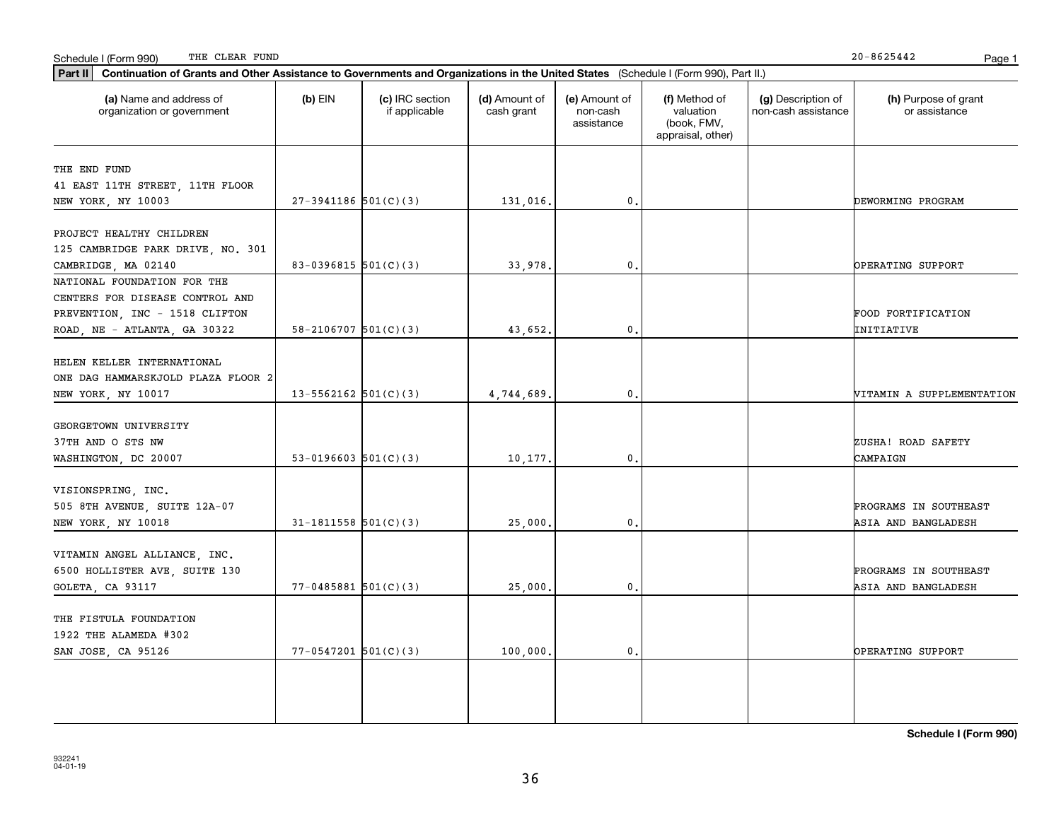**Schedule I (Form 990)**

#### Schedule I (Form 990) Page 1 THE CLEAR FUND

| $20 - 8625442$ | D. |
|----------------|----|

| (a) Name and address of<br>organization or government                                                                            | $(b)$ EIN                  | (c) IRC section<br>if applicable | (d) Amount of<br>cash grant | (e) Amount of<br>non-cash<br>assistance | (f) Method of<br>valuation<br>(book, FMV,<br>appraisal, other) | (g) Description of<br>non-cash assistance | (h) Purpose of grant<br>or assistance        |
|----------------------------------------------------------------------------------------------------------------------------------|----------------------------|----------------------------------|-----------------------------|-----------------------------------------|----------------------------------------------------------------|-------------------------------------------|----------------------------------------------|
| THE END FUND<br>41 EAST 11TH STREET, 11TH FLOOR<br>NEW YORK, NY 10003                                                            | $27-3941186$ 501(C)(3)     |                                  | 131,016.                    | 0.                                      |                                                                |                                           | DEWORMING PROGRAM                            |
| PROJECT HEALTHY CHILDREN<br>125 CAMBRIDGE PARK DRIVE, NO. 301<br>CAMBRIDGE, MA 02140                                             | 83-0396815 $501(C)(3)$     |                                  | 33,978                      | $\mathbf{0}$ .                          |                                                                |                                           | OPERATING SUPPORT                            |
| NATIONAL FOUNDATION FOR THE<br>CENTERS FOR DISEASE CONTROL AND<br>PREVENTION, INC - 1518 CLIFTON<br>ROAD, NE - ATLANTA, GA 30322 | $58 - 2106707$ $501(C)(3)$ |                                  | 43,652.                     | 0.                                      |                                                                |                                           | FOOD FORTIFICATION<br>INITIATIVE             |
| HELEN KELLER INTERNATIONAL<br>ONE DAG HAMMARSKJOLD PLAZA FLOOR 2<br>NEW YORK, NY 10017                                           | $13 - 5562162$ 501(C)(3)   |                                  | 4,744,689                   | $\mathbf 0$ .                           |                                                                |                                           | VITAMIN A SUPPLEMENTATION                    |
| GEORGETOWN UNIVERSITY<br>37TH AND O STS NW<br>WASHINGTON, DC 20007                                                               | $53-0196603$ $501(C)(3)$   |                                  | 10,177.                     | $\mathbf 0$ .                           |                                                                |                                           | ZUSHA! ROAD SAFETY<br>CAMPAIGN               |
| VISIONSPRING, INC.<br>505 8TH AVENUE, SUITE 12A-07<br>NEW YORK, NY 10018                                                         | $31-1811558$ $501(C)(3)$   |                                  | 25,000                      | 0.                                      |                                                                |                                           | PROGRAMS IN SOUTHEAST<br>ASIA AND BANGLADESH |
| VITAMIN ANGEL ALLIANCE, INC.<br>6500 HOLLISTER AVE, SUITE 130<br>GOLETA, CA 93117                                                | $77 - 0485881$ 501(C)(3)   |                                  | 25,000                      | $\mathbf 0$ .                           |                                                                |                                           | PROGRAMS IN SOUTHEAST<br>ASIA AND BANGLADESH |
| THE FISTULA FOUNDATION<br>1922 THE ALAMEDA #302<br>SAN JOSE, CA 95126                                                            | $77 - 0547201$ 501(C)(3)   |                                  | 100,000                     | $\mathfrak o$ .                         |                                                                |                                           | OPERATING SUPPORT                            |
|                                                                                                                                  |                            |                                  |                             |                                         |                                                                |                                           |                                              |

36

**Part II Continuation of Grants and Other Assistance to Governments and Organizations in the United States**  (Schedule I (Form 990), Part II.)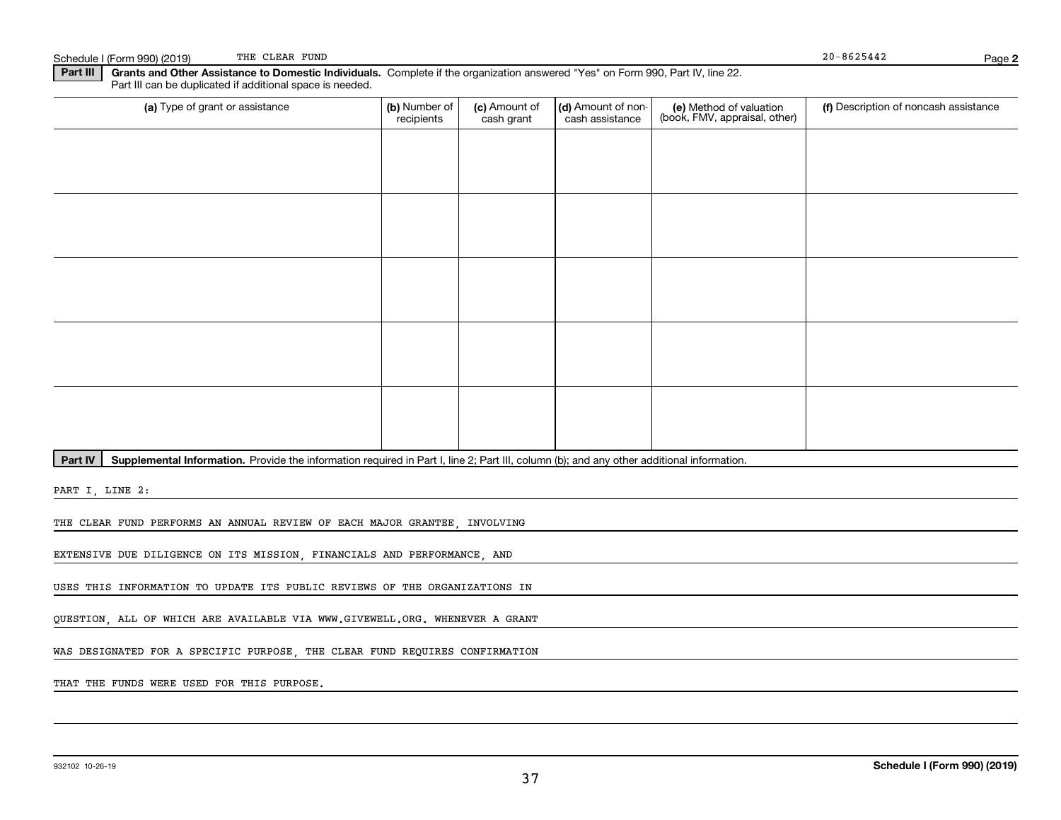| Part III Grants and Ot |
|------------------------|
|------------------------|

**2**

**Part III** | Grants and Other Assistance to Domestic Individuals. Complete if the organization answered "Yes" on Form 990, Part IV, line 22. Part III can be duplicated if additional space is needed.

| (a) Type of grant or assistance | (b) Number of<br>recipients | (c) Amount of<br>cash grant | (d) Amount of non-<br>cash assistance | (e) Method of valuation<br>(book, FMV, appraisal, other) | (f) Description of noncash assistance |
|---------------------------------|-----------------------------|-----------------------------|---------------------------------------|----------------------------------------------------------|---------------------------------------|
|                                 |                             |                             |                                       |                                                          |                                       |
|                                 |                             |                             |                                       |                                                          |                                       |
|                                 |                             |                             |                                       |                                                          |                                       |
|                                 |                             |                             |                                       |                                                          |                                       |
|                                 |                             |                             |                                       |                                                          |                                       |
|                                 |                             |                             |                                       |                                                          |                                       |
|                                 |                             |                             |                                       |                                                          |                                       |
|                                 |                             |                             |                                       |                                                          |                                       |
|                                 |                             |                             |                                       |                                                          |                                       |
|                                 |                             |                             |                                       |                                                          |                                       |

Part IV | Supplemental Information. Provide the information required in Part I, line 2; Part III, column (b); and any other additional information.

PART I, LINE 2:

THE CLEAR FUND PERFORMS AN ANNUAL REVIEW OF EACH MAJOR GRANTEE, INVOLVING

EXTENSIVE DUE DILIGENCE ON ITS MISSION, FINANCIALS AND PERFORMANCE, AND

USES THIS INFORMATION TO UPDATE ITS PUBLIC REVIEWS OF THE ORGANIZATIONS IN

QUESTION, ALL OF WHICH ARE AVAILABLE VIA WWW.GIVEWELL.ORG. WHENEVER A GRANT

WAS DESIGNATED FOR A SPECIFIC PURPOSE, THE CLEAR FUND REQUIRES CONFIRMATION

THAT THE FUNDS WERE USED FOR THIS PURPOSE.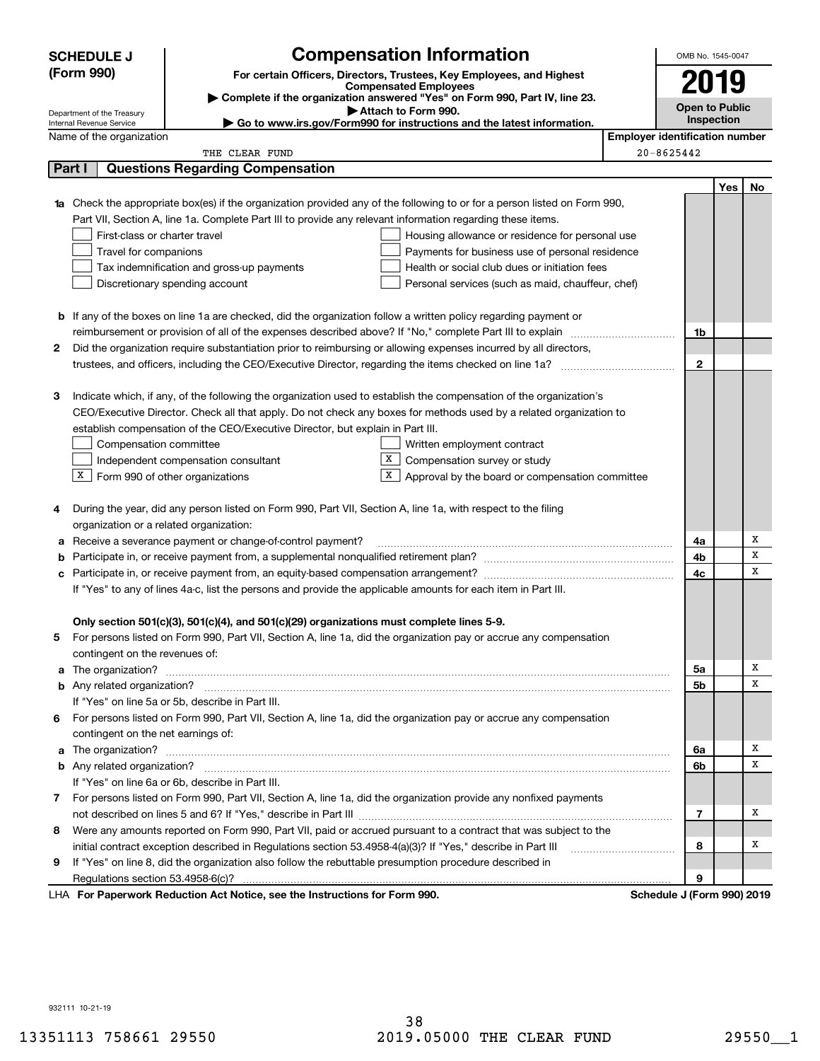|                                                                                     | <b>SCHEDULE J</b>                                                                                                                |                                                                                                              | <b>Compensation Information</b>                                                                                                                                                                             |                                       | OMB No. 1545-0047          |                   |        |  |
|-------------------------------------------------------------------------------------|----------------------------------------------------------------------------------------------------------------------------------|--------------------------------------------------------------------------------------------------------------|-------------------------------------------------------------------------------------------------------------------------------------------------------------------------------------------------------------|---------------------------------------|----------------------------|-------------------|--------|--|
| (Form 990)<br>For certain Officers, Directors, Trustees, Key Employees, and Highest |                                                                                                                                  |                                                                                                              |                                                                                                                                                                                                             |                                       | 2019                       |                   |        |  |
|                                                                                     |                                                                                                                                  |                                                                                                              | <b>Compensated Employees</b>                                                                                                                                                                                |                                       |                            |                   |        |  |
|                                                                                     | Complete if the organization answered "Yes" on Form 990, Part IV, line 23.<br>Attach to Form 990.                                |                                                                                                              |                                                                                                                                                                                                             |                                       | <b>Open to Public</b>      |                   |        |  |
|                                                                                     | Department of the Treasury<br>Go to www.irs.gov/Form990 for instructions and the latest information.<br>Internal Revenue Service |                                                                                                              |                                                                                                                                                                                                             |                                       |                            | <b>Inspection</b> |        |  |
|                                                                                     | Name of the organization                                                                                                         |                                                                                                              |                                                                                                                                                                                                             | <b>Employer identification number</b> |                            |                   |        |  |
|                                                                                     |                                                                                                                                  | THE CLEAR FUND                                                                                               |                                                                                                                                                                                                             |                                       | 20-8625442                 |                   |        |  |
|                                                                                     | Part I                                                                                                                           | <b>Questions Regarding Compensation</b>                                                                      |                                                                                                                                                                                                             |                                       |                            |                   |        |  |
|                                                                                     |                                                                                                                                  |                                                                                                              |                                                                                                                                                                                                             |                                       |                            | Yes               | No     |  |
|                                                                                     |                                                                                                                                  |                                                                                                              | Check the appropriate box(es) if the organization provided any of the following to or for a person listed on Form 990,                                                                                      |                                       |                            |                   |        |  |
|                                                                                     |                                                                                                                                  | Part VII, Section A, line 1a. Complete Part III to provide any relevant information regarding these items.   |                                                                                                                                                                                                             |                                       |                            |                   |        |  |
|                                                                                     | First-class or charter travel                                                                                                    |                                                                                                              | Housing allowance or residence for personal use                                                                                                                                                             |                                       |                            |                   |        |  |
|                                                                                     | Travel for companions                                                                                                            |                                                                                                              | Payments for business use of personal residence                                                                                                                                                             |                                       |                            |                   |        |  |
|                                                                                     |                                                                                                                                  | Tax indemnification and gross-up payments                                                                    | Health or social club dues or initiation fees                                                                                                                                                               |                                       |                            |                   |        |  |
|                                                                                     |                                                                                                                                  | Discretionary spending account                                                                               | Personal services (such as maid, chauffeur, chef)                                                                                                                                                           |                                       |                            |                   |        |  |
|                                                                                     |                                                                                                                                  |                                                                                                              |                                                                                                                                                                                                             |                                       |                            |                   |        |  |
|                                                                                     |                                                                                                                                  |                                                                                                              | <b>b</b> If any of the boxes on line 1a are checked, did the organization follow a written policy regarding payment or                                                                                      |                                       |                            |                   |        |  |
|                                                                                     |                                                                                                                                  |                                                                                                              |                                                                                                                                                                                                             |                                       | 1b                         |                   |        |  |
| 2                                                                                   |                                                                                                                                  |                                                                                                              | Did the organization require substantiation prior to reimbursing or allowing expenses incurred by all directors,                                                                                            |                                       |                            |                   |        |  |
|                                                                                     |                                                                                                                                  |                                                                                                              |                                                                                                                                                                                                             |                                       | $\mathbf{2}$               |                   |        |  |
|                                                                                     |                                                                                                                                  |                                                                                                              |                                                                                                                                                                                                             |                                       |                            |                   |        |  |
| 3                                                                                   |                                                                                                                                  |                                                                                                              | Indicate which, if any, of the following the organization used to establish the compensation of the organization's                                                                                          |                                       |                            |                   |        |  |
|                                                                                     |                                                                                                                                  |                                                                                                              | CEO/Executive Director. Check all that apply. Do not check any boxes for methods used by a related organization to                                                                                          |                                       |                            |                   |        |  |
|                                                                                     |                                                                                                                                  | establish compensation of the CEO/Executive Director, but explain in Part III.                               |                                                                                                                                                                                                             |                                       |                            |                   |        |  |
|                                                                                     | Compensation committee                                                                                                           |                                                                                                              | Written employment contract                                                                                                                                                                                 |                                       |                            |                   |        |  |
|                                                                                     |                                                                                                                                  | Independent compensation consultant                                                                          | X  <br>Compensation survey or study                                                                                                                                                                         |                                       |                            |                   |        |  |
|                                                                                     | $X$ Form 990 of other organizations                                                                                              |                                                                                                              | $X$ Approval by the board or compensation committee                                                                                                                                                         |                                       |                            |                   |        |  |
|                                                                                     |                                                                                                                                  |                                                                                                              |                                                                                                                                                                                                             |                                       |                            |                   |        |  |
| 4                                                                                   |                                                                                                                                  | During the year, did any person listed on Form 990, Part VII, Section A, line 1a, with respect to the filing |                                                                                                                                                                                                             |                                       |                            |                   |        |  |
|                                                                                     | organization or a related organization:                                                                                          |                                                                                                              |                                                                                                                                                                                                             |                                       |                            |                   |        |  |
| а                                                                                   |                                                                                                                                  | Receive a severance payment or change-of-control payment?                                                    |                                                                                                                                                                                                             |                                       | 4a                         |                   | Χ      |  |
| b                                                                                   |                                                                                                                                  |                                                                                                              |                                                                                                                                                                                                             |                                       | 4b                         |                   | X<br>X |  |
| с                                                                                   |                                                                                                                                  |                                                                                                              |                                                                                                                                                                                                             |                                       | 4c                         |                   |        |  |
|                                                                                     | If "Yes" to any of lines 4a-c, list the persons and provide the applicable amounts for each item in Part III.                    |                                                                                                              |                                                                                                                                                                                                             |                                       |                            |                   |        |  |
|                                                                                     |                                                                                                                                  |                                                                                                              |                                                                                                                                                                                                             |                                       |                            |                   |        |  |
|                                                                                     |                                                                                                                                  | Only section 501(c)(3), 501(c)(4), and 501(c)(29) organizations must complete lines 5-9.                     |                                                                                                                                                                                                             |                                       |                            |                   |        |  |
|                                                                                     |                                                                                                                                  |                                                                                                              | For persons listed on Form 990, Part VII, Section A, line 1a, did the organization pay or accrue any compensation                                                                                           |                                       |                            |                   |        |  |
|                                                                                     | contingent on the revenues of:                                                                                                   |                                                                                                              |                                                                                                                                                                                                             |                                       |                            |                   | Χ      |  |
|                                                                                     |                                                                                                                                  |                                                                                                              | a The organization? <b>Constitution</b> and the organization?                                                                                                                                               |                                       | 5a<br>5b                   |                   | х      |  |
|                                                                                     |                                                                                                                                  | If "Yes" on line 5a or 5b, describe in Part III.                                                             |                                                                                                                                                                                                             |                                       |                            |                   |        |  |
|                                                                                     |                                                                                                                                  |                                                                                                              |                                                                                                                                                                                                             |                                       |                            |                   |        |  |
| 6                                                                                   |                                                                                                                                  |                                                                                                              | For persons listed on Form 990, Part VII, Section A, line 1a, did the organization pay or accrue any compensation                                                                                           |                                       |                            |                   |        |  |
|                                                                                     | contingent on the net earnings of:                                                                                               |                                                                                                              |                                                                                                                                                                                                             |                                       |                            |                   | Χ      |  |
| a                                                                                   |                                                                                                                                  |                                                                                                              | The organization? <b>With the organization? Constitution Constitution Constitution Constitution Constitution Constitution Constitution Constitution Constitution Constitution Constitution Constitution</b> |                                       | 6a<br>6b                   |                   | х      |  |
|                                                                                     |                                                                                                                                  | If "Yes" on line 6a or 6b, describe in Part III.                                                             |                                                                                                                                                                                                             |                                       |                            |                   |        |  |
|                                                                                     |                                                                                                                                  |                                                                                                              |                                                                                                                                                                                                             |                                       |                            |                   |        |  |
|                                                                                     |                                                                                                                                  |                                                                                                              | 7 For persons listed on Form 990, Part VII, Section A, line 1a, did the organization provide any nonfixed payments                                                                                          |                                       |                            |                   | Χ      |  |
|                                                                                     |                                                                                                                                  |                                                                                                              |                                                                                                                                                                                                             |                                       | 7                          |                   |        |  |
| 8                                                                                   |                                                                                                                                  |                                                                                                              | Were any amounts reported on Form 990, Part VII, paid or accrued pursuant to a contract that was subject to the                                                                                             |                                       | 8                          |                   | х      |  |
|                                                                                     |                                                                                                                                  | initial contract exception described in Regulations section 53.4958-4(a)(3)? If "Yes," describe in Part III  |                                                                                                                                                                                                             |                                       |                            |                   |        |  |
| 9                                                                                   | Regulations section 53.4958-6(c)?                                                                                                | If "Yes" on line 8, did the organization also follow the rebuttable presumption procedure described in       |                                                                                                                                                                                                             |                                       | 9                          |                   |        |  |
|                                                                                     |                                                                                                                                  | LHA For Paperwork Reduction Act Notice, see the Instructions for Form 990.                                   |                                                                                                                                                                                                             |                                       | Schedule J (Form 990) 2019 |                   |        |  |
|                                                                                     |                                                                                                                                  |                                                                                                              |                                                                                                                                                                                                             |                                       |                            |                   |        |  |

932111 10-21-19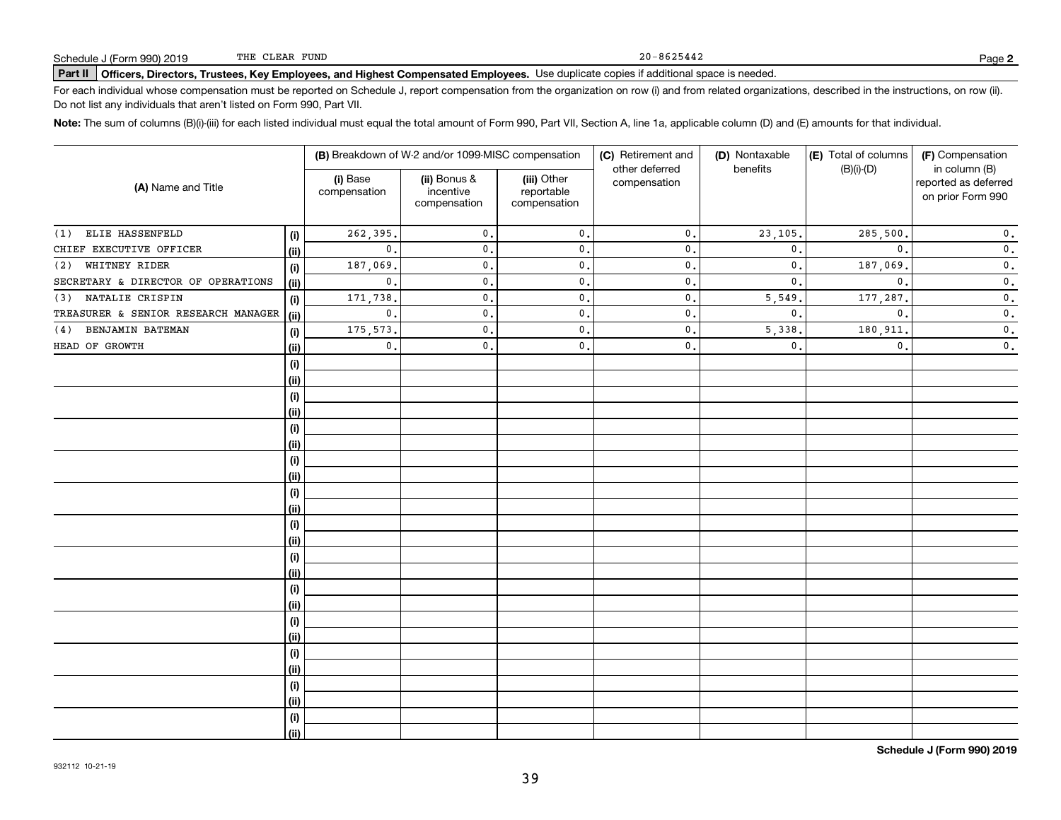#### 20-8625442

# **Part II Officers, Directors, Trustees, Key Employees, and Highest Compensated Employees.**  Schedule J (Form 990) 2019 Page Use duplicate copies if additional space is needed.

For each individual whose compensation must be reported on Schedule J, report compensation from the organization on row (i) and from related organizations, described in the instructions, on row (ii). Do not list any individuals that aren't listed on Form 990, Part VII.

**Note:**  The sum of columns (B)(i)-(iii) for each listed individual must equal the total amount of Form 990, Part VII, Section A, line 1a, applicable column (D) and (E) amounts for that individual.

|                                     |      |                          | (B) Breakdown of W-2 and/or 1099-MISC compensation |                                           | (C) Retirement and             | (D) Nontaxable | (E) Total of columns | (F) Compensation                                           |  |
|-------------------------------------|------|--------------------------|----------------------------------------------------|-------------------------------------------|--------------------------------|----------------|----------------------|------------------------------------------------------------|--|
| (A) Name and Title                  |      | (i) Base<br>compensation | (ii) Bonus &<br>incentive<br>compensation          | (iii) Other<br>reportable<br>compensation | other deferred<br>compensation | benefits       | $(B)(i)-(D)$         | in column (B)<br>reported as deferred<br>on prior Form 990 |  |
| ELIE HASSENFELD<br>(1)              | (i)  | 262,395.                 | $\mathfrak{o}$ .                                   | $\mathbf{0}$ .                            | $\mathbf{0}$ .                 | 23,105.        | 285,500.             | $\mathfrak o$ .                                            |  |
| CHIEF EXECUTIVE OFFICER             | (ii) | $\mathbf{0}$ .           | $\mathbf{0}$ .                                     | $\mathbf{0}$ .                            | $\mathbf{0}$                   | $\mathbf{0}$   | $\mathbf{0}$ .       | $\mathbf 0$ .                                              |  |
| WHITNEY RIDER<br>(2)                | (i)  | 187,069.                 | $\mathbf{0}$                                       | $\mathbf{0}$ .                            | $\mathsf{0}$ .                 | 0.             | 187,069.             | $\mathbf 0$ .                                              |  |
| SECRETARY & DIRECTOR OF OPERATIONS  | (ii) | $\mathbf{0}$ .           | $\mathbf{0}$                                       | $\mathfrak o$ .                           | $\mathsf{0}$ .                 | 0.             | $\mathbf{0}$ .       | $\mathbf 0$ .                                              |  |
| NATALIE CRISPIN<br>(3)              | (i)  | 171,738                  | $\mathbf{0}$ .                                     | $\mathfrak o$ .                           | $\mathsf{0}$ .                 | 5,549          | 177,287.             | $\overline{\mathbf{0}}$ .                                  |  |
| TREASURER & SENIOR RESEARCH MANAGER | (ii) | $\mathbf{0}$ .           | $\mathbf{0}$ .                                     | $\mathbf{0}$ .                            | $\mathsf{o}\,$ .               | $\mathbf{0}$ . | $\mathbf{0}$ .       | $\overline{\mathbf{0}}$ .                                  |  |
| BENJAMIN BATEMAN<br>(4)             | (i)  | 175, 573.                | $\mathbf{0}$ .                                     | $\mathbf{0}$ .                            | $\mathsf{o}\,$ .               | 5,338          | 180,911              | $\mathfrak o$ .                                            |  |
| HEAD OF GROWTH                      | (ii) | $\mathbf{0}$ .           | 0.                                                 | $\mathbf{0}$ .                            | $\mathbf{0}$ .                 | $\mathbf{0}$ . | $\mathbf{0}$ .       | $\mathbf 0$ .                                              |  |
|                                     | (i)  |                          |                                                    |                                           |                                |                |                      |                                                            |  |
|                                     | (ii) |                          |                                                    |                                           |                                |                |                      |                                                            |  |
|                                     | (i)  |                          |                                                    |                                           |                                |                |                      |                                                            |  |
|                                     | (ii) |                          |                                                    |                                           |                                |                |                      |                                                            |  |
|                                     | (i)  |                          |                                                    |                                           |                                |                |                      |                                                            |  |
|                                     | (ii) |                          |                                                    |                                           |                                |                |                      |                                                            |  |
|                                     | (i)  |                          |                                                    |                                           |                                |                |                      |                                                            |  |
|                                     | (ii) |                          |                                                    |                                           |                                |                |                      |                                                            |  |
|                                     | (i)  |                          |                                                    |                                           |                                |                |                      |                                                            |  |
|                                     | (ii) |                          |                                                    |                                           |                                |                |                      |                                                            |  |
|                                     | (i)  |                          |                                                    |                                           |                                |                |                      |                                                            |  |
|                                     | (ii) |                          |                                                    |                                           |                                |                |                      |                                                            |  |
|                                     | (i)  |                          |                                                    |                                           |                                |                |                      |                                                            |  |
|                                     | (ii) |                          |                                                    |                                           |                                |                |                      |                                                            |  |
|                                     | (i)  |                          |                                                    |                                           |                                |                |                      |                                                            |  |
|                                     | (ii) |                          |                                                    |                                           |                                |                |                      |                                                            |  |
|                                     | (i)  |                          |                                                    |                                           |                                |                |                      |                                                            |  |
|                                     | (ii) |                          |                                                    |                                           |                                |                |                      |                                                            |  |
|                                     | (i)  |                          |                                                    |                                           |                                |                |                      |                                                            |  |
|                                     | (ii) |                          |                                                    |                                           |                                |                |                      |                                                            |  |
|                                     | (i)  |                          |                                                    |                                           |                                |                |                      |                                                            |  |
|                                     | (ii) |                          |                                                    |                                           |                                |                |                      |                                                            |  |
|                                     | (i)  |                          |                                                    |                                           |                                |                |                      |                                                            |  |
|                                     | (ii) |                          |                                                    |                                           |                                |                |                      |                                                            |  |

**Schedule J (Form 990) 2019**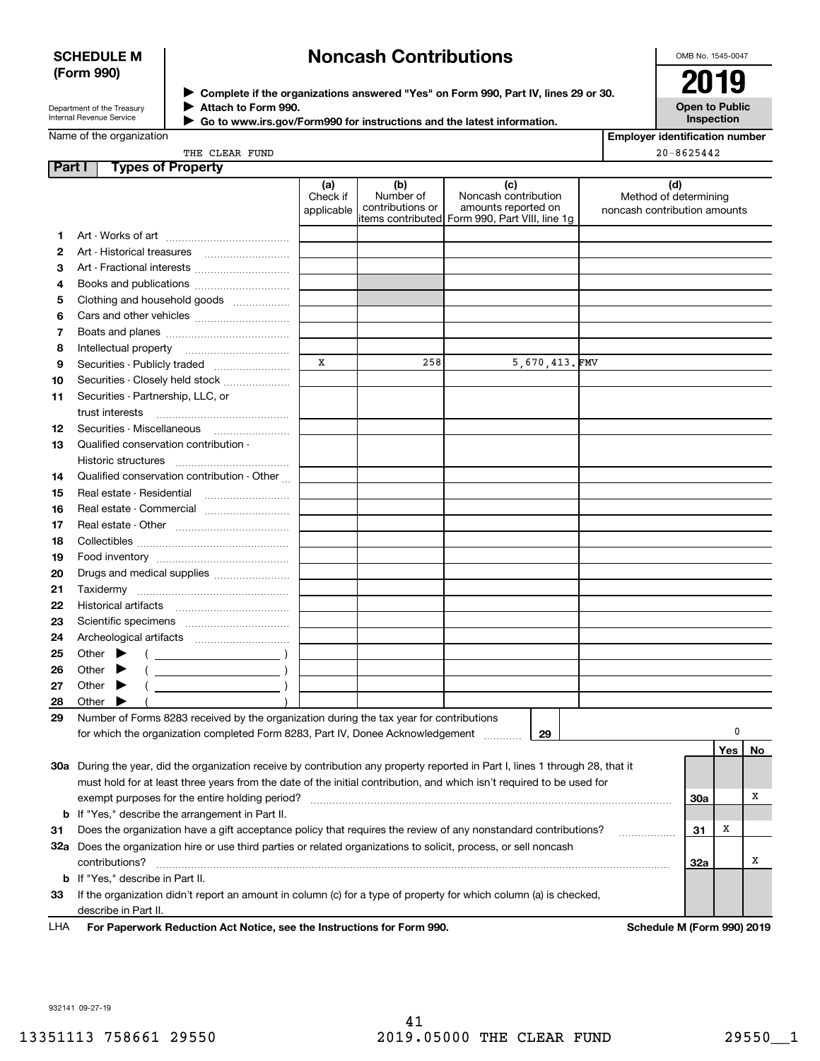### **SCHEDULE M (Form 990)**

# **Noncash Contributions**

OMB No. 1545-0047

| Department of the Treasury      |  |
|---------------------------------|--|
| <b>Internal Revenue Service</b> |  |

**Complete if the organizations answered "Yes" on Form 990, Part IV, lines 29 or 30.** <sup>J</sup>**2019 Attach to Form 990.** J

 **Go to www.irs.gov/Form990 for instructions and the latest information.** J



|    | Name of the organization                    | <b>Employer identification number</b> |                                      |                                                                                                      |                                                              |
|----|---------------------------------------------|---------------------------------------|--------------------------------------|------------------------------------------------------------------------------------------------------|--------------------------------------------------------------|
|    | THE CLEAR FUND                              | $20 - 8625442$                        |                                      |                                                                                                      |                                                              |
|    | Part I<br><b>Types of Property</b>          |                                       |                                      |                                                                                                      |                                                              |
|    |                                             | (a)<br>Check if<br>applicable         | (b)<br>Number of<br>contributions or | (c)<br>Noncash contribution<br>amounts reported on<br>items contributed Form 990, Part VIII, line 1g | (d)<br>Method of determining<br>noncash contribution amounts |
| 1  |                                             |                                       |                                      |                                                                                                      |                                                              |
| 2  |                                             |                                       |                                      |                                                                                                      |                                                              |
| 3  |                                             |                                       |                                      |                                                                                                      |                                                              |
| 4  |                                             |                                       |                                      |                                                                                                      |                                                              |
| 5  | Clothing and household goods                |                                       |                                      |                                                                                                      |                                                              |
| 6  |                                             |                                       |                                      |                                                                                                      |                                                              |
| 7  |                                             |                                       |                                      |                                                                                                      |                                                              |
| 8  | Intellectual property                       |                                       |                                      |                                                                                                      |                                                              |
| 9  |                                             | X                                     | 258                                  | 5,670,413.FMV                                                                                        |                                                              |
| 10 | Securities - Closely held stock             |                                       |                                      |                                                                                                      |                                                              |
| 11 | Securities - Partnership, LLC, or           |                                       |                                      |                                                                                                      |                                                              |
|    | trust interests                             |                                       |                                      |                                                                                                      |                                                              |
| 12 |                                             |                                       |                                      |                                                                                                      |                                                              |
| 13 | Qualified conservation contribution -       |                                       |                                      |                                                                                                      |                                                              |
|    | Historic structures                         |                                       |                                      |                                                                                                      |                                                              |
| 14 | Qualified conservation contribution - Other |                                       |                                      |                                                                                                      |                                                              |
| 15 | Real estate - Residential                   |                                       |                                      |                                                                                                      |                                                              |
| 16 | Real estate - Commercial                    |                                       |                                      |                                                                                                      |                                                              |
| 17 |                                             |                                       |                                      |                                                                                                      |                                                              |
| 18 |                                             |                                       |                                      |                                                                                                      |                                                              |
| 19 |                                             |                                       |                                      |                                                                                                      |                                                              |
| 20 | Drugs and medical supplies                  |                                       |                                      |                                                                                                      |                                                              |
| 21 |                                             |                                       |                                      |                                                                                                      |                                                              |
| 22 |                                             |                                       |                                      |                                                                                                      |                                                              |
| 23 |                                             |                                       |                                      |                                                                                                      |                                                              |
| 24 |                                             |                                       |                                      |                                                                                                      |                                                              |
| 25 | Other<br>▶<br>$($ )                         |                                       |                                      |                                                                                                      |                                                              |
| 26 | Other<br>▶                                  |                                       |                                      |                                                                                                      |                                                              |
| 27 | Other<br>▸                                  |                                       |                                      |                                                                                                      |                                                              |
| 28 | Other<br>▸                                  |                                       |                                      |                                                                                                      |                                                              |

| 30a | During the year, did the organization receive by contribution any property reported in Part I, lines 1 through 28, that it |     |   |  |
|-----|----------------------------------------------------------------------------------------------------------------------------|-----|---|--|
|     | must hold for at least three years from the date of the initial contribution, and which isn't required to be used for      |     |   |  |
|     | exempt purposes for the entire holding period?                                                                             | 30a |   |  |
|     | <b>b</b> If "Yes," describe the arrangement in Part II.                                                                    |     |   |  |
| -31 | Does the organization have a gift acceptance policy that requires the review of any nonstandard contributions?             | 31  | х |  |
| 32a | Does the organization hire or use third parties or related organizations to solicit, process, or sell noncash              |     |   |  |
|     | contributions?                                                                                                             | 32a |   |  |
|     | <b>b</b> If "Yes." describe in Part II.                                                                                    |     |   |  |
| 33  | If the organization didn't report an amount in column (c) for a type of property for which column (a) is checked,          |     |   |  |

describe in Part II.

For Paperwork Reduction Act Notice, see the Instructions for Form 990. **Schedule M (Form 990) 2019** LHA

932141 09-27-19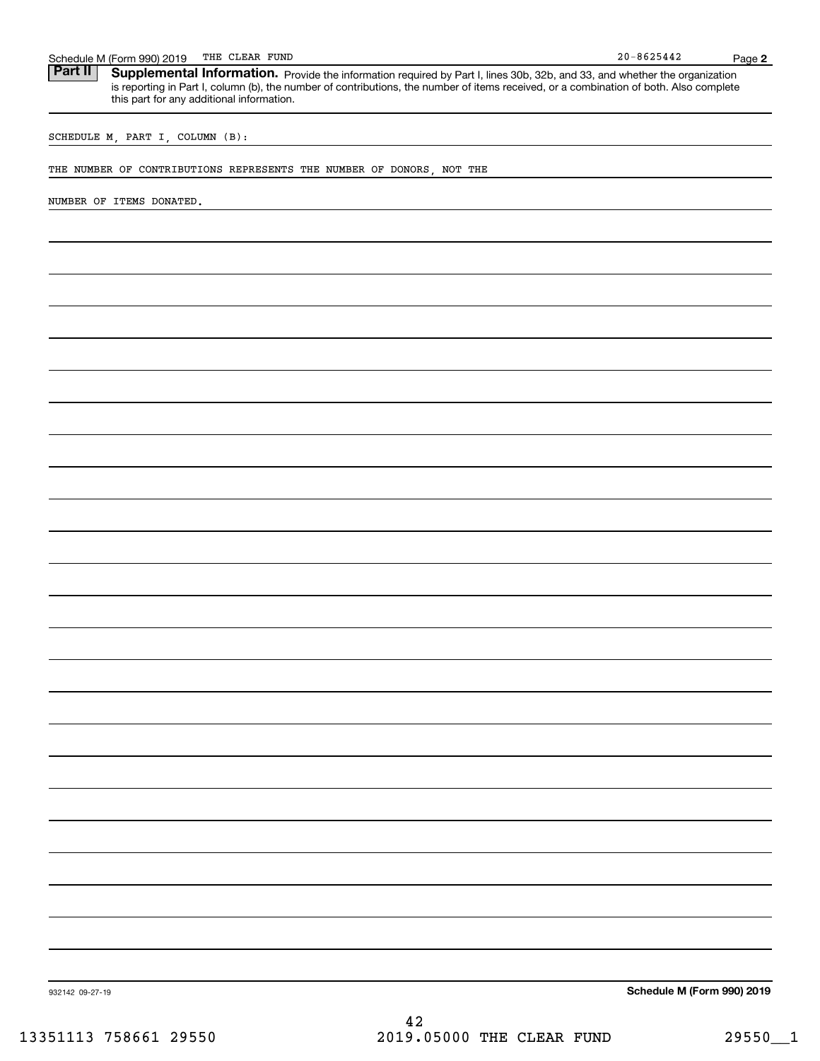|                 | THE CLEAR FUND<br>Schedule M (Form 990) 2019                                                                                                                                                                                                                                                                      | $20 - 8625442$             | Page 2 |
|-----------------|-------------------------------------------------------------------------------------------------------------------------------------------------------------------------------------------------------------------------------------------------------------------------------------------------------------------|----------------------------|--------|
| Part II         | Supplemental Information. Provide the information required by Part I, lines 30b, 32b, and 33, and whether the organization<br>is reporting in Part I, column (b), the number of contributions, the number of items received, or a combination of both. Also complete<br>this part for any additional information. |                            |        |
|                 | SCHEDULE M, PART I, COLUMN (B):                                                                                                                                                                                                                                                                                   |                            |        |
|                 | THE NUMBER OF CONTRIBUTIONS REPRESENTS THE NUMBER OF DONORS, NOT THE                                                                                                                                                                                                                                              |                            |        |
|                 | NUMBER OF ITEMS DONATED.                                                                                                                                                                                                                                                                                          |                            |        |
|                 |                                                                                                                                                                                                                                                                                                                   |                            |        |
|                 |                                                                                                                                                                                                                                                                                                                   |                            |        |
|                 |                                                                                                                                                                                                                                                                                                                   |                            |        |
|                 |                                                                                                                                                                                                                                                                                                                   |                            |        |
|                 |                                                                                                                                                                                                                                                                                                                   |                            |        |
|                 |                                                                                                                                                                                                                                                                                                                   |                            |        |
|                 |                                                                                                                                                                                                                                                                                                                   |                            |        |
|                 |                                                                                                                                                                                                                                                                                                                   |                            |        |
|                 |                                                                                                                                                                                                                                                                                                                   |                            |        |
|                 |                                                                                                                                                                                                                                                                                                                   |                            |        |
|                 |                                                                                                                                                                                                                                                                                                                   |                            |        |
|                 |                                                                                                                                                                                                                                                                                                                   |                            |        |
|                 |                                                                                                                                                                                                                                                                                                                   |                            |        |
|                 |                                                                                                                                                                                                                                                                                                                   |                            |        |
|                 |                                                                                                                                                                                                                                                                                                                   |                            |        |
|                 |                                                                                                                                                                                                                                                                                                                   |                            |        |
|                 |                                                                                                                                                                                                                                                                                                                   |                            |        |
|                 |                                                                                                                                                                                                                                                                                                                   |                            |        |
|                 |                                                                                                                                                                                                                                                                                                                   |                            |        |
|                 |                                                                                                                                                                                                                                                                                                                   |                            |        |
|                 |                                                                                                                                                                                                                                                                                                                   |                            |        |
|                 |                                                                                                                                                                                                                                                                                                                   |                            |        |
|                 |                                                                                                                                                                                                                                                                                                                   |                            |        |
|                 |                                                                                                                                                                                                                                                                                                                   |                            |        |
| 932142 09-27-19 |                                                                                                                                                                                                                                                                                                                   | Schedule M (Form 990) 2019 |        |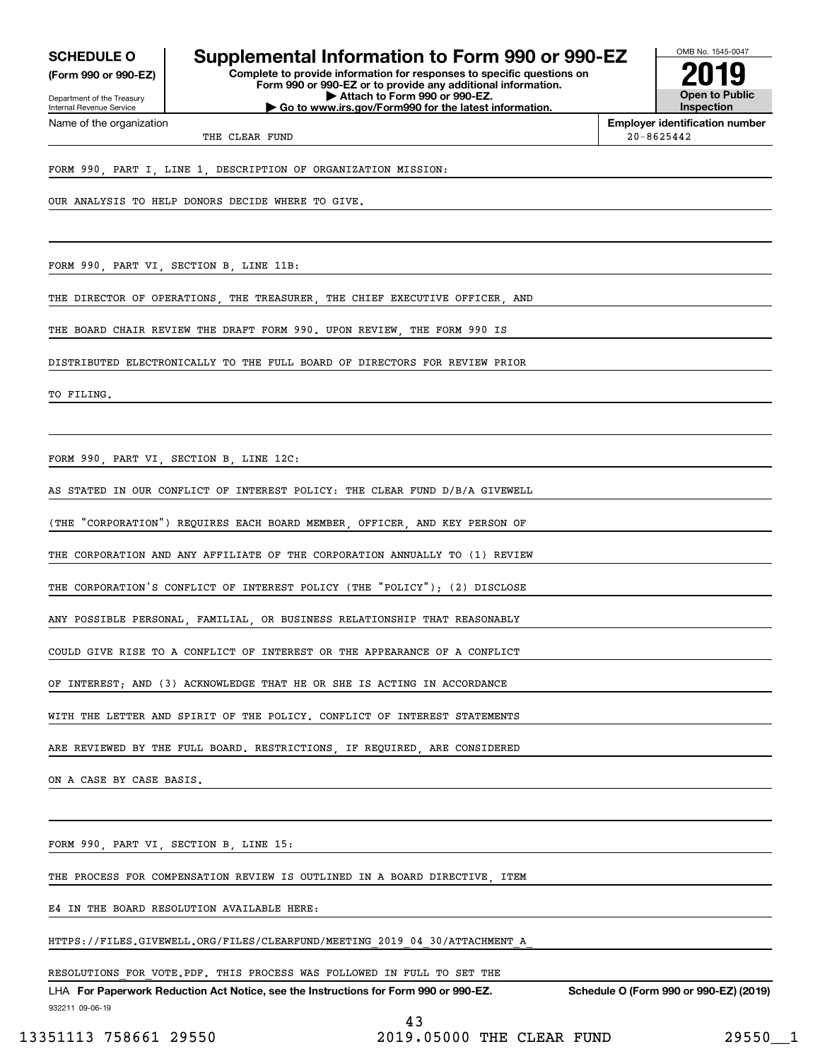**(Form 990 or 990-EZ)**

Department of the Treasury Internal Revenue Service Name of the organization

## **SCHEDULE O Supplemental Information to Form 990 or 990-EZ**

**Complete to provide information for responses to specific questions on Form 990 or 990-EZ or to provide any additional information. | Attach to Form 990 or 990-EZ. | Go to www.irs.gov/Form990 for the latest information.**



**Employer identification number**

THE CLEAR FUND 20-8625442

FORM 990, PART I, LINE 1, DESCRIPTION OF ORGANIZATION MISSION:

OUR ANALYSIS TO HELP DONORS DECIDE WHERE TO GIVE.

FORM 990, PART VI, SECTION B, LINE 11B:

THE DIRECTOR OF OPERATIONS, THE TREASURER, THE CHIEF EXECUTIVE OFFICER, AND

THE BOARD CHAIR REVIEW THE DRAFT FORM 990. UPON REVIEW, THE FORM 990 IS

DISTRIBUTED ELECTRONICALLY TO THE FULL BOARD OF DIRECTORS FOR REVIEW PRIOR

TO FILING.

FORM 990, PART VI, SECTION B, LINE 12C:

AS STATED IN OUR CONFLICT OF INTEREST POLICY: THE CLEAR FUND D/B/A GIVEWELL

(THE "CORPORATION") REQUIRES EACH BOARD MEMBER, OFFICER, AND KEY PERSON OF

THE CORPORATION AND ANY AFFILIATE OF THE CORPORATION ANNUALLY TO (1) REVIEW

THE CORPORATION'S CONFLICT OF INTEREST POLICY (THE "POLICY"); (2) DISCLOSE

ANY POSSIBLE PERSONAL, FAMILIAL, OR BUSINESS RELATIONSHIP THAT REASONABLY

COULD GIVE RISE TO A CONFLICT OF INTEREST OR THE APPEARANCE OF A CONFLICT

OF INTEREST; AND (3) ACKNOWLEDGE THAT HE OR SHE IS ACTING IN ACCORDANCE

WITH THE LETTER AND SPIRIT OF THE POLICY. CONFLICT OF INTEREST STATEMENTS

ARE REVIEWED BY THE FULL BOARD. RESTRICTIONS IF REQUIRED ARE CONSIDERED

ON A CASE BY CASE BASIS

FORM 990, PART VI, SECTION B, LINE 15:

THE PROCESS FOR COMPENSATION REVIEW IS OUTLINED IN A BOARD DIRECTIVE, ITEM

E4 IN THE BOARD RESOLUTION AVAILABLE HERE:

HTTPS://FILES.GIVEWELL.ORG/FILES/CLEARFUND/MEETING\_2019\_04\_30/ATTACHMENT\_A\_

RESOLUTIONS FOR VOTE.PDF. THIS PROCESS WAS FOLLOWED IN FULL TO SET THE

932211 09-06-19 LHA For Paperwork Reduction Act Notice, see the Instructions for Form 990 or 990-EZ. Schedule O (Form 990 or 990-EZ) (2019)